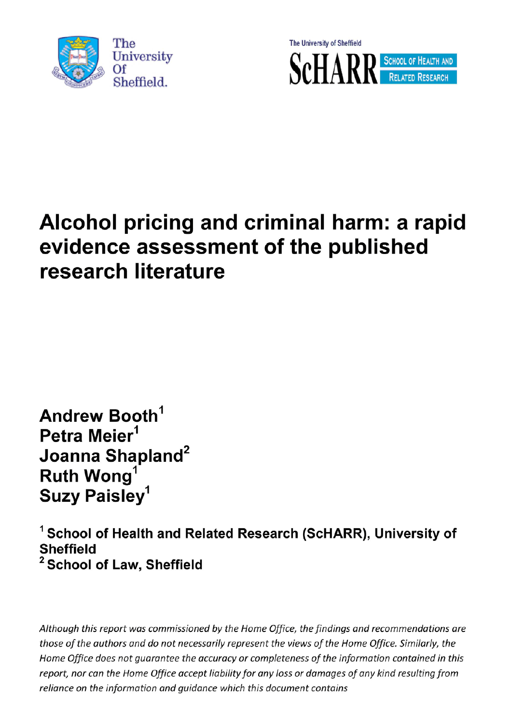



## Alcohol pricing and criminal harm: a rapid evidence assessment of the published research literature

Andrew Booth<sup>1</sup> Petra Meier<sup>1</sup> Joanna Shapland<sup>2</sup><br>Ruth Wong<sup>1</sup> Suzy Paisley<sup>1</sup>

<sup>1</sup> School of Health and Related Research (ScHARR), University of **Sheffield** <sup>2</sup> School of Law, Sheffield

Although this report was commissioned by the Home Office, the findings and recommendations are those of the authors and do not necessarily represent the views of the Home Office. Similarly, the Home Office does not guarantee the accuracy or completeness of the information contained in this report, nor can the Home Office accept liability for any loss or damages of any kind resulting from<br>reliance on the information and guidance which this document contains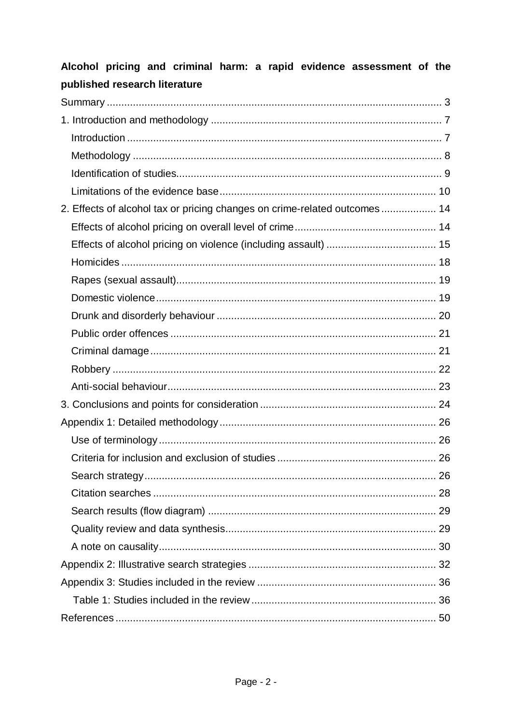| published research literature                                             |  |
|---------------------------------------------------------------------------|--|
|                                                                           |  |
|                                                                           |  |
|                                                                           |  |
|                                                                           |  |
|                                                                           |  |
|                                                                           |  |
| 2. Effects of alcohol tax or pricing changes on crime-related outcomes 14 |  |
|                                                                           |  |
|                                                                           |  |
|                                                                           |  |
|                                                                           |  |
|                                                                           |  |
|                                                                           |  |
|                                                                           |  |
|                                                                           |  |
|                                                                           |  |
|                                                                           |  |
|                                                                           |  |
|                                                                           |  |
|                                                                           |  |
|                                                                           |  |
|                                                                           |  |
|                                                                           |  |
|                                                                           |  |
|                                                                           |  |
|                                                                           |  |
|                                                                           |  |
|                                                                           |  |
|                                                                           |  |
|                                                                           |  |

# Alcohol pricing and criminal harm: a rapid evidence assessment of the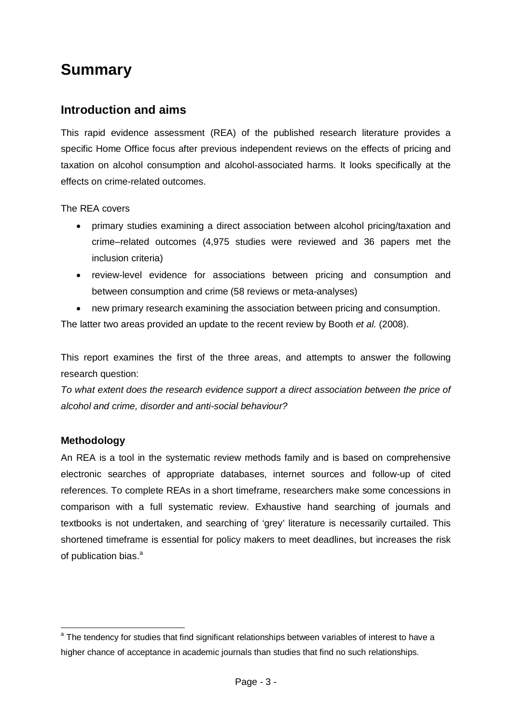## <span id="page-2-0"></span>**Summary**

## **Introduction and aims**

This rapid evidence assessment (REA) of the published research literature provides a specific Home Office focus after previous independent reviews on the effects of pricing and taxation on alcohol consumption and alcohol-associated harms. It looks specifically at the effects on crime-related outcomes.

The REA covers

- primary studies examining a direct association between alcohol pricing/taxation and crime–related outcomes (4,975 studies were reviewed and 36 papers met the inclusion criteria)
- review-level evidence for associations between pricing and consumption and between consumption and crime (58 reviews or meta-analyses)
- new primary research examining the association between pricing and consumption.

The latter two areas provided an update to the recent review by Booth *et al.* (2008).

This report examines the first of the three areas, and attempts to answer the following research question:

*To what extent does the research evidence support a direct association between the price of alcohol and crime, disorder and anti-social behaviour?* 

#### **Methodology**

An REA is a tool in the systematic review methods family and is based on comprehensive electronic searches of appropriate databases, internet sources and follow-up of cited references. To complete REAs in a short timeframe, researchers make some concessions in comparison with a full systematic review. Exhaustive hand searching of journals and textbooks is not undertaken, and searching of 'grey' literature is necessarily curtailed. This shortened timeframe is essential for policy makers to meet deadlines, but increases the risk of public[a](#page-2-1)tion bias.<sup>a</sup>

<span id="page-2-1"></span><sup>&</sup>lt;sup>a</sup> The tendency for studies that find significant relationships between variables of interest to have a higher chance of acceptance in academic journals than studies that find no such relationships.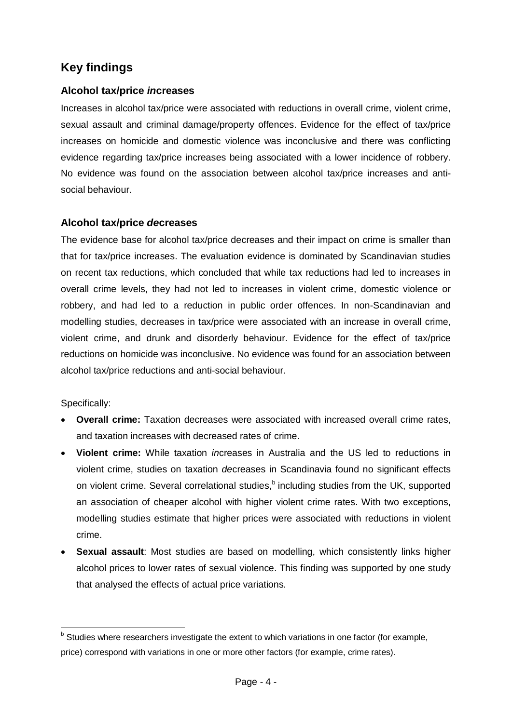## **Key findings**

#### **Alcohol tax/price** *in***creases**

Increases in alcohol tax/price were associated with reductions in overall crime, violent crime, sexual assault and criminal damage/property offences. Evidence for the effect of tax/price increases on homicide and domestic violence was inconclusive and there was conflicting evidence regarding tax/price increases being associated with a lower incidence of robbery. No evidence was found on the association between alcohol tax/price increases and antisocial behaviour.

#### **Alcohol tax/price** *de***creases**

The evidence base for alcohol tax/price decreases and their impact on crime is smaller than that for tax/price increases. The evaluation evidence is dominated by Scandinavian studies on recent tax reductions, which concluded that while tax reductions had led to increases in overall crime levels, they had not led to increases in violent crime, domestic violence or robbery, and had led to a reduction in public order offences. In non-Scandinavian and modelling studies, decreases in tax/price were associated with an increase in overall crime, violent crime, and drunk and disorderly behaviour. Evidence for the effect of tax/price reductions on homicide was inconclusive. No evidence was found for an association between alcohol tax/price reductions and anti-social behaviour.

#### Specifically:

- **Overall crime:** Taxation decreases were associated with increased overall crime rates, and taxation increases with decreased rates of crime.
- **Violent crime:** While taxation *in*creases in Australia and the US led to reductions in violent crime, studies on taxation *de*creases in Scandinavia found no significant effects on violent crime. Several correlational studies,<sup>[b](#page-3-0)</sup> including studies from the UK, supported an association of cheaper alcohol with higher violent crime rates. With two exceptions, modelling studies estimate that higher prices were associated with reductions in violent crime.
- **Sexual assault:** Most studies are based on modelling, which consistently links higher alcohol prices to lower rates of sexual violence. This finding was supported by one study that analysed the effects of actual price variations.

<span id="page-3-0"></span>b Studies where researchers investigate the extent to which variations in one factor (for example, price) correspond with variations in one or more other factors (for example, crime rates).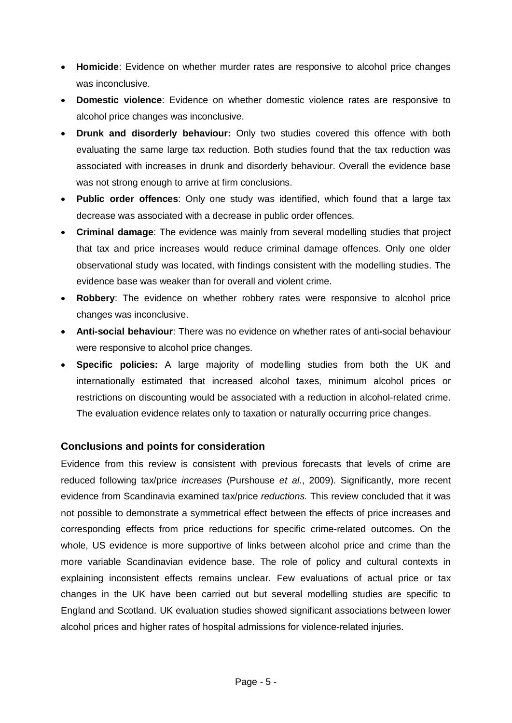- **Homicide**: Evidence on whether murder rates are responsive to alcohol price changes was inconclusive.
- **Domestic violence**: Evidence on whether domestic violence rates are responsive to alcohol price changes was inconclusive.
- **Drunk and disorderly behaviour:** Only two studies covered this offence with both evaluating the same large tax reduction. Both studies found that the tax reduction was associated with increases in drunk and disorderly behaviour. Overall the evidence base was not strong enough to arrive at firm conclusions.
- **Public order offences**: Only one study was identified, which found that a large tax decrease was associated with a decrease in public order offences.
- **Criminal damage**: The evidence was mainly from several modelling studies that project that tax and price increases would reduce criminal damage offences. Only one older observational study was located, with findings consistent with the modelling studies. The evidence base was weaker than for overall and violent crime.
- **Robbery**: The evidence on whether robbery rates were responsive to alcohol price changes was inconclusive.
- **Anti-social behaviour**: There was no evidence on whether rates of anti**-**social behaviour were responsive to alcohol price changes.
- **Specific policies:** A large majority of modelling studies from both the UK and internationally estimated that increased alcohol taxes, minimum alcohol prices or restrictions on discounting would be associated with a reduction in alcohol-related crime. The evaluation evidence relates only to taxation or naturally occurring price changes.

#### **Conclusions and points for consideration**

Evidence from this review is consistent with previous forecasts that levels of crime are reduced following tax/price *increases* (Purshouse *et al*., 2009). Significantly, more recent evidence from Scandinavia examined tax/price *reductions.* This review concluded that it was not possible to demonstrate a symmetrical effect between the effects of price increases and corresponding effects from price reductions for specific crime-related outcomes. On the whole, US evidence is more supportive of links between alcohol price and crime than the more variable Scandinavian evidence base. The role of policy and cultural contexts in explaining inconsistent effects remains unclear. Few evaluations of actual price or tax changes in the UK have been carried out but several modelling studies are specific to England and Scotland. UK evaluation studies showed significant associations between lower alcohol prices and higher rates of hospital admissions for violence-related injuries.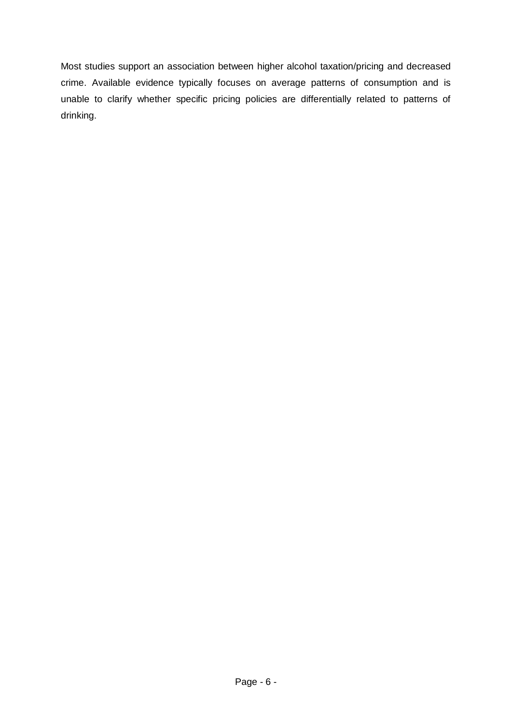Most studies support an association between higher alcohol taxation/pricing and decreased crime. Available evidence typically focuses on average patterns of consumption and is unable to clarify whether specific pricing policies are differentially related to patterns of drinking.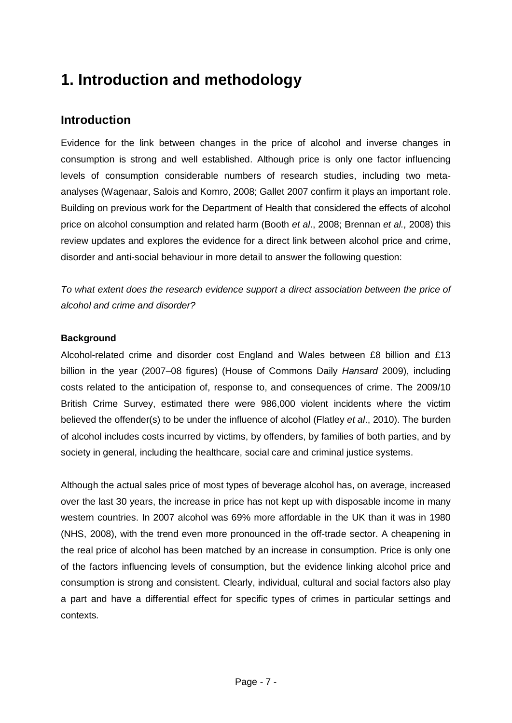## <span id="page-6-0"></span>**1. Introduction and methodology**

## <span id="page-6-1"></span>**Introduction**

Evidence for the link between changes in the price of alcohol and inverse changes in consumption is strong and well established. Although price is only one factor influencing levels of consumption considerable numbers of research studies, including two metaanalyses (Wagenaar, Salois and Komro, 2008; Gallet 2007 confirm it plays an important role. Building on previous work for the Department of Health that considered the effects of alcohol price on alcohol consumption and related harm (Booth *et al*., 2008; Brennan *et al.,* 2008) this review updates and explores the evidence for a direct link between alcohol price and crime, disorder and anti-social behaviour in more detail to answer the following question:

*To what extent does the research evidence support a direct association between the price of alcohol and crime and disorder?* 

#### **Background**

Alcohol-related crime and disorder cost England and Wales between £8 billion and £13 billion in the year (2007–08 figures) (House of Commons Daily *Hansard* 2009), including costs related to the anticipation of, response to, and consequences of crime. The 2009/10 British Crime Survey, estimated there were 986,000 violent incidents where the victim believed the offender(s) to be under the influence of alcohol (Flatley *et al*., 2010). The burden of alcohol includes costs incurred by victims, by offenders, by families of both parties, and by society in general, including the healthcare, social care and criminal justice systems.

Although the actual sales price of most types of beverage alcohol has, on average, increased over the last 30 years, the increase in price has not kept up with disposable income in many western countries. In 2007 alcohol was 69% more affordable in the UK than it was in 1980 (NHS, 2008), with the trend even more pronounced in the off-trade sector. A cheapening in the real price of alcohol has been matched by an increase in consumption. Price is only one of the factors influencing levels of consumption, but the evidence linking alcohol price and consumption is strong and consistent. Clearly, individual, cultural and social factors also play a part and have a differential effect for specific types of crimes in particular settings and contexts.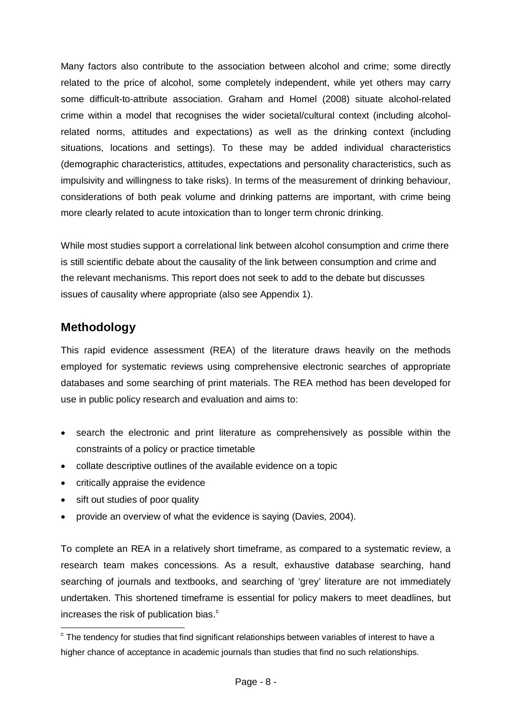Many factors also contribute to the association between alcohol and crime; some directly related to the price of alcohol, some completely independent, while yet others may carry some difficult-to-attribute association. Graham and Homel (2008) situate alcohol-related crime within a model that recognises the wider societal/cultural context (including alcoholrelated norms, attitudes and expectations) as well as the drinking context (including situations, locations and settings). To these may be added individual characteristics (demographic characteristics, attitudes, expectations and personality characteristics, such as impulsivity and willingness to take risks). In terms of the measurement of drinking behaviour, considerations of both peak volume and drinking patterns are important, with crime being more clearly related to acute intoxication than to longer term chronic drinking.

While most studies support a correlational link between alcohol consumption and crime there is still scientific debate about the causality of the link between consumption and crime and the relevant mechanisms. This report does not seek to add to the debate but discusses issues of causality where appropriate (also see Appendix 1).

## <span id="page-7-0"></span>**Methodology**

This rapid evidence assessment (REA) of the literature draws heavily on the methods employed for systematic reviews using comprehensive electronic searches of appropriate databases and some searching of print materials. The REA method has been developed for use in public policy research and evaluation and aims to:

- search the electronic and print literature as comprehensively as possible within the constraints of a policy or practice timetable
- collate descriptive outlines of the available evidence on a topic
- critically appraise the evidence
- sift out studies of poor quality
- provide an overview of what the evidence is saying (Davies, 2004).

To complete an REA in a relatively short timeframe, as compared to a systematic review, a research team makes concessions. As a result, exhaustive database searching, hand searching of journals and textbooks, and searching of 'grey' literature are not immediately undertaken. This shortened timeframe is essential for policy makers to meet deadlines, but in[c](#page-7-1)reases the risk of publication bias.<sup>c</sup>

<span id="page-7-1"></span> $\degree$  The tendency for studies that find significant relationships between variables of interest to have a higher chance of acceptance in academic journals than studies that find no such relationships.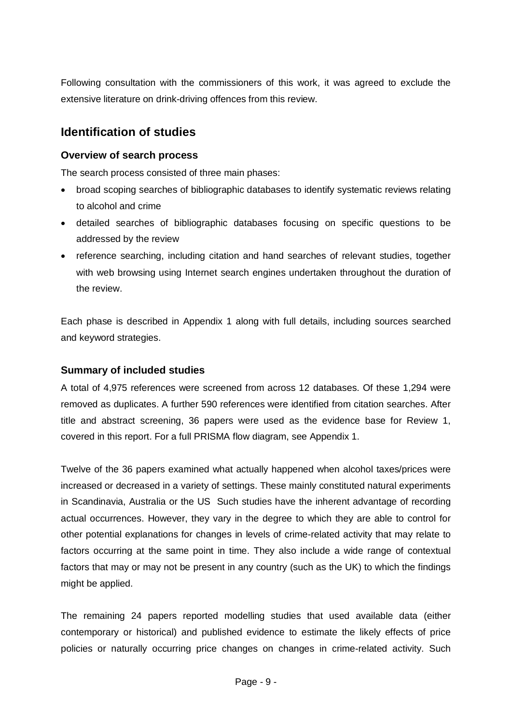Following consultation with the commissioners of this work, it was agreed to exclude the extensive literature on drink-driving offences from this review.

## <span id="page-8-0"></span>**Identification of studies**

#### **Overview of search process**

The search process consisted of three main phases:

- broad scoping searches of bibliographic databases to identify systematic reviews relating to alcohol and crime
- detailed searches of bibliographic databases focusing on specific questions to be addressed by the review
- reference searching, including citation and hand searches of relevant studies, together with web browsing using Internet search engines undertaken throughout the duration of the review.

Each phase is described in Appendix 1 along with full details, including sources searched and keyword strategies.

#### **Summary of included studies**

A total of 4,975 references were screened from across 12 databases. Of these 1,294 were removed as duplicates. A further 590 references were identified from citation searches. After title and abstract screening, 36 papers were used as the evidence base for Review 1, covered in this report. For a full PRISMA flow diagram, see Appendix 1.

Twelve of the 36 papers examined what actually happened when alcohol taxes/prices were increased or decreased in a variety of settings. These mainly constituted natural experiments in Scandinavia, Australia or the US Such studies have the inherent advantage of recording actual occurrences. However, they vary in the degree to which they are able to control for other potential explanations for changes in levels of crime-related activity that may relate to factors occurring at the same point in time. They also include a wide range of contextual factors that may or may not be present in any country (such as the UK) to which the findings might be applied.

The remaining 24 papers reported modelling studies that used available data (either contemporary or historical) and published evidence to estimate the likely effects of price policies or naturally occurring price changes on changes in crime-related activity. Such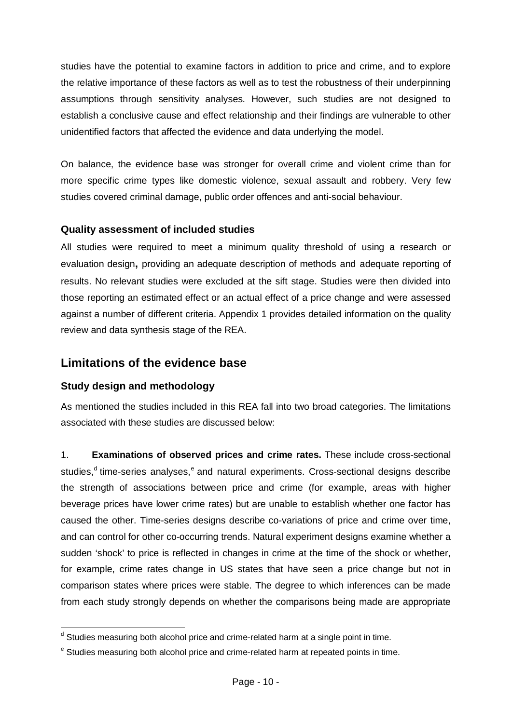studies have the potential to examine factors in addition to price and crime, and to explore the relative importance of these factors as well as to test the robustness of their underpinning assumptions through sensitivity analyses. However, such studies are not designed to establish a conclusive cause and effect relationship and their findings are vulnerable to other unidentified factors that affected the evidence and data underlying the model.

On balance, the evidence base was stronger for overall crime and violent crime than for more specific crime types like domestic violence, sexual assault and robbery. Very few studies covered criminal damage, public order offences and anti-social behaviour.

#### **Quality assessment of included studies**

All studies were required to meet a minimum quality threshold of using a research or evaluation design**,** providing an adequate description of methods and adequate reporting of results. No relevant studies were excluded at the sift stage. Studies were then divided into those reporting an estimated effect or an actual effect of a price change and were assessed against a number of different criteria. Appendix 1 provides detailed information on the quality review and data synthesis stage of the REA.

### <span id="page-9-0"></span>**Limitations of the evidence base**

#### **Study design and methodology**

As mentioned the studies included in this REA fall into two broad categories. The limitations associated with these studies are discussed below:

1. **Examinations of observed prices and crime rates.** These include cross-sectional stu[d](#page-9-1)i[e](#page-9-2)s,<sup>d</sup> time-series analyses,<sup>e</sup> and natural experiments. Cross-sectional designs describe the strength of associations between price and crime (for example, areas with higher beverage prices have lower crime rates) but are unable to establish whether one factor has caused the other. Time-series designs describe co-variations of price and crime over time, and can control for other co-occurring trends. Natural experiment designs examine whether a sudden 'shock' to price is reflected in changes in crime at the time of the shock or whether, for example, crime rates change in US states that have seen a price change but not in comparison states where prices were stable. The degree to which inferences can be made from each study strongly depends on whether the comparisons being made are appropriate

<span id="page-9-1"></span><sup>&</sup>lt;sup>d</sup> Studies measuring both alcohol price and crime-related harm at a single point in time.

<span id="page-9-2"></span><sup>&</sup>lt;sup>e</sup> Studies measuring both alcohol price and crime-related harm at repeated points in time.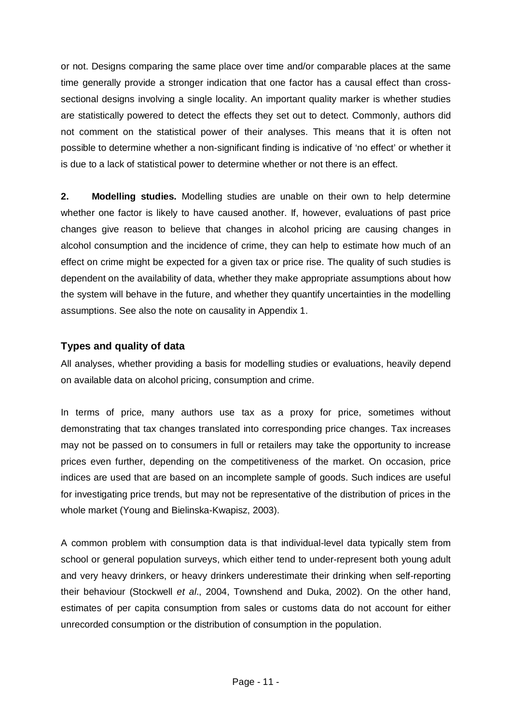or not. Designs comparing the same place over time and/or comparable places at the same time generally provide a stronger indication that one factor has a causal effect than crosssectional designs involving a single locality. An important quality marker is whether studies are statistically powered to detect the effects they set out to detect. Commonly, authors did not comment on the statistical power of their analyses. This means that it is often not possible to determine whether a non-significant finding is indicative of 'no effect' or whether it is due to a lack of statistical power to determine whether or not there is an effect.

**2. Modelling studies.** Modelling studies are unable on their own to help determine whether one factor is likely to have caused another. If, however, evaluations of past price changes give reason to believe that changes in alcohol pricing are causing changes in alcohol consumption and the incidence of crime, they can help to estimate how much of an effect on crime might be expected for a given tax or price rise. The quality of such studies is dependent on the availability of data, whether they make appropriate assumptions about how the system will behave in the future, and whether they quantify uncertainties in the modelling assumptions. See also the note on causality in Appendix 1.

#### **Types and quality of data**

All analyses, whether providing a basis for modelling studies or evaluations, heavily depend on available data on alcohol pricing, consumption and crime.

In terms of price, many authors use tax as a proxy for price, sometimes without demonstrating that tax changes translated into corresponding price changes. Tax increases may not be passed on to consumers in full or retailers may take the opportunity to increase prices even further, depending on the competitiveness of the market. On occasion, price indices are used that are based on an incomplete sample of goods. Such indices are useful for investigating price trends, but may not be representative of the distribution of prices in the whole market (Young and Bielinska-Kwapisz, 2003).

A common problem with consumption data is that individual-level data typically stem from school or general population surveys, which either tend to under-represent both young adult and very heavy drinkers, or heavy drinkers underestimate their drinking when self-reporting their behaviour (Stockwell *et al*., 2004, Townshend and Duka, 2002). On the other hand, estimates of per capita consumption from sales or customs data do not account for either unrecorded consumption or the distribution of consumption in the population.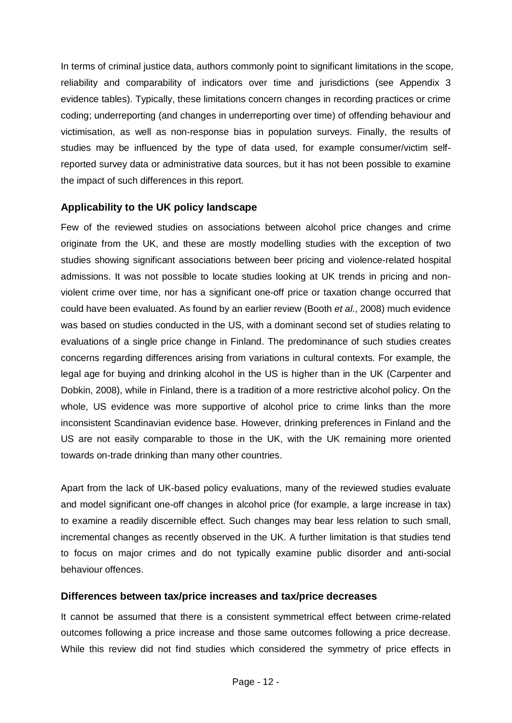In terms of criminal justice data, authors commonly point to significant limitations in the scope, reliability and comparability of indicators over time and jurisdictions (see Appendix 3 evidence tables). Typically, these limitations concern changes in recording practices or crime coding; underreporting (and changes in underreporting over time) of offending behaviour and victimisation, as well as non-response bias in population surveys. Finally, the results of studies may be influenced by the type of data used, for example consumer/victim selfreported survey data or administrative data sources, but it has not been possible to examine the impact of such differences in this report.

#### **Applicability to the UK policy landscape**

Few of the reviewed studies on associations between alcohol price changes and crime originate from the UK, and these are mostly modelling studies with the exception of two studies showing significant associations between beer pricing and violence-related hospital admissions. It was not possible to locate studies looking at UK trends in pricing and nonviolent crime over time, nor has a significant one-off price or taxation change occurred that could have been evaluated. As found by an earlier review (Booth *et al*., 2008) much evidence was based on studies conducted in the US, with a dominant second set of studies relating to evaluations of a single price change in Finland. The predominance of such studies creates concerns regarding differences arising from variations in cultural contexts. For example, the legal age for buying and drinking alcohol in the US is higher than in the UK (Carpenter and Dobkin, 2008), while in Finland, there is a tradition of a more restrictive alcohol policy. On the whole, US evidence was more supportive of alcohol price to crime links than the more inconsistent Scandinavian evidence base. However, drinking preferences in Finland and the US are not easily comparable to those in the UK, with the UK remaining more oriented towards on-trade drinking than many other countries.

Apart from the lack of UK-based policy evaluations, many of the reviewed studies evaluate and model significant one-off changes in alcohol price (for example, a large increase in tax) to examine a readily discernible effect. Such changes may bear less relation to such small, incremental changes as recently observed in the UK. A further limitation is that studies tend to focus on major crimes and do not typically examine public disorder and anti-social behaviour offences.

#### **Differences between tax/price increases and tax/price decreases**

It cannot be assumed that there is a consistent symmetrical effect between crime-related outcomes following a price increase and those same outcomes following a price decrease. While this review did not find studies which considered the symmetry of price effects in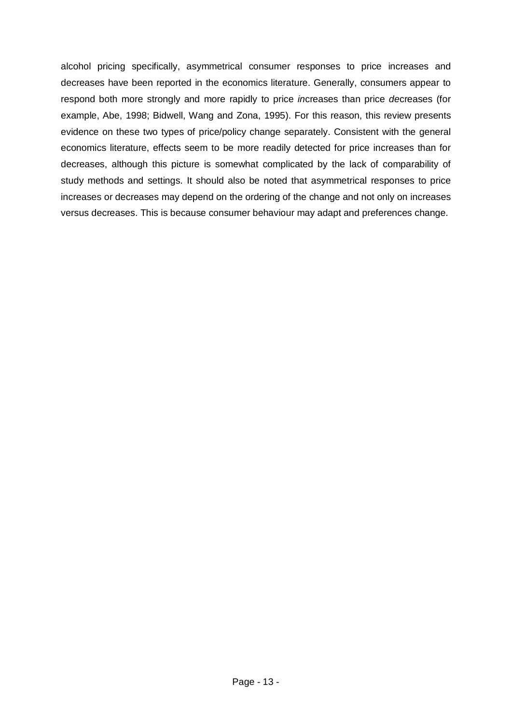alcohol pricing specifically, asymmetrical consumer responses to price increases and decreases have been reported in the economics literature. Generally, consumers appear to respond both more strongly and more rapidly to price *in*creases than price *de*creases (for example, Abe, 1998; Bidwell, Wang and Zona, 1995). For this reason, this review presents evidence on these two types of price/policy change separately. Consistent with the general economics literature, effects seem to be more readily detected for price increases than for decreases, although this picture is somewhat complicated by the lack of comparability of study methods and settings. It should also be noted that asymmetrical responses to price increases or decreases may depend on the ordering of the change and not only on increases versus decreases. This is because consumer behaviour may adapt and preferences change.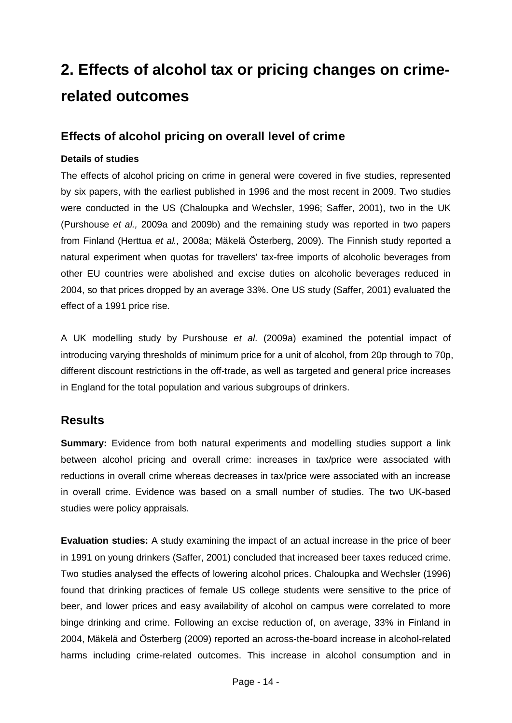## **2. Effects of alcohol tax or pricing changes on crimerelated outcomes**

### <span id="page-13-0"></span>**Effects of alcohol pricing on overall level of crime**

#### **Details of studies**

The effects of alcohol pricing on crime in general were covered in five studies, represented by six papers, with the earliest published in 1996 and the most recent in 2009. Two studies were conducted in the US (Chaloupka and Wechsler, 1996; Saffer, 2001), two in the UK (Purshouse *et al.,* 2009a and 2009b) and the remaining study was reported in two papers from Finland (Herttua *et al.,* 2008a; Mäkelä Österberg, 2009). The Finnish study reported a natural experiment when quotas for travellers' tax-free imports of alcoholic beverages from other EU countries were abolished and excise duties on alcoholic beverages reduced in 2004, so that prices dropped by an average 33%. One US study (Saffer, 2001) evaluated the effect of a 1991 price rise.

A UK modelling study by Purshouse *et al*. (2009a) examined the potential impact of introducing varying thresholds of minimum price for a unit of alcohol, from 20p through to 70p, different discount restrictions in the off-trade, as well as targeted and general price increases in England for the total population and various subgroups of drinkers.

### **Results**

**Summary:** Evidence from both natural experiments and modelling studies support a link between alcohol pricing and overall crime: increases in tax/price were associated with reductions in overall crime whereas decreases in tax/price were associated with an increase in overall crime. Evidence was based on a small number of studies. The two UK-based studies were policy appraisals.

**Evaluation studies:** A study examining the impact of an actual increase in the price of beer in 1991 on young drinkers (Saffer, 2001) concluded that increased beer taxes reduced crime. Two studies analysed the effects of lowering alcohol prices. Chaloupka and Wechsler (1996) found that drinking practices of female US college students were sensitive to the price of beer, and lower prices and easy availability of alcohol on campus were correlated to more binge drinking and crime. Following an excise reduction of, on average, 33% in Finland in 2004, Mäkelä and Österberg (2009) reported an across-the-board increase in alcohol-related harms including crime-related outcomes. This increase in alcohol consumption and in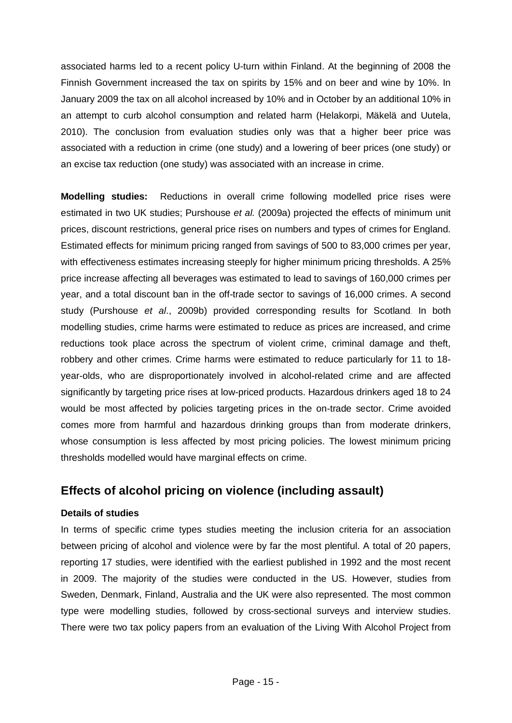associated harms led to a recent policy U-turn within Finland. At the beginning of 2008 the Finnish Government increased the tax on spirits by 15% and on beer and wine by 10%. In January 2009 the tax on all alcohol increased by 10% and in October by an additional 10% in an attempt to curb alcohol consumption and related harm (Helakorpi, Mäkelä and Uutela, 2010). The conclusion from evaluation studies only was that a higher beer price was associated with a reduction in crime (one study) and a lowering of beer prices (one study) or an excise tax reduction (one study) was associated with an increase in crime.

**Modelling studies:** Reductions in overall crime following modelled price rises were estimated in two UK studies; Purshouse *et al.* (2009a) projected the effects of minimum unit prices, discount restrictions, general price rises on numbers and types of crimes for England. Estimated effects for minimum pricing ranged from savings of 500 to 83,000 crimes per year, with effectiveness estimates increasing steeply for higher minimum pricing thresholds. A 25% price increase affecting all beverages was estimated to lead to savings of 160,000 crimes per year, and a total discount ban in the off-trade sector to savings of 16,000 crimes. A second study (Purshouse *et al*., 2009b) provided corresponding results for Scotland. In both modelling studies, crime harms were estimated to reduce as prices are increased, and crime reductions took place across the spectrum of violent crime, criminal damage and theft, robbery and other crimes. Crime harms were estimated to reduce particularly for 11 to 18 year-olds, who are disproportionately involved in alcohol-related crime and are affected significantly by targeting price rises at low-priced products. Hazardous drinkers aged 18 to 24 would be most affected by policies targeting prices in the on-trade sector. Crime avoided comes more from harmful and hazardous drinking groups than from moderate drinkers, whose consumption is less affected by most pricing policies. The lowest minimum pricing thresholds modelled would have marginal effects on crime.

## <span id="page-14-0"></span>**Effects of alcohol pricing on violence (including assault)**

#### **Details of studies**

In terms of specific crime types studies meeting the inclusion criteria for an association between pricing of alcohol and violence were by far the most plentiful. A total of 20 papers, reporting 17 studies, were identified with the earliest published in 1992 and the most recent in 2009. The majority of the studies were conducted in the US. However, studies from Sweden, Denmark, Finland, Australia and the UK were also represented. The most common type were modelling studies, followed by cross-sectional surveys and interview studies. There were two tax policy papers from an evaluation of the Living With Alcohol Project from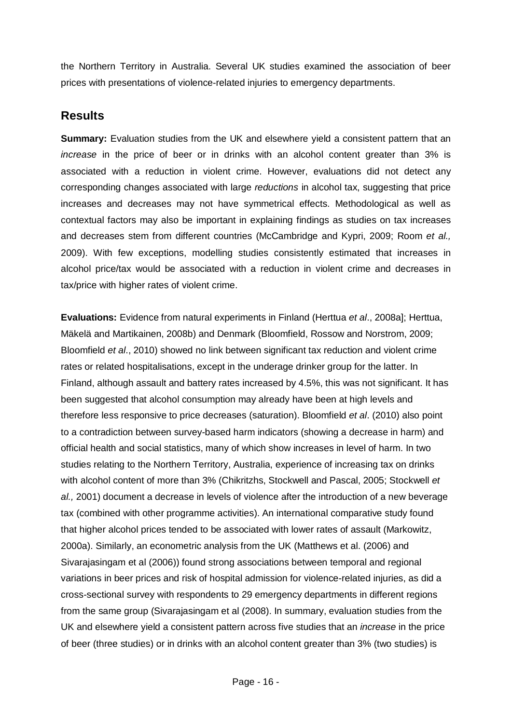the Northern Territory in Australia. Several UK studies examined the association of beer prices with presentations of violence-related injuries to emergency departments.

## **Results**

**Summary:** Evaluation studies from the UK and elsewhere yield a consistent pattern that an *increase* in the price of beer or in drinks with an alcohol content greater than 3% is associated with a reduction in violent crime. However, evaluations did not detect any corresponding changes associated with large *reductions* in alcohol tax, suggesting that price increases and decreases may not have symmetrical effects. Methodological as well as contextual factors may also be important in explaining findings as studies on tax increases and decreases stem from different countries (McCambridge and Kypri, 2009; Room *et al.,* 2009). With few exceptions, modelling studies consistently estimated that increases in alcohol price/tax would be associated with a reduction in violent crime and decreases in tax/price with higher rates of violent crime.

**Evaluations:** Evidence from natural experiments in Finland (Herttua *et al*., 2008a]; Herttua, Mäkelä and Martikainen, 2008b) and Denmark (Bloomfield, Rossow and Norstrom, 2009; Bloomfield *et al*., 2010) showed no link between significant tax reduction and violent crime rates or related hospitalisations, except in the underage drinker group for the latter. In Finland, although assault and battery rates increased by 4.5%, this was not significant. It has been suggested that alcohol consumption may already have been at high levels and therefore less responsive to price decreases (saturation). Bloomfield *et al*. (2010) also point to a contradiction between survey-based harm indicators (showing a decrease in harm) and official health and social statistics, many of which show increases in level of harm. In two studies relating to the Northern Territory, Australia, experience of increasing tax on drinks with alcohol content of more than 3% (Chikritzhs, Stockwell and Pascal, 2005; Stockwell *et al.,* 2001) document a decrease in levels of violence after the introduction of a new beverage tax (combined with other programme activities). An international comparative study found that higher alcohol prices tended to be associated with lower rates of assault (Markowitz, 2000a). Similarly, an econometric analysis from the UK (Matthews et al. (2006) and Sivarajasingam et al (2006)) found strong associations between temporal and regional variations in beer prices and risk of hospital admission for violence-related injuries, as did a cross-sectional survey with respondents to 29 emergency departments in different regions from the same group (Sivarajasingam et al (2008). In summary, evaluation studies from the UK and elsewhere yield a consistent pattern across five studies that an *increase* in the price of beer (three studies) or in drinks with an alcohol content greater than 3% (two studies) is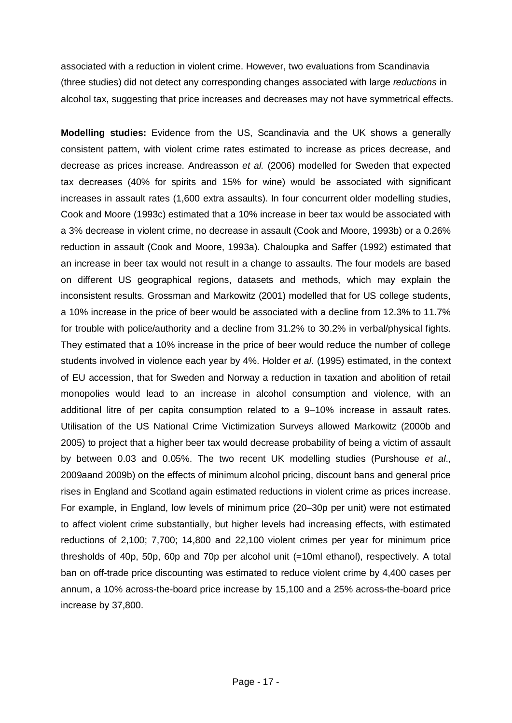associated with a reduction in violent crime. However, two evaluations from Scandinavia (three studies) did not detect any corresponding changes associated with large *reductions* in alcohol tax, suggesting that price increases and decreases may not have symmetrical effects.

**Modelling studies:** Evidence from the US, Scandinavia and the UK shows a generally consistent pattern, with violent crime rates estimated to increase as prices decrease, and decrease as prices increase. Andreasson *et al.* (2006) modelled for Sweden that expected tax decreases (40% for spirits and 15% for wine) would be associated with significant increases in assault rates (1,600 extra assaults). In four concurrent older modelling studies, Cook and Moore (1993c) estimated that a 10% increase in beer tax would be associated with a 3% decrease in violent crime, no decrease in assault (Cook and Moore, 1993b) or a 0.26% reduction in assault (Cook and Moore, 1993a). Chaloupka and Saffer (1992) estimated that an increase in beer tax would not result in a change to assaults. The four models are based on different US geographical regions, datasets and methods, which may explain the inconsistent results. Grossman and Markowitz (2001) modelled that for US college students, a 10% increase in the price of beer would be associated with a decline from 12.3% to 11.7% for trouble with police/authority and a decline from 31.2% to 30.2% in verbal/physical fights. They estimated that a 10% increase in the price of beer would reduce the number of college students involved in violence each year by 4%. Holder *et al*. (1995) estimated, in the context of EU accession, that for Sweden and Norway a reduction in taxation and abolition of retail monopolies would lead to an increase in alcohol consumption and violence, with an additional litre of per capita consumption related to a 9–10% increase in assault rates. Utilisation of the US National Crime Victimization Surveys allowed Markowitz (2000b and 2005) to project that a higher beer tax would decrease probability of being a victim of assault by between 0.03 and 0.05%. The two recent UK modelling studies (Purshouse *et al*., 2009aand 2009b) on the effects of minimum alcohol pricing, discount bans and general price rises in England and Scotland again estimated reductions in violent crime as prices increase. For example, in England, low levels of minimum price (20–30p per unit) were not estimated to affect violent crime substantially, but higher levels had increasing effects, with estimated reductions of 2,100; 7,700; 14,800 and 22,100 violent crimes per year for minimum price thresholds of 40p, 50p, 60p and 70p per alcohol unit (=10ml ethanol), respectively. A total ban on off-trade price discounting was estimated to reduce violent crime by 4,400 cases per annum, a 10% across-the-board price increase by 15,100 and a 25% across-the-board price increase by 37,800.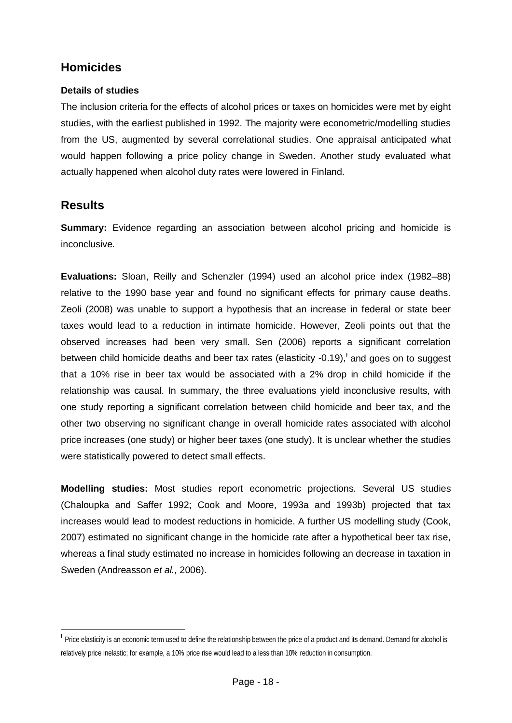## **Homicides**

#### <span id="page-17-0"></span>**Details of studies**

The inclusion criteria for the effects of alcohol prices or taxes on homicides were met by eight studies, with the earliest published in 1992. The majority were econometric/modelling studies from the US, augmented by several correlational studies. One appraisal anticipated what would happen following a price policy change in Sweden. Another study evaluated what actually happened when alcohol duty rates were lowered in Finland.

## **Results**

**Summary:** Evidence regarding an association between alcohol pricing and homicide is inconclusive.

**Evaluations:** Sloan, Reilly and Schenzler (1994) used an alcohol price index (1982–88) relative to the 1990 base year and found no significant effects for primary cause deaths. Zeoli (2008) was unable to support a hypothesis that an increase in federal or state beer taxes would lead to a reduction in intimate homicide. However, Zeoli points out that the observed increases had been very small. Sen (2006) reports a significant correlation between child homicide deaths and beer tax rates (elasticity -0.19),<sup>[f](#page-17-1)</sup> and goes on to suggest that a 10% rise in beer tax would be associated with a 2% drop in child homicide if the relationship was causal. In summary, the three evaluations yield inconclusive results, with one study reporting a significant correlation between child homicide and beer tax, and the other two observing no significant change in overall homicide rates associated with alcohol price increases (one study) or higher beer taxes (one study). It is unclear whether the studies were statistically powered to detect small effects.

**Modelling studies:** Most studies report econometric projections. Several US studies (Chaloupka and Saffer 1992; Cook and Moore, 1993a and 1993b) projected that tax increases would lead to modest reductions in homicide. A further US modelling study (Cook, 2007) estimated no significant change in the homicide rate after a hypothetical beer tax rise, whereas a final study estimated no increase in homicides following an decrease in taxation in Sweden (Andreasson *et al.,* 2006).

<span id="page-17-1"></span>f <sup>f</sup> Price elasticity is an economic term used to define the relationship between the price of a product and its demand. Demand for alcohol is relatively price inelastic; for example, a 10% price rise would lead to a less than 10% reduction in consumption.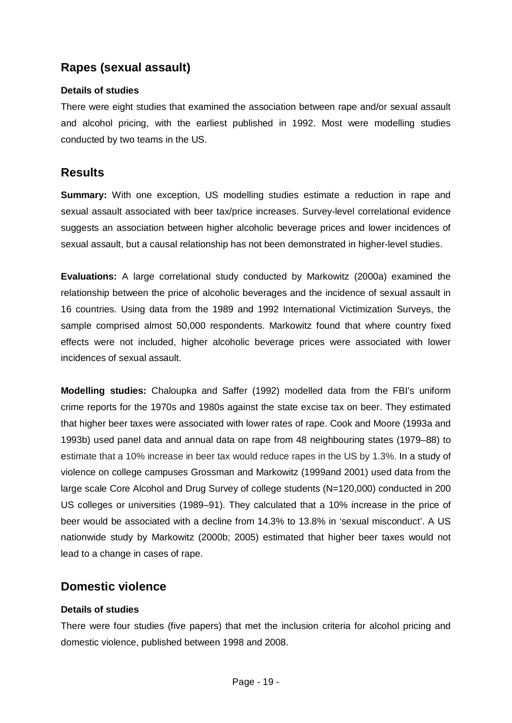## **Rapes (sexual assault)**

#### <span id="page-18-0"></span>**Details of studies**

There were eight studies that examined the association between rape and/or sexual assault and alcohol pricing, with the earliest published in 1992. Most were modelling studies conducted by two teams in the US.

### **Results**

**Summary:** With one exception, US modelling studies estimate a reduction in rape and sexual assault associated with beer tax/price increases. Survey-level correlational evidence suggests an association between higher alcoholic beverage prices and lower incidences of sexual assault, but a causal relationship has not been demonstrated in higher-level studies.

**Evaluations:** A large correlational study conducted by Markowitz (2000a) examined the relationship between the price of alcoholic beverages and the incidence of sexual assault in 16 countries. Using data from the 1989 and 1992 International Victimization Surveys, the sample comprised almost 50,000 respondents. Markowitz found that where country fixed effects were not included, higher alcoholic beverage prices were associated with lower incidences of sexual assault.

**Modelling studies:** Chaloupka and Saffer (1992) modelled data from the FBI's uniform crime reports for the 1970s and 1980s against the state excise tax on beer. They estimated that higher beer taxes were associated with lower rates of rape. Cook and Moore (1993a and 1993b) used panel data and annual data on rape from 48 neighbouring states (1979–88) to estimate that a 10% increase in beer tax would reduce rapes in the US by 1.3%. In a study of violence on college campuses Grossman and Markowitz (1999and 2001) used data from the large scale Core Alcohol and Drug Survey of college students (N=120,000) conducted in 200 US colleges or universities (1989–91). They calculated that a 10% increase in the price of beer would be associated with a decline from 14.3% to 13.8% in 'sexual misconduct'. A US nationwide study by Markowitz (2000b; 2005) estimated that higher beer taxes would not lead to a change in cases of rape.

### <span id="page-18-1"></span>**Domestic violence**

#### **Details of studies**

There were four studies (five papers) that met the inclusion criteria for alcohol pricing and domestic violence, published between 1998 and 2008.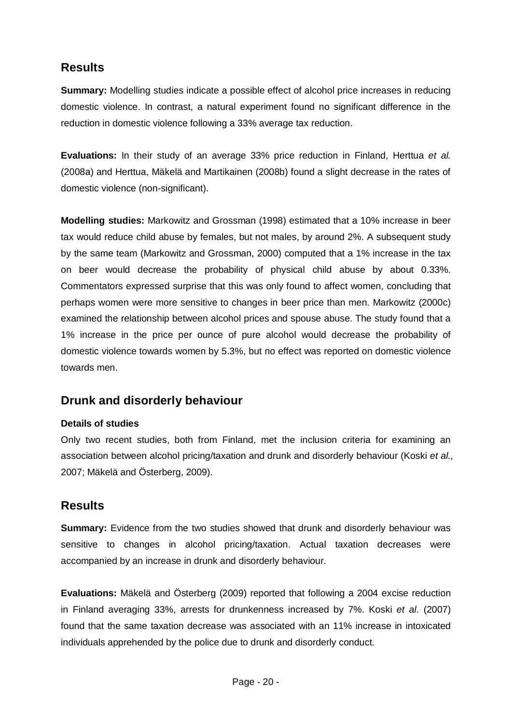## **Results**

**Summary:** Modelling studies indicate a possible effect of alcohol price increases in reducing domestic violence. In contrast, a natural experiment found no significant difference in the reduction in domestic violence following a 33% average tax reduction.

**Evaluations:** In their study of an average 33% price reduction in Finland, Herttua *et al.* (2008a) and Herttua, Mäkelä and Martikainen (2008b) found a slight decrease in the rates of domestic violence (non-significant).

**Modelling studies:** Markowitz and Grossman (1998) estimated that a 10% increase in beer tax would reduce child abuse by females, but not males, by around 2%. A subsequent study by the same team (Markowitz and Grossman, 2000) computed that a 1% increase in the tax on beer would decrease the probability of physical child abuse by about 0.33%. Commentators expressed surprise that this was only found to affect women, concluding that perhaps women were more sensitive to changes in beer price than men. Markowitz (2000c) examined the relationship between alcohol prices and spouse abuse. The study found that a 1% increase in the price per ounce of pure alcohol would decrease the probability of domestic violence towards women by 5.3%, but no effect was reported on domestic violence towards men.

## <span id="page-19-0"></span>**Drunk and disorderly behaviour**

#### **Details of studies**

Only two recent studies, both from Finland, met the inclusion criteria for examining an association between alcohol pricing/taxation and drunk and disorderly behaviour (Koski *et al.,* 2007; Mäkelä and Österberg, 2009).

## **Results**

**Summary:** Evidence from the two studies showed that drunk and disorderly behaviour was sensitive to changes in alcohol pricing/taxation. Actual taxation decreases were accompanied by an increase in drunk and disorderly behaviour.

**Evaluations:** Mäkelä and Österberg (2009) reported that following a 2004 excise reduction in Finland averaging 33%, arrests for drunkenness increased by 7%. Koski *et al*. (2007) found that the same taxation decrease was associated with an 11% increase in intoxicated individuals apprehended by the police due to drunk and disorderly conduct.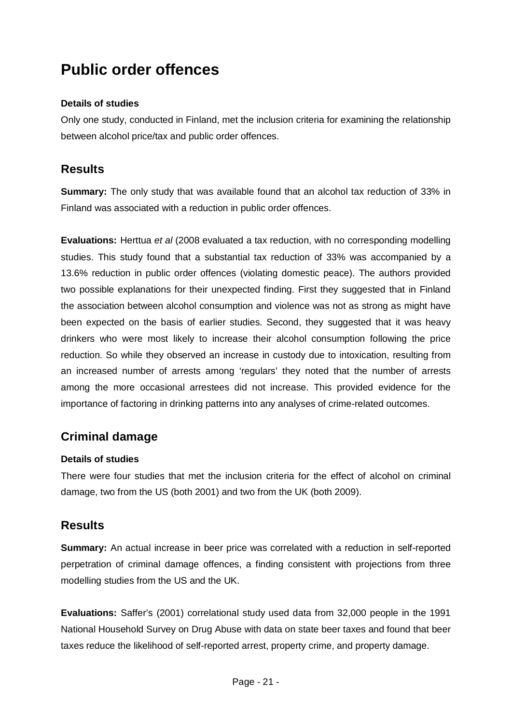## <span id="page-20-0"></span>**Public order offences**

#### **Details of studies**

Only one study, conducted in Finland, met the inclusion criteria for examining the relationship between alcohol price/tax and public order offences.

### **Results**

**Summary:** The only study that was available found that an alcohol tax reduction of 33% in Finland was associated with a reduction in public order offences.

**Evaluations:** Herttua *et al* (2008 evaluated a tax reduction, with no corresponding modelling studies. This study found that a substantial tax reduction of 33% was accompanied by a 13.6% reduction in public order offences (violating domestic peace). The authors provided two possible explanations for their unexpected finding. First they suggested that in Finland the association between alcohol consumption and violence was not as strong as might have been expected on the basis of earlier studies. Second, they suggested that it was heavy drinkers who were most likely to increase their alcohol consumption following the price reduction. So while they observed an increase in custody due to intoxication, resulting from an increased number of arrests among 'regulars' they noted that the number of arrests among the more occasional arrestees did not increase. This provided evidence for the importance of factoring in drinking patterns into any analyses of crime-related outcomes.

## <span id="page-20-1"></span>**Criminal damage**

#### **Details of studies**

There were four studies that met the inclusion criteria for the effect of alcohol on criminal damage, two from the US (both 2001) and two from the UK (both 2009).

#### **Results**

**Summary:** An actual increase in beer price was correlated with a reduction in self-reported perpetration of criminal damage offences, a finding consistent with projections from three modelling studies from the US and the UK.

**Evaluations:** Saffer's (2001) correlational study used data from 32,000 people in the 1991 National Household Survey on Drug Abuse with data on state beer taxes and found that beer taxes reduce the likelihood of self-reported arrest, property crime, and property damage.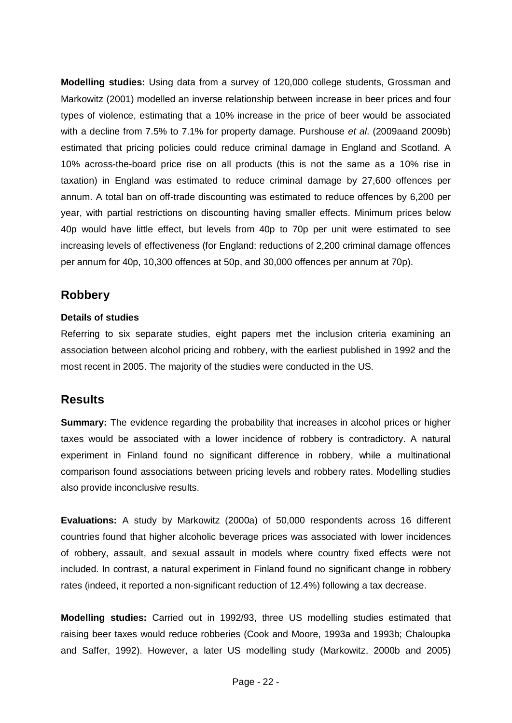**Modelling studies:** Using data from a survey of 120,000 college students, Grossman and Markowitz (2001) modelled an inverse relationship between increase in beer prices and four types of violence, estimating that a 10% increase in the price of beer would be associated with a decline from 7.5% to 7.1% for property damage. Purshouse *et al*. (2009aand 2009b) estimated that pricing policies could reduce criminal damage in England and Scotland. A 10% across-the-board price rise on all products (this is not the same as a 10% rise in taxation) in England was estimated to reduce criminal damage by 27,600 offences per annum. A total ban on off-trade discounting was estimated to reduce offences by 6,200 per year, with partial restrictions on discounting having smaller effects. Minimum prices below 40p would have little effect, but levels from 40p to 70p per unit were estimated to see increasing levels of effectiveness (for England: reductions of 2,200 criminal damage offences per annum for 40p, 10,300 offences at 50p, and 30,000 offences per annum at 70p).

## <span id="page-21-0"></span>**Robbery**

#### **Details of studies**

Referring to six separate studies, eight papers met the inclusion criteria examining an association between alcohol pricing and robbery, with the earliest published in 1992 and the most recent in 2005. The majority of the studies were conducted in the US.

## **Results**

**Summary:** The evidence regarding the probability that increases in alcohol prices or higher taxes would be associated with a lower incidence of robbery is contradictory. A natural experiment in Finland found no significant difference in robbery, while a multinational comparison found associations between pricing levels and robbery rates. Modelling studies also provide inconclusive results.

**Evaluations:** A study by Markowitz (2000a) of 50,000 respondents across 16 different countries found that higher alcoholic beverage prices was associated with lower incidences of robbery, assault, and sexual assault in models where country fixed effects were not included. In contrast, a natural experiment in Finland found no significant change in robbery rates (indeed, it reported a non-significant reduction of 12.4%) following a tax decrease.

**Modelling studies:** Carried out in 1992/93, three US modelling studies estimated that raising beer taxes would reduce robberies (Cook and Moore, 1993a and 1993b; Chaloupka and Saffer, 1992). However, a later US modelling study (Markowitz, 2000b and 2005)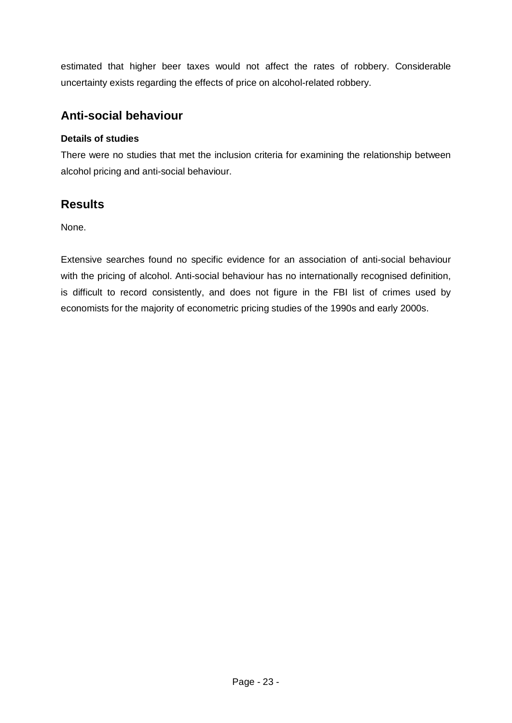estimated that higher beer taxes would not affect the rates of robbery. Considerable uncertainty exists regarding the effects of price on alcohol-related robbery.

## <span id="page-22-0"></span>**Anti-social behaviour**

#### **Details of studies**

There were no studies that met the inclusion criteria for examining the relationship between alcohol pricing and anti-social behaviour.

## **Results**

None.

Extensive searches found no specific evidence for an association of anti-social behaviour with the pricing of alcohol. Anti-social behaviour has no internationally recognised definition, is difficult to record consistently, and does not figure in the FBI list of crimes used by economists for the majority of econometric pricing studies of the 1990s and early 2000s.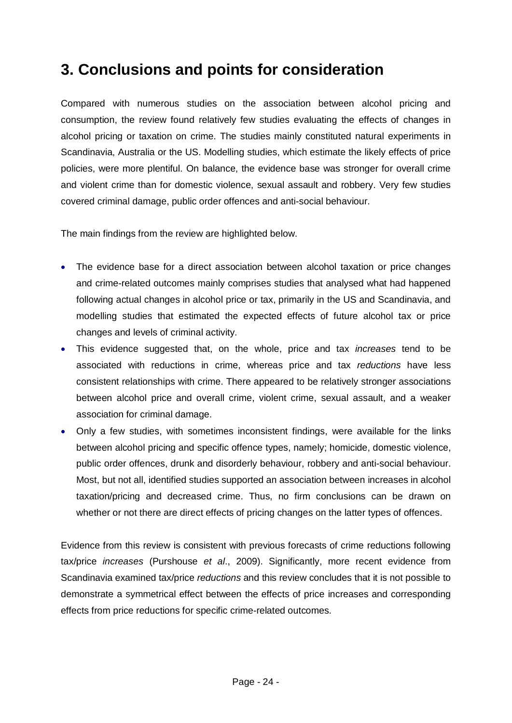## **3. Conclusions and points for consideration**

Compared with numerous studies on the association between alcohol pricing and consumption, the review found relatively few studies evaluating the effects of changes in alcohol pricing or taxation on crime. The studies mainly constituted natural experiments in Scandinavia, Australia or the US. Modelling studies, which estimate the likely effects of price policies, were more plentiful. On balance, the evidence base was stronger for overall crime and violent crime than for domestic violence, sexual assault and robbery. Very few studies covered criminal damage, public order offences and anti-social behaviour.

The main findings from the review are highlighted below.

- The evidence base for a direct association between alcohol taxation or price changes and crime-related outcomes mainly comprises studies that analysed what had happened following actual changes in alcohol price or tax, primarily in the US and Scandinavia, and modelling studies that estimated the expected effects of future alcohol tax or price changes and levels of criminal activity.
- This evidence suggested that, on the whole, price and tax *increases* tend to be associated with reductions in crime, whereas price and tax *reductions* have less consistent relationships with crime. There appeared to be relatively stronger associations between alcohol price and overall crime, violent crime, sexual assault, and a weaker association for criminal damage.
- Only a few studies, with sometimes inconsistent findings, were available for the links between alcohol pricing and specific offence types, namely; homicide, domestic violence, public order offences, drunk and disorderly behaviour, robbery and anti-social behaviour. Most, but not all, identified studies supported an association between increases in alcohol taxation/pricing and decreased crime. Thus, no firm conclusions can be drawn on whether or not there are direct effects of pricing changes on the latter types of offences.

Evidence from this review is consistent with previous forecasts of crime reductions following tax/price *increases* (Purshouse *et al*., 2009). Significantly, more recent evidence from Scandinavia examined tax/price *reductions* and this review concludes that it is not possible to demonstrate a symmetrical effect between the effects of price increases and corresponding effects from price reductions for specific crime-related outcomes.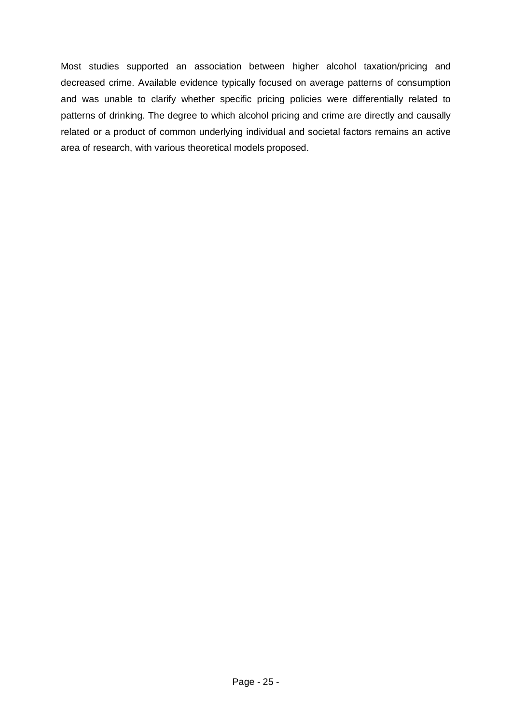Most studies supported an association between higher alcohol taxation/pricing and decreased crime. Available evidence typically focused on average patterns of consumption and was unable to clarify whether specific pricing policies were differentially related to patterns of drinking. The degree to which alcohol pricing and crime are directly and causally related or a product of common underlying individual and societal factors remains an active area of research, with various theoretical models proposed.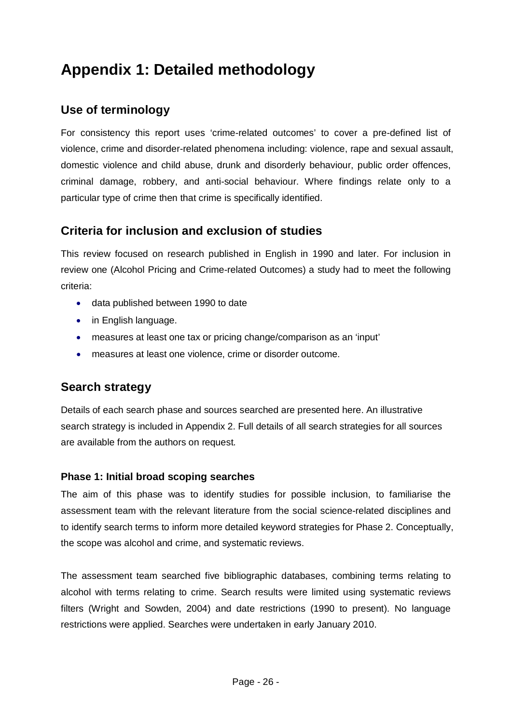## **Appendix 1: Detailed methodology**

## <span id="page-25-0"></span>**Use of terminology**

For consistency this report uses 'crime-related outcomes' to cover a pre-defined list of violence, crime and disorder-related phenomena including: violence, rape and sexual assault, domestic violence and child abuse, drunk and disorderly behaviour, public order offences, criminal damage, robbery, and anti-social behaviour. Where findings relate only to a particular type of crime then that crime is specifically identified.

## <span id="page-25-1"></span>**Criteria for inclusion and exclusion of studies**

This review focused on research published in English in 1990 and later. For inclusion in review one (Alcohol Pricing and Crime-related Outcomes) a study had to meet the following criteria:

- data published between 1990 to date
- in English language.
- measures at least one tax or pricing change/comparison as an 'input'
- measures at least one violence, crime or disorder outcome.

## <span id="page-25-2"></span>**Search strategy**

Details of each search phase and sources searched are presented here. An illustrative search strategy is included in Appendix 2. Full details of all search strategies for all sources are available from the authors on request.

#### **Phase 1: Initial broad scoping searches**

The aim of this phase was to identify studies for possible inclusion, to familiarise the assessment team with the relevant literature from the social science-related disciplines and to identify search terms to inform more detailed keyword strategies for Phase 2. Conceptually, the scope was alcohol and crime, and systematic reviews.

The assessment team searched five bibliographic databases, combining terms relating to alcohol with terms relating to crime. Search results were limited using systematic reviews filters (Wright and Sowden, 2004) and date restrictions (1990 to present). No language restrictions were applied. Searches were undertaken in early January 2010.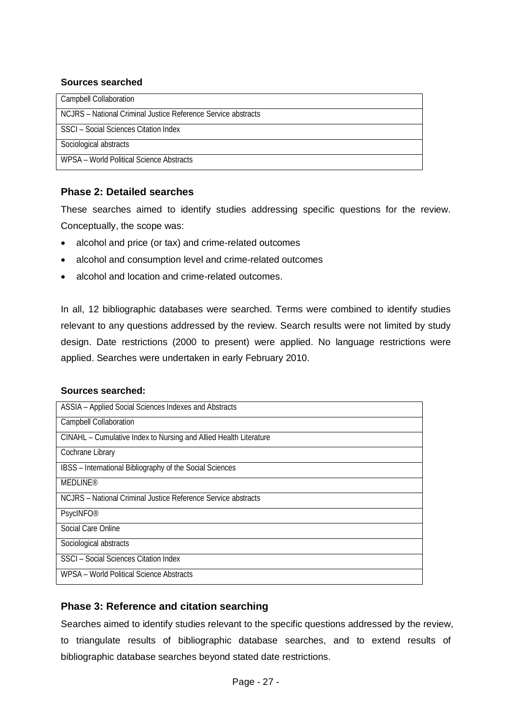#### **Sources searched**

| <b>Campbell Collaboration</b>                                 |
|---------------------------------------------------------------|
| NCJRS – National Criminal Justice Reference Service abstracts |
| SSCI - Social Sciences Citation Index                         |
| Sociological abstracts                                        |
| WPSA - World Political Science Abstracts                      |
|                                                               |

#### **Phase 2: Detailed searches**

These searches aimed to identify studies addressing specific questions for the review. Conceptually, the scope was:

- alcohol and price (or tax) and crime-related outcomes
- alcohol and consumption level and crime-related outcomes
- alcohol and location and crime-related outcomes.

In all, 12 bibliographic databases were searched. Terms were combined to identify studies relevant to any questions addressed by the review. Search results were not limited by study design. Date restrictions (2000 to present) were applied. No language restrictions were applied. Searches were undertaken in early February 2010.

#### **Sources searched:**

| ASSIA - Applied Social Sciences Indexes and Abstracts             |
|-------------------------------------------------------------------|
| <b>Campbell Collaboration</b>                                     |
| CINAHL - Cumulative Index to Nursing and Allied Health Literature |
| Cochrane Library                                                  |
| IBSS - International Bibliography of the Social Sciences          |
| <b>MEDLINE®</b>                                                   |
| NCJRS – National Criminal Justice Reference Service abstracts     |
| <b>PsycINFO®</b>                                                  |
| Social Care Online                                                |
| Sociological abstracts                                            |
| SSCI - Social Sciences Citation Index                             |
| WPSA - World Political Science Abstracts                          |
|                                                                   |

#### **Phase 3: Reference and citation searching**

Searches aimed to identify studies relevant to the specific questions addressed by the review, to triangulate results of bibliographic database searches, and to extend results of bibliographic database searches beyond stated date restrictions.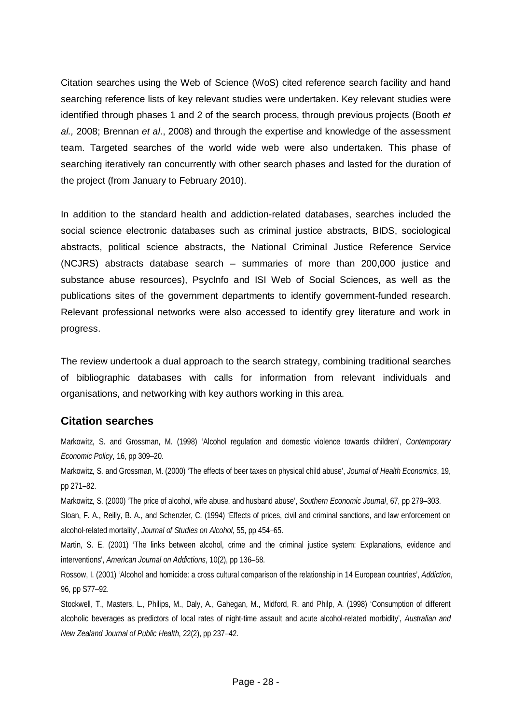Citation searches using the Web of Science (WoS) cited reference search facility and hand searching reference lists of key relevant studies were undertaken. Key relevant studies were identified through phases 1 and 2 of the search process, through previous projects (Booth *et al.,* 2008; Brennan *et al*., 2008) and through the expertise and knowledge of the assessment team. Targeted searches of the world wide web were also undertaken. This phase of searching iteratively ran concurrently with other search phases and lasted for the duration of the project (from January to February 2010).

In addition to the standard health and addiction-related databases, searches included the social science electronic databases such as criminal justice abstracts, BIDS, sociological abstracts, political science abstracts, the National Criminal Justice Reference Service [\(NCJRS\) abstracts database search](http://www.ncjrs.gov/App/AbstractDB/AbstractDBSearch.aspx) – summaries of more than 200,000 justice and substance abuse resources), PsycInfo and ISI Web of Social Sciences, as well as the publications sites of the government departments to identify government-funded research. Relevant professional networks were also accessed to identify grey literature and work in progress.

The review undertook a dual approach to the search strategy, combining traditional searches of bibliographic databases with calls for information from relevant individuals and organisations, and networking with key authors working in this area.

### <span id="page-27-0"></span>**Citation searches**

Markowitz, S. and Grossman, M. (1998) 'Alcohol regulation and domestic violence towards children', *Contemporary Economic Policy*, 16, pp 309–20.

Markowitz, S. and Grossman, M. (2000) 'The effects of beer taxes on physical child abuse', *Journal of Health Economics*, 19, pp 271–82.

Markowitz, S. (2000) 'The price of alcohol, wife abuse, and husband abuse', *Southern Economic Journal*, 67, pp 279–303.

Sloan, F. A., Reilly, B. A., and Schenzler, C. (1994) 'Effects of prices, civil and criminal sanctions, and law enforcement on alcohol-related mortality', *Journal of Studies on Alcohol*, 55, pp 454–65.

Martin, S. E. (2001) 'The links between alcohol, crime and the criminal justice system: Explanations, evidence and interventions', *American Journal on Addictions*, 10(2), pp 136–58.

Rossow, I. (2001) 'Alcohol and homicide: a cross cultural comparison of the relationship in 14 European countries', *Addiction*, 96, pp S77–92.

Stockwell, T., Masters, L., Philips, M., Daly, A., Gahegan, M., Midford, R. and Philp, A. (1998) 'Consumption of different alcoholic beverages as predictors of local rates of night-time assault and acute alcohol-related morbidity', *Australian and New Zealand Journal of Public Health*, 22(2), pp 237–42.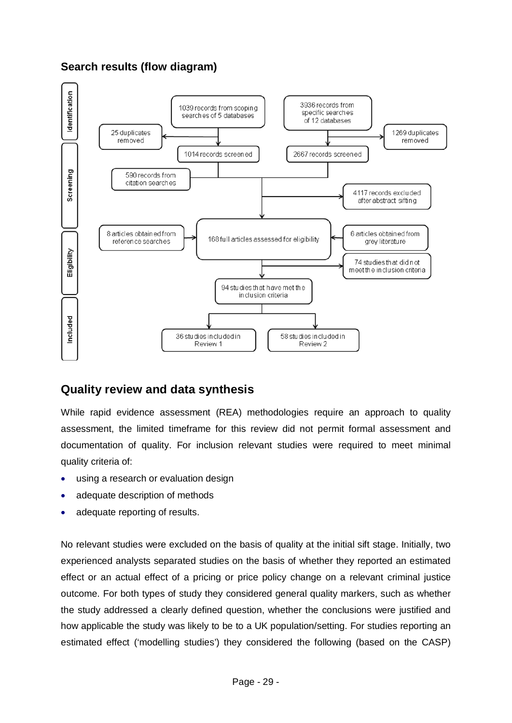## **Search results (flow diagram)**

<span id="page-28-0"></span>

### <span id="page-28-1"></span>**Quality review and data synthesis**

While rapid evidence assessment (REA) methodologies require an approach to quality assessment, the limited timeframe for this review did not permit formal assessment and documentation of quality. For inclusion relevant studies were required to meet minimal quality criteria of:

- using a research or evaluation design
- adequate description of methods
- adequate reporting of results.

No relevant studies were excluded on the basis of quality at the initial sift stage. Initially, two experienced analysts separated studies on the basis of whether they reported an estimated effect or an actual effect of a pricing or price policy change on a relevant criminal justice outcome. For both types of study they considered general quality markers, such as whether the study addressed a clearly defined question, whether the conclusions were justified and how applicable the study was likely to be to a UK population/setting. For studies reporting an estimated effect ('modelling studies') they considered the following (based on the CASP)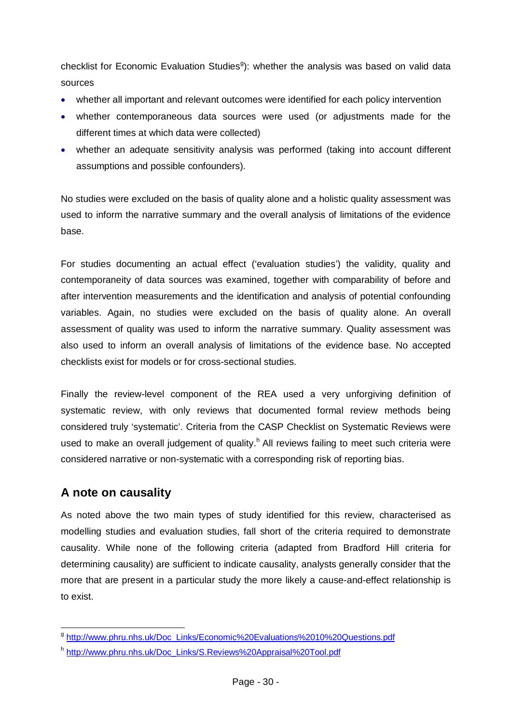checklist for Economic Evaluation Studies<sup>9</sup>): whether the analysis was based on valid data sources

- whether all important and relevant outcomes were identified for each policy intervention
- whether contemporaneous data sources were used (or adjustments made for the different times at which data were collected)
- whether an adequate sensitivity analysis was performed (taking into account different assumptions and possible confounders).

No studies were excluded on the basis of quality alone and a holistic quality assessment was used to inform the narrative summary and the overall analysis of limitations of the evidence base.

For studies documenting an actual effect ('evaluation studies') the validity, quality and contemporaneity of data sources was examined, together with comparability of before and after intervention measurements and the identification and analysis of potential confounding variables. Again, no studies were excluded on the basis of quality alone. An overall assessment of quality was used to inform the narrative summary. Quality assessment was also used to inform an overall analysis of limitations of the evidence base. No accepted checklists exist for models or for cross-sectional studies.

Finally the review-level component of the REA used a very unforgiving definition of systematic review, with only reviews that documented formal review methods being considered truly 'systematic'. Criteria from the CASP Checklist on Systematic Reviews were used to make an overall judgement of quality.<sup>[h](#page-29-2)</sup> All reviews failing to meet such criteria were considered narrative or non-systematic with a corresponding risk of reporting bias.

### <span id="page-29-0"></span>**A note on causality**

As noted above the two main types of study identified for this review, characterised as modelling studies and evaluation studies, fall short of the criteria required to demonstrate causality. While none of the following criteria (adapted from Bradford Hill criteria for determining causality) are sufficient to indicate causality, analysts generally consider that the more that are present in a particular study the more likely a cause-and-effect relationship is to exist.

<span id="page-29-1"></span>g [http://www.phru.nhs.uk/Doc\\_Links/Economic%20Evaluations%2010%20Questions.pdf](http://www.phru.nhs.uk/Doc_Links/Economic%20Evaluations%2010%20Questions.pdf)

<span id="page-29-2"></span><sup>h</sup> [http://www.phru.nhs.uk/Doc\\_Links/S.Reviews%20Appraisal%20Tool.pdf](http://www.phru.nhs.uk/Doc_Links/S.Reviews%20Appraisal%20Tool.pdf)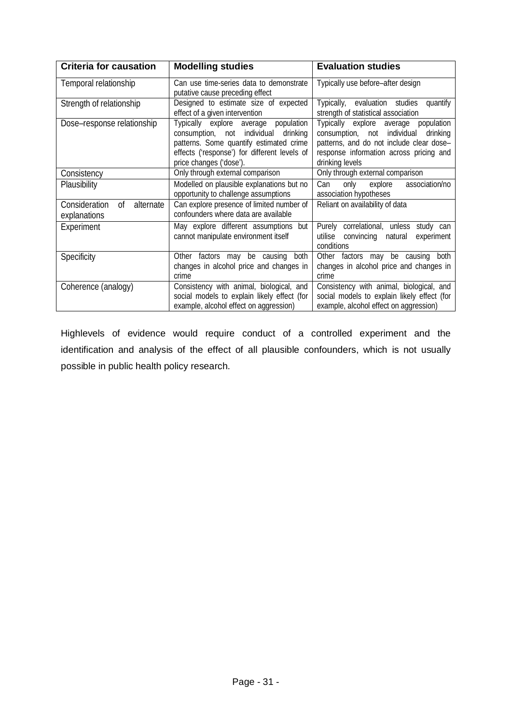| <b>Criteria for causation</b>                    | <b>Modelling studies</b>                                                                                                                                                                              | <b>Evaluation studies</b>                                                                                                                                                                    |  |
|--------------------------------------------------|-------------------------------------------------------------------------------------------------------------------------------------------------------------------------------------------------------|----------------------------------------------------------------------------------------------------------------------------------------------------------------------------------------------|--|
| Temporal relationship                            | Can use time-series data to demonstrate<br>putative cause preceding effect                                                                                                                            | Typically use before-after design                                                                                                                                                            |  |
| Strength of relationship                         | Designed to estimate size of expected<br>effect of a given intervention                                                                                                                               | Typically, evaluation studies<br>quantify<br>strength of statistical association                                                                                                             |  |
| Dose-response relationship                       | Typically explore average population<br>consumption, not individual<br>drinking<br>patterns. Some quantify estimated crime<br>effects ('response') for different levels of<br>price changes ('dose'). | Typically explore average<br>population<br>consumption, not individual<br>drinking<br>patterns, and do not include clear dose-<br>response information across pricing and<br>drinking levels |  |
| Consistency                                      | Only through external comparison<br>Only through external comparison                                                                                                                                  |                                                                                                                                                                                              |  |
| Plausibility                                     | Modelled on plausible explanations but no<br>opportunity to challenge assumptions                                                                                                                     | explore<br>association/no<br>Can<br>only<br>association hypotheses                                                                                                                           |  |
| Consideration<br>0f<br>alternate<br>explanations | Can explore presence of limited number of<br>Reliant on availability of data<br>confounders where data are available                                                                                  |                                                                                                                                                                                              |  |
| Experiment                                       | May explore different assumptions but<br>cannot manipulate environment itself                                                                                                                         | Purely correlational, unless study can<br>utilise<br>convincing<br>experiment<br>natural<br>conditions                                                                                       |  |
| Specificity                                      | Other factors may be causing<br>both<br>Other factors may be causing<br>changes in alcohol price and changes in<br>changes in alcohol price and changes in<br>crime<br>crime                          |                                                                                                                                                                                              |  |
| Coherence (analogy)                              | Consistency with animal, biological, and<br>social models to explain likely effect (for<br>example, alcohol effect on aggression)                                                                     | Consistency with animal, biological, and<br>social models to explain likely effect (for<br>example, alcohol effect on aggression)                                                            |  |

Highlevels of evidence would require conduct of a controlled experiment and the identification and analysis of the effect of all plausible confounders, which is not usually possible in public health policy research.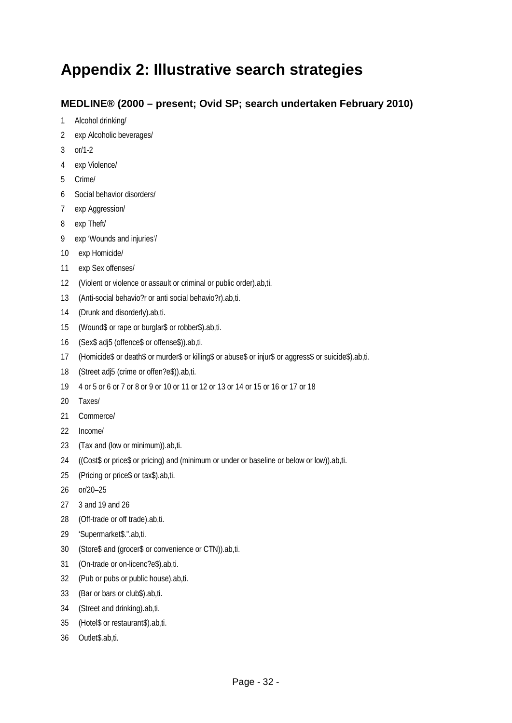## **Appendix 2: Illustrative search strategies**

#### **MEDLINE® (2000 – present; Ovid SP; search undertaken February 2010)**

- 1 Alcohol drinking/
- 2 exp Alcoholic beverages/
- 3 or/1-2
- 4 exp Violence/
- 5 Crime/
- 6 Social behavior disorders/
- 7 exp Aggression/
- 8 exp Theft/
- 9 exp 'Wounds and injuries'/
- 10 exp Homicide/
- 11 exp Sex offenses/
- 12 (Violent or violence or assault or criminal or public order).ab,ti.
- 13 (Anti-social behavio?r or anti social behavio?r).ab,ti.
- 14 (Drunk and disorderly).ab,ti.
- 15 (Wound\$ or rape or burglar\$ or robber\$).ab,ti.
- 16 (Sex\$ adj5 (offence\$ or offense\$)).ab,ti.
- 17 (Homicide\$ or death\$ or murder\$ or killing\$ or abuse\$ or injur\$ or aggress\$ or suicide\$).ab,ti.
- 18 (Street adj5 (crime or offen?e\$)).ab,ti.
- 19 4 or 5 or 6 or 7 or 8 or 9 or 10 or 11 or 12 or 13 or 14 or 15 or 16 or 17 or 18
- 20 Taxes/
- 21 Commerce/
- 22 Income/
- 23 (Tax and (low or minimum)).ab,ti.
- 24 ((Cost\$ or price\$ or pricing) and (minimum or under or baseline or below or low)).ab,ti.
- 25 (Pricing or price\$ or tax\$).ab,ti.
- 26 or/20–25
- 27 3 and 19 and 26
- 28 (Off-trade or off trade).ab,ti.
- 29 'Supermarket\$.".ab,ti.
- 30 (Store\$ and (grocer\$ or convenience or CTN)).ab,ti.
- 31 (On-trade or on-licenc?e\$).ab,ti.
- 32 (Pub or pubs or public house).ab,ti.
- 33 (Bar or bars or club\$).ab,ti.
- 34 (Street and drinking).ab,ti.
- 35 (Hotel\$ or restaurant\$).ab,ti.
- 36 Outlet\$.ab,ti.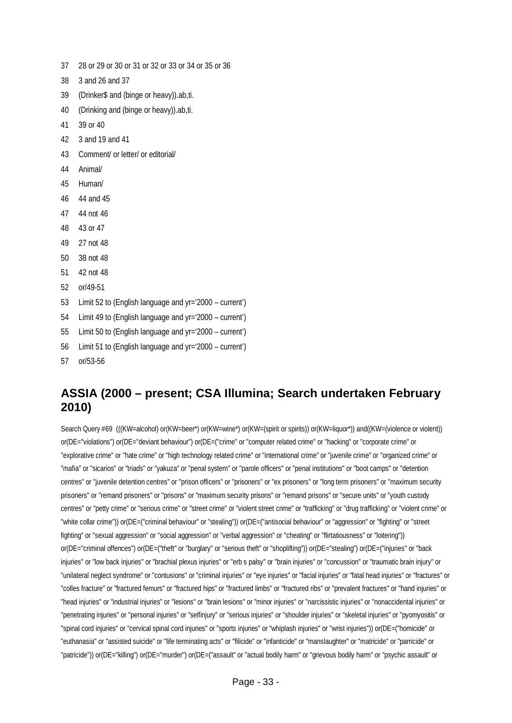- 37 28 or 29 or 30 or 31 or 32 or 33 or 34 or 35 or 36
- 38 3 and 26 and 37
- 39 (Drinker\$ and (binge or heavy)).ab,ti.
- 40 (Drinking and (binge or heavy)).ab,ti.
- 41 39 or 40
- 42 3 and 19 and 41
- 43 Comment/ or letter/ or editorial/
- 44 Animal/
- 45 Human/
- 46 44 and 45
- 47 44 not 46
- 48 43 or 47
- 49 27 not 48
- 50 38 not 48
- 51 42 not 48
- 52 or/49-51
- 53 Limit 52 to (English language and yr='2000 current')
- 54 Limit 49 to (English language and yr='2000 current')
- 55 Limit 50 to (English language and yr='2000 current')
- 56 Limit 51 to (English language and yr='2000 current')
- 57 or/53-56

## **ASSIA (2000 – present; CSA Illumina; Search undertaken February 2010)**

Search Query #69 (((KW=alcohol) or(KW=beer\*) or(KW=wine\*) or(KW=(spirit or spirits)) or(KW=liquor\*)) and((KW=(violence or violent)) or(DE="violations") or(DE="deviant behaviour") or(DE=("crime" or "computer related crime" or "hacking" or "corporate crime" or "explorative crime" or "hate crime" or "high technology related crime" or "international crime" or "juvenile crime" or "organized crime" or "mafia" or "sicarios" or "triads" or "yakuza" or "penal system" or "parole officers" or "penal institutions" or "boot camps" or "detention centres" or "juvenile detention centres" or "prison officers" or "prisoners" or "ex prisoners" or "long term prisoners" or "maximum security prisoners" or "remand prisoners" or "prisons" or "maximum security prisons" or "remand prisons" or "secure units" or "youth custody centres" or "petty crime" or "serious crime" or "street crime" or "violent street crime" or "trafficking" or "drug trafficking" or "violent crime" or "white collar crime")) or(DE=("criminal behaviour" or "stealing")) or(DE=("antisocial behaviour" or "aggression" or "fighting" or "street fighting" or "sexual aggression" or "social aggression" or "verbal aggression" or "cheating" or "flirtatiousness" or "loitering")) or(DE="criminal offences") or(DE=("theft" or "burglary" or "serious theft" or "shoplifting")) or(DE="stealing") or(DE=("injuries" or "back injuries" or "low back injuries" or "brachial plexus injuries" or "erb s palsy" or "brain injuries" or "concussion" or "traumatic brain injury" or "unilateral neglect syndrome" or "contusions" or "criminal injuries" or "eye injuries" or "facial injuries" or "fatal head injuries" or "fractures" or "colles fracture" or "fractured femurs" or "fractured hips" or "fractured limbs" or "fractured ribs" or "prevalent fractures" or "hand injuries" or "head injuries" or "industrial injuries" or "lesions" or "brain lesions" or "minor injuries" or "narcissistic injuries" or "nonaccidental injuries" or "penetrating injuries" or "personal injuries" or "selfinjury" or "serious injuries" or "shoulder injuries" or "skeletal injuries" or "pyomyositis" or "spinal cord injuries" or "cervical spinal cord injuries" or "sports injuries" or "whiplash injuries" or "wrist injuries")) or(DE=("homicide" or "euthanasia" or "assisted suicide" or "life terminating acts" or "filicide" or "infanticide" or "manslaughter" or "matricide" or "parricide" or "patricide")) or(DE="killing") or(DE="murder") or(DE=("assault" or "actual bodily harm" or "grievous bodily harm" or "psychic assault" or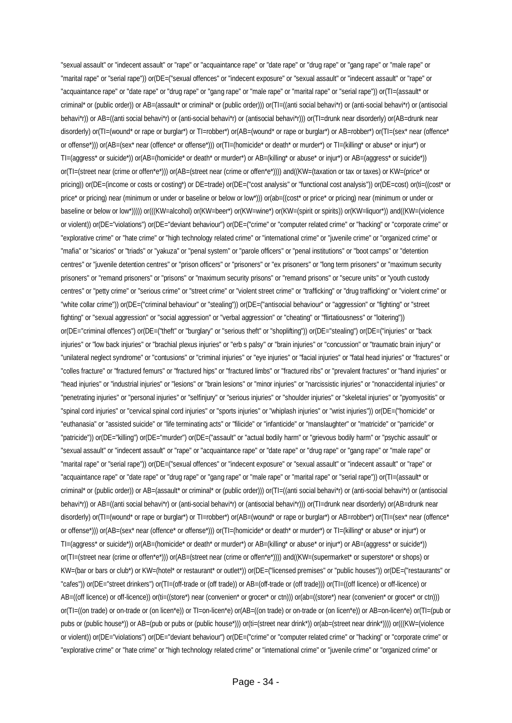"sexual assault" or "indecent assault" or "rape" or "acquaintance rape" or "date rape" or "drug rape" or "gang rape" or "male rape" or "marital rape" or "serial rape")) or(DE=("sexual offences" or "indecent exposure" or "sexual assault" or "indecent assault" or "rape" or "acquaintance rape" or "date rape" or "drug rape" or "gang rape" or "male rape" or "marital rape" or "serial rape")) or(TI=(assault\* or criminal\* or (public order)) or AB=(assault\* or criminal\* or (public order))) or(TI=((anti social behavi\*r) or (anti-social behavi\*r) or (antisocial behavi\*r)) or AB=((anti social behavi\*r) or (anti-social behavi\*r) or (antisocial behavi\*r))) or(TI=drunk near disorderly) or(AB=drunk near disorderly) or(TI=(wound\* or rape or burglar\*) or TI=robber\*) or(AB=(wound\* or rape or burglar\*) or AB=robber\*) or(TI=(sex\* near (offence\* or offense\*))) or(AB=(sex\* near (offence\* or offense\*))) or(TI=(homicide\* or death\* or murder\*) or TI=(killing\* or abuse\* or injur\*) or TI=(aggress\* or suicide\*)) or(AB=(homicide\* or death\* or murder\*) or AB=(killing\* or abuse\* or injur\*) or AB=(aggress\* or suicide\*)) or(TI=(street near (crime or offen\*e\*))) or(AB=(street near (crime or offen\*e\*)))) and((KW=(taxation or tax or taxes) or KW=(price\* or pricing)) or(DE=(income or costs or costing\*) or DE=trade) or(DE=("cost analysis" or "functional cost analysis")) or(DE=cost) or(ti=((cost\* or price\* or pricing) near (minimum or under or baseline or below or low\*))) or(ab=((cost\* or price\* or pricing) near (minimum or under or baseline or below or low\*))))) or(((KW=alcohol) or(KW=beer\*) or(KW=wine\*) or(KW=(spirit or spirits)) or(KW=liquor\*)) and((KW=(violence or violent)) or(DE="violations") or(DE="deviant behaviour") or(DE=("crime" or "computer related crime" or "hacking" or "corporate crime" or "explorative crime" or "hate crime" or "high technology related crime" or "international crime" or "juvenile crime" or "organized crime" or "mafia" or "sicarios" or "triads" or "yakuza" or "penal system" or "parole officers" or "penal institutions" or "boot camps" or "detention centres" or "juvenile detention centres" or "prison officers" or "prisoners" or "ex prisoners" or "long term prisoners" or "maximum security prisoners" or "remand prisoners" or "prisons" or "maximum security prisons" or "remand prisons" or "secure units" or "youth custody centres" or "petty crime" or "serious crime" or "street crime" or "violent street crime" or "trafficking" or "drug trafficking" or "violent crime" or "white collar crime")) or(DE=("criminal behaviour" or "stealing")) or(DE=("antisocial behaviour" or "aggression" or "fighting" or "street fighting" or "sexual aggression" or "social aggression" or "verbal aggression" or "cheating" or "flirtatiousness" or "loitering")) or(DE="criminal offences") or(DE=("theft" or "burglary" or "serious theft" or "shoplifting")) or(DE="stealing") or(DE=("injuries" or "back injuries" or "low back injuries" or "brachial plexus injuries" or "erb s palsy" or "brain injuries" or "concussion" or "traumatic brain injury" or "unilateral neglect syndrome" or "contusions" or "criminal injuries" or "eye injuries" or "facial injuries" or "fatal head injuries" or "fractures" or "colles fracture" or "fractured femurs" or "fractured hips" or "fractured limbs" or "fractured ribs" or "prevalent fractures" or "hand injuries" or "head injuries" or "industrial injuries" or "lesions" or "brain lesions" or "minor injuries" or "narcissistic injuries" or "nonaccidental injuries" or "penetrating injuries" or "personal injuries" or "selfinjury" or "serious injuries" or "shoulder injuries" or "skeletal injuries" or "pyomyositis" or "spinal cord injuries" or "cervical spinal cord injuries" or "sports injuries" or "whiplash injuries" or "wrist injuries")) or(DE=("homicide" or "euthanasia" or "assisted suicide" or "life terminating acts" or "filicide" or "infanticide" or "manslaughter" or "matricide" or "parricide" or "patricide")) or(DE="killing") or(DE="murder") or(DE=("assault" or "actual bodily harm" or "grievous bodily harm" or "psychic assault" or "sexual assault" or "indecent assault" or "rape" or "acquaintance rape" or "date rape" or "drug rape" or "gang rape" or "male rape" or "marital rape" or "serial rape")) or(DE=("sexual offences" or "indecent exposure" or "sexual assault" or "indecent assault" or "rape" or "acquaintance rape" or "date rape" or "drug rape" or "gang rape" or "male rape" or "marital rape" or "serial rape")) or(TI=(assault\* or criminal\* or (public order)) or AB=(assault\* or criminal\* or (public order))) or(TI=((anti social behavi\*r) or (anti-social behavi\*r) or (antisocial behavi\*r)) or AB=((anti social behavi\*r) or (anti-social behavi\*r) or (antisocial behavi\*r))) or(TI=drunk near disorderly) or(AB=drunk near disorderly) or(TI=(wound\* or rape or burglar\*) or TI=robber\*) or(AB=(wound\* or rape or burglar\*) or AB=robber\*) or(TI=(sex\* near (offence\* or offense\*))) or(AB=(sex\* near (offence\* or offense\*))) or(TI=(homicide\* or death\* or murder\*) or TI=(killing\* or abuse\* or injur\*) or TI=(aggress\* or suicide\*)) or(AB=(homicide\* or death\* or murder\*) or AB=(killing\* or abuse\* or injur\*) or AB=(aggress\* or suicide\*)) or(TI=(street near (crime or offen\*e\*))) or(AB=(street near (crime or offen\*e\*)))) and((KW=(supermarket\* or superstore\* or shops) or KW=(bar or bars or club\*) or KW=(hotel\* or restaurant\* or outlet\*)) or(DE=("licensed premises" or "public houses")) or(DE=("restaurants" or "cafes")) or(DE="street drinkers") or(TI=(off-trade or (off trade)) or AB=(off-trade or (off trade))) or(TI=((off licence) or off-licence) or AB=((off licence) or off-licence)) or(ti=((store\*) near (convenien\* or grocer\* or ctn))) or(ab=((store\*) near (convenien\* or grocer\* or ctn))) or(TI=((on trade) or on-trade or (on licen\*e)) or TI=on-licen\*e) or(AB=((on trade) or on-trade or (on licen\*e)) or AB=on-licen\*e) or(TI=(pub or pubs or (public house\*)) or AB=(pub or pubs or (public house\*))) or(ti=(street near drink\*)) or(ab=(street near drink\*)))) or(((KW=(violence or violent)) or(DE="violations") or(DE="deviant behaviour") or(DE=("crime" or "computer related crime" or "hacking" or "corporate crime" or "explorative crime" or "hate crime" or "high technology related crime" or "international crime" or "juvenile crime" or "organized crime" or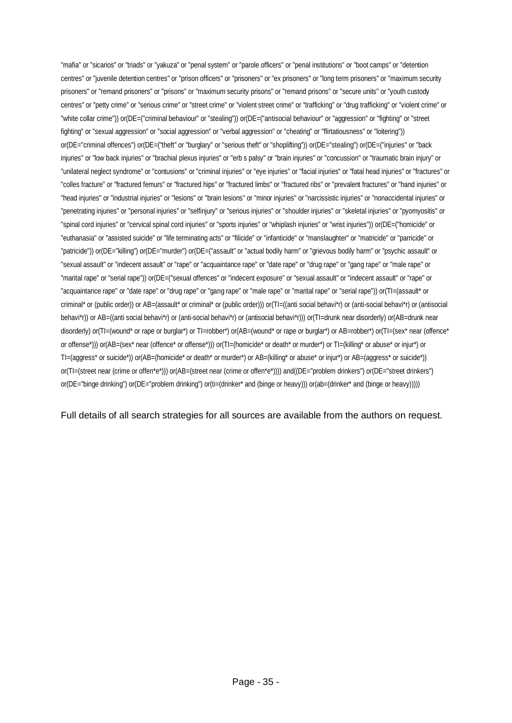"mafia" or "sicarios" or "triads" or "yakuza" or "penal system" or "parole officers" or "penal institutions" or "boot camps" or "detention centres" or "juvenile detention centres" or "prison officers" or "prisoners" or "ex prisoners" or "long term prisoners" or "maximum security prisoners" or "remand prisoners" or "prisons" or "maximum security prisons" or "remand prisons" or "secure units" or "youth custody centres" or "petty crime" or "serious crime" or "street crime" or "violent street crime" or "trafficking" or "drug trafficking" or "violent crime" or "white collar crime")) or(DE=("criminal behaviour" or "stealing")) or(DE=("antisocial behaviour" or "aggression" or "fighting" or "street fighting" or "sexual aggression" or "social aggression" or "verbal aggression" or "cheating" or "flirtatiousness" or "loitering")) or(DE="criminal offences") or(DE=("theft" or "burglary" or "serious theft" or "shoplifting")) or(DE="stealing") or(DE=("injuries" or "back injuries" or "low back injuries" or "brachial plexus injuries" or "erb s palsy" or "brain injuries" or "concussion" or "traumatic brain injury" or "unilateral neglect syndrome" or "contusions" or "criminal injuries" or "eye injuries" or "facial injuries" or "fatal head injuries" or "fractures" or "colles fracture" or "fractured femurs" or "fractured hips" or "fractured limbs" or "fractured ribs" or "prevalent fractures" or "hand injuries" or "head injuries" or "industrial injuries" or "lesions" or "brain lesions" or "minor injuries" or "narcissistic injuries" or "nonaccidental injuries" or "penetrating injuries" or "personal injuries" or "selfinjury" or "serious injuries" or "shoulder injuries" or "skeletal injuries" or "pyomyositis" or "spinal cord injuries" or "cervical spinal cord injuries" or "sports injuries" or "whiplash injuries" or "wrist injuries")) or(DE=("homicide" or "euthanasia" or "assisted suicide" or "life terminating acts" or "filicide" or "infanticide" or "manslaughter" or "matricide" or "parricide" or "patricide")) or(DE="killing") or(DE="murder") or(DE=("assault" or "actual bodily harm" or "grievous bodily harm" or "psychic assault" or "sexual assault" or "indecent assault" or "rape" or "acquaintance rape" or "date rape" or "drug rape" or "gang rape" or "male rape" or "marital rape" or "serial rape")) or(DE=("sexual offences" or "indecent exposure" or "sexual assault" or "indecent assault" or "rape" or "acquaintance rape" or "date rape" or "drug rape" or "gang rape" or "male rape" or "marital rape" or "serial rape")) or(TI=(assault\* or criminal\* or (public order)) or AB=(assault\* or criminal\* or (public order))) or(TI=((anti social behavi\*r) or (anti-social behavi\*r) or (antisocial behavi\*r)) or AB=((anti social behavi\*r) or (anti-social behavi\*r) or (antisocial behavi\*r))) or(TI=drunk near disorderly) or(AB=drunk near disorderly) or(TI=(wound\* or rape or burglar\*) or TI=robber\*) or(AB=(wound\* or rape or burglar\*) or AB=robber\*) or(TI=(sex\* near (offence\* or offense\*))) or(AB=(sex\* near (offence\* or offense\*))) or(TI=(homicide\* or death\* or murder\*) or TI=(killing\* or abuse\* or injur\*) or TI=(aggress\* or suicide\*)) or(AB=(homicide\* or death\* or murder\*) or AB=(killing\* or abuse\* or injur\*) or AB=(aggress\* or suicide\*)) or(TI=(street near (crime or offen\*e\*))) or(AB=(street near (crime or offen\*e\*)))) and((DE="problem drinkers") or(DE="street drinkers") or(DE="binge drinking") or(DE="problem drinking") or(ti=(drinker\* and (binge or heavy))) or(ab=(drinker\* and (binge or heavy)))))

Full details of all search strategies for all sources are available from the authors on request.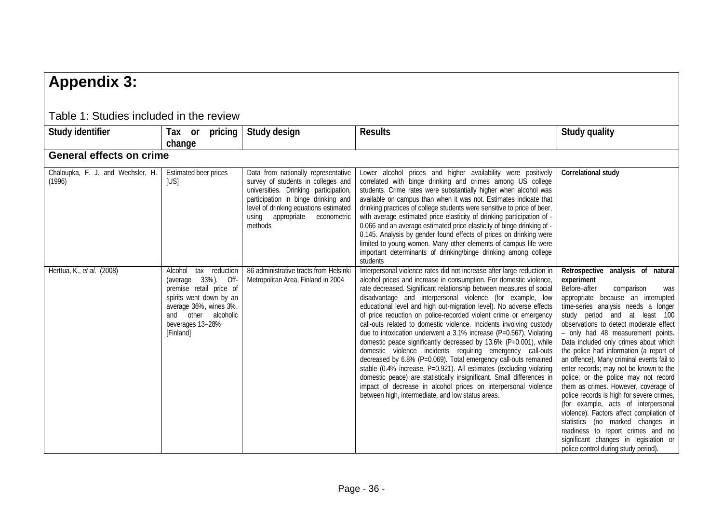## **Appendix 3:**

<span id="page-35-1"></span><span id="page-35-0"></span>

| Table T. Studies included in the review     |                                                                                                                                                                                         |                                                                                                                                                                                                                                                   |                                                                                                                                                                                                                                                                                                                                                                                                                                                                                                                                                                                                                                                                                                                                                                                                                                                                                                                                                                                                                                                     |                                                                                                                                                                                                                                                                                                                                                                                                                                                                                                                                                                                                                                                                                                                                                                                                                                        |
|---------------------------------------------|-----------------------------------------------------------------------------------------------------------------------------------------------------------------------------------------|---------------------------------------------------------------------------------------------------------------------------------------------------------------------------------------------------------------------------------------------------|-----------------------------------------------------------------------------------------------------------------------------------------------------------------------------------------------------------------------------------------------------------------------------------------------------------------------------------------------------------------------------------------------------------------------------------------------------------------------------------------------------------------------------------------------------------------------------------------------------------------------------------------------------------------------------------------------------------------------------------------------------------------------------------------------------------------------------------------------------------------------------------------------------------------------------------------------------------------------------------------------------------------------------------------------------|----------------------------------------------------------------------------------------------------------------------------------------------------------------------------------------------------------------------------------------------------------------------------------------------------------------------------------------------------------------------------------------------------------------------------------------------------------------------------------------------------------------------------------------------------------------------------------------------------------------------------------------------------------------------------------------------------------------------------------------------------------------------------------------------------------------------------------------|
| Study identifier                            | Tax or pricing<br>change                                                                                                                                                                | Study design                                                                                                                                                                                                                                      | <b>Results</b>                                                                                                                                                                                                                                                                                                                                                                                                                                                                                                                                                                                                                                                                                                                                                                                                                                                                                                                                                                                                                                      | <b>Study quality</b>                                                                                                                                                                                                                                                                                                                                                                                                                                                                                                                                                                                                                                                                                                                                                                                                                   |
| <b>General effects on crime</b>             |                                                                                                                                                                                         |                                                                                                                                                                                                                                                   |                                                                                                                                                                                                                                                                                                                                                                                                                                                                                                                                                                                                                                                                                                                                                                                                                                                                                                                                                                                                                                                     |                                                                                                                                                                                                                                                                                                                                                                                                                                                                                                                                                                                                                                                                                                                                                                                                                                        |
| Chaloupka, F. J. and Wechsler, H.<br>(1996) | Estimated beer prices<br>[US]                                                                                                                                                           | Data from nationally representative<br>survey of students in colleges and<br>universities. Drinking participation,<br>participation in binge drinking and<br>level of drinking equations estimated<br>using appropriate<br>econometric<br>methods | Lower alcohol prices and higher availability were positively<br>correlated with binge drinking and crimes among US college<br>students. Crime rates were substantially higher when alcohol was<br>available on campus than when it was not. Estimates indicate that<br>drinking practices of college students were sensitive to price of beer,<br>with average estimated price elasticity of drinking participation of -<br>0.066 and an average estimated price elasticity of binge drinking of -<br>0.145. Analysis by gender found effects of prices on drinking were<br>limited to young women. Many other elements of campus life were<br>important determinants of drinking/binge drinking among college<br>students                                                                                                                                                                                                                                                                                                                          | Correlational study                                                                                                                                                                                                                                                                                                                                                                                                                                                                                                                                                                                                                                                                                                                                                                                                                    |
| Herttua, K., et al. (2008)                  | tax reduction<br>Alcohol<br>(average 33%). Off-<br>premise retail price of<br>spirits went down by an<br>average 36%, wines 3%,<br>and other alcoholic<br>beverages 13-28%<br>[Finland] | 86 administrative tracts from Helsink<br>Metropolitan Area, Finland in 2004                                                                                                                                                                       | Interpersonal violence rates did not increase after large reduction in<br>alcohol prices and increase in consumption. For domestic violence,<br>rate decreased. Significant relationship between measures of social<br>disadvantage and interpersonal violence (for example, low<br>educational level and high out-migration level). No adverse effects<br>of price reduction on police-recorded violent crime or emergency<br>call-outs related to domestic violence. Incidents involving custody<br>due to intoxication underwent a 3.1% increase (P=0.567). Violating<br>domestic peace significantly decreased by 13.6% (P=0.001), while<br>domestic violence incidents requiring emergency call-outs<br>decreased by 6.8% (P=0.069). Total emergency call-outs remained<br>stable (0.4% increase, P=0.921). All estimates (excluding violating<br>domestic peace) are statistically insignificant. Small differences in<br>impact of decrease in alcohol prices on interpersonal violence<br>between high, intermediate, and low status areas. | Retrospective analysis of natural<br>experiment<br>Before-after<br>comparison<br>was<br>appropriate because an interrupted<br>time-series analysis needs a longer<br>study period and at least 100<br>observations to detect moderate effect<br>- only had 48 measurement points.<br>Data included only crimes about which<br>the police had information (a report of<br>an offence). Many criminal events fail to<br>enter records; may not be known to the<br>police; or the police may not record<br>them as crimes. However, coverage of<br>police records is high for severe crimes,<br>(for example, acts of interpersonal<br>violence). Factors affect compilation of<br>statistics (no marked changes in<br>readiness to report crimes and no<br>significant changes in legislation or<br>police control during study period). |

Table 1: Studies included in the review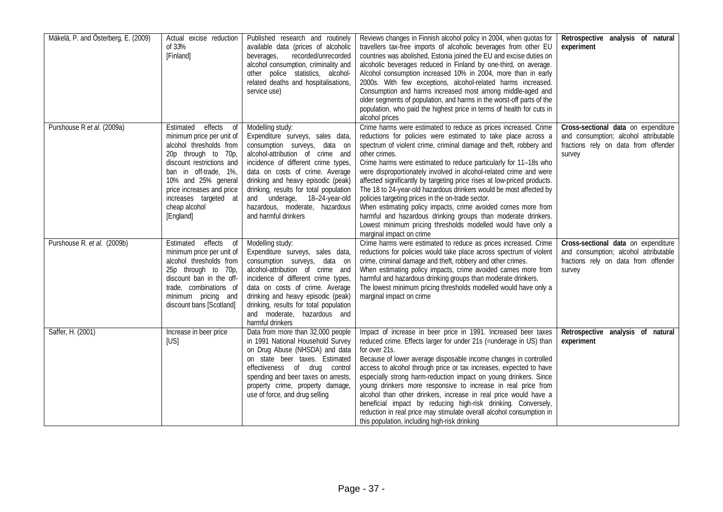| Mäkelä, P. and Österberg, E. (2009) | Actual excise reduction<br>of 33%<br>[Finland]                                                                                                                                                                                                                          | Published research and routinely<br>available data (prices of alcoholic<br>recorded/unrecorded<br>beverages,<br>alcohol consumption, criminality and<br>other police statistics, alcohol-<br>related deaths and hospitalisations,<br>service use)                                                                                                                            | Reviews changes in Finnish alcohol policy in 2004, when quotas for<br>travellers tax-free imports of alcoholic beverages from other EU<br>countries was abolished, Estonia joined the EU and excise duties on<br>alcoholic beverages reduced in Finland by one-third, on average.<br>Alcohol consumption increased 10% in 2004, more than in early<br>2000s. With few exceptions, alcohol-related harms increased.<br>Consumption and harms increased most among middle-aged and<br>older segments of population, and harms in the worst-off parts of the<br>population, who paid the highest price in terms of health for cuts in<br>alcohol prices                                                                                                                                                 | Retrospective analysis of natural<br>experiment                                                                                |
|-------------------------------------|-------------------------------------------------------------------------------------------------------------------------------------------------------------------------------------------------------------------------------------------------------------------------|------------------------------------------------------------------------------------------------------------------------------------------------------------------------------------------------------------------------------------------------------------------------------------------------------------------------------------------------------------------------------|------------------------------------------------------------------------------------------------------------------------------------------------------------------------------------------------------------------------------------------------------------------------------------------------------------------------------------------------------------------------------------------------------------------------------------------------------------------------------------------------------------------------------------------------------------------------------------------------------------------------------------------------------------------------------------------------------------------------------------------------------------------------------------------------------|--------------------------------------------------------------------------------------------------------------------------------|
| Purshouse R et al. (2009a)          | effects of<br>Estimated<br>minimum price per unit of<br>alcohol thresholds from<br>20p through to 70p,<br>discount restrictions and<br>ban in off-trade, 1%,<br>10% and 25% general<br>price increases and price<br>increases targeted at<br>cheap alcohol<br>[England] | Modelling study:<br>Expenditure surveys, sales data,<br>consumption surveys, data on<br>alcohol-attribution of crime and<br>incidence of different crime types,<br>data on costs of crime. Average<br>drinking and heavy episodic (peak)<br>drinking, results for total population<br>and underage, 18-24-year-old<br>hazardous, moderate, hazardous<br>and harmful drinkers | Crime harms were estimated to reduce as prices increased. Crime<br>reductions for policies were estimated to take place across a<br>spectrum of violent crime, criminal damage and theft, robbery and<br>other crimes.<br>Crime harms were estimated to reduce particularly for 11-18s who<br>were disproportionately involved in alcohol-related crime and were<br>affected significantly by targeting price rises at low-priced products.<br>The 18 to 24-year-old hazardous drinkers would be most affected by<br>policies targeting prices in the on-trade sector.<br>When estimating policy impacts, crime avoided comes more from<br>harmful and hazardous drinking groups than moderate drinkers.<br>Lowest minimum pricing thresholds modelled would have only a<br>marginal impact on crime | Cross-sectional data on expenditure<br>and consumption; alcohol attributable<br>fractions rely on data from offender<br>survey |
| Purshouse R. et al. (2009b)         | Estimated<br>effects of<br>minimum price per unit of<br>alcohol thresholds from<br>25p through to 70p,<br>discount ban in the off-<br>trade, combinations of<br>minimum pricing and<br>discount bans [Scotland]                                                         | Modelling study:<br>Expenditure surveys, sales data,<br>consumption surveys, data on<br>alcohol-attribution of crime and<br>incidence of different crime types,<br>data on costs of crime. Average<br>drinking and heavy episodic (peak)<br>drinking, results for total population<br>and moderate, hazardous and<br>harmful drinkers                                        | Crime harms were estimated to reduce as prices increased. Crime<br>reductions for policies would take place across spectrum of violent<br>crime, criminal damage and theft, robbery and other crimes.<br>When estimating policy impacts, crime avoided cames more from<br>harmful and hazardous drinking groups than moderate drinkers.<br>The lowest minimum pricing thresholds modelled would have only a<br>marginal impact on crime                                                                                                                                                                                                                                                                                                                                                              | Cross-sectional data on expenditure<br>and consumption; alcohol attributable<br>fractions rely on data from offender<br>survey |
| Saffer, H. (2001)                   | Increase in beer price<br>[US]                                                                                                                                                                                                                                          | Data from more than 32,000 people<br>in 1991 National Household Survey<br>on Drug Abuse (NHSDA) and data<br>on state beer taxes. Estimated<br>effectiveness of drug control<br>spending and beer taxes on arrests,<br>property crime, property damage<br>use of force, and drug selling                                                                                      | Impact of increase in beer price in 1991. Increased beer taxes<br>reduced crime. Effects larger for under 21s (=underage in US) than<br>for over 21s.<br>Because of lower average disposable income changes in controlled<br>access to alcohol through price or tax increases, expected to have<br>especially strong harm-reduction impact on young drinkers. Since<br>young drinkers more responsive to increase in real price from<br>alcohol than other drinkers, increase in real price would have a<br>beneficial impact by reducing high-risk drinking. Conversely,<br>reduction in real price may stimulate overall alcohol consumption in<br>this population, including high-risk drinking                                                                                                   | Retrospective analysis of natural<br>experiment                                                                                |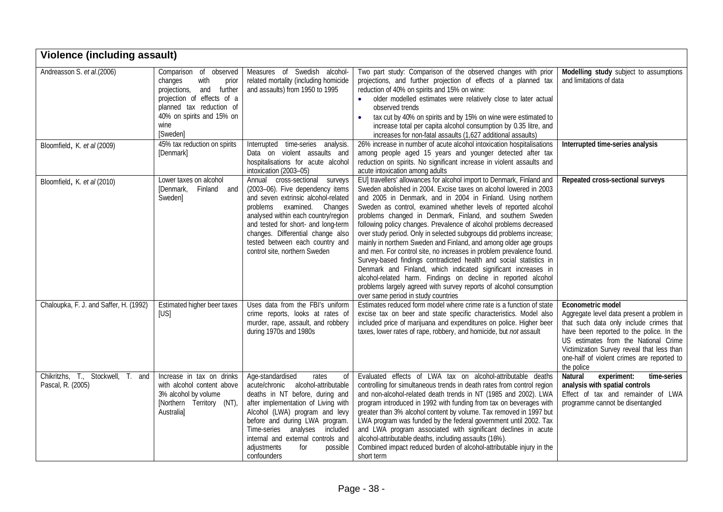| <b>Violence (including assault)</b>                    |                                                                                                                                                                                                 |                                                                                                                                                                                                                                                                                                                                             |                                                                                                                                                                                                                                                                                                                                                                                                                                                                                                                                                                                                                                                                                                                                                                                                                                                                                                                                                          |                                                                                                                                                                                                                                                                                                         |  |  |
|--------------------------------------------------------|-------------------------------------------------------------------------------------------------------------------------------------------------------------------------------------------------|---------------------------------------------------------------------------------------------------------------------------------------------------------------------------------------------------------------------------------------------------------------------------------------------------------------------------------------------|----------------------------------------------------------------------------------------------------------------------------------------------------------------------------------------------------------------------------------------------------------------------------------------------------------------------------------------------------------------------------------------------------------------------------------------------------------------------------------------------------------------------------------------------------------------------------------------------------------------------------------------------------------------------------------------------------------------------------------------------------------------------------------------------------------------------------------------------------------------------------------------------------------------------------------------------------------|---------------------------------------------------------------------------------------------------------------------------------------------------------------------------------------------------------------------------------------------------------------------------------------------------------|--|--|
| Andreasson S. et al.(2006)                             | Comparison of<br>observed<br>changes<br>with<br>prior<br>projections, and<br>further<br>projection of effects of a<br>planned tax reduction of<br>40% on spirits and 15% on<br>wine<br>[Sweden] | Measures of Swedish alcohol-<br>related mortality (including homicide<br>and assaults) from 1950 to 1995                                                                                                                                                                                                                                    | Two part study: Comparison of the observed changes with prior<br>projections, and further projection of effects of a planned tax<br>reduction of 40% on spirits and 15% on wine:<br>· older modelled estimates were relatively close to later actual<br>observed trends<br>tax cut by 40% on spirits and by 15% on wine were estimated to<br>increase total per capita alcohol consumption by 0.35 litre, and<br>increases for non-fatal assaults (1,627 additional assaults)                                                                                                                                                                                                                                                                                                                                                                                                                                                                            | Modelling study subject to assumptions<br>and limitations of data                                                                                                                                                                                                                                       |  |  |
| Bloomfield, K. et al (2009)                            | 45% tax reduction on spirits<br>[Denmark]                                                                                                                                                       | Interrupted time-series analysis.<br>Data on violent assaults and<br>hospitalisations for acute alcohol<br>intoxication (2003-05)                                                                                                                                                                                                           | 26% increase in number of acute alcohol intoxication hospitalisations<br>among people aged 15 years and younger detected after tax<br>reduction on spirits. No significant increase in violent assaults and<br>acute intoxication among adults                                                                                                                                                                                                                                                                                                                                                                                                                                                                                                                                                                                                                                                                                                           | Interrupted time-series analysis                                                                                                                                                                                                                                                                        |  |  |
| Bloomfield, K. et al (2010)                            | Lower taxes on alcohol<br>[Denmark, Finland and<br>Sweden]                                                                                                                                      | Annual cross-sectional surveys<br>(2003-06). Five dependency items<br>and seven extrinsic alcohol-related<br>problems examined. Changes<br>analysed within each country/region<br>and tested for short- and long-term<br>changes. Differential change also<br>tested between each country and<br>control site, northern Sweden              | EU] travellers' allowances for alcohol import to Denmark, Finland and<br>Sweden abolished in 2004. Excise taxes on alcohol lowered in 2003<br>and 2005 in Denmark, and in 2004 in Finland. Using northern<br>Sweden as control, examined whether levels of reported alcohol<br>problems changed in Denmark, Finland, and southern Sweden<br>following policy changes. Prevalence of alcohol problems decreased<br>over study period. Only in selected subgroups did problems increase;<br>mainly in northern Sweden and Finland, and among older age groups<br>and men. For control site, no increases in problem prevalence found.<br>Survey-based findings contradicted health and social statistics in<br>Denmark and Finland, which indicated significant increases in<br>alcohol-related harm. Findings on decline in reported alcohol<br>problems largely agreed with survey reports of alcohol consumption<br>over same period in study countries | Repeated cross-sectional surveys                                                                                                                                                                                                                                                                        |  |  |
| Chaloupka, F. J. and Saffer, H. (1992)                 | Estimated higher beer taxes<br>[US]                                                                                                                                                             | Uses data from the FBI's uniform<br>crime reports, looks at rates of<br>murder, rape, assault, and robbery<br>during 1970s and 1980s                                                                                                                                                                                                        | Estimates reduced form model where crime rate is a function of state<br>excise tax on beer and state specific characteristics. Model also<br>included price of marijuana and expenditures on police. Higher beer<br>taxes, lower rates of rape, robbery, and homicide, but not assault                                                                                                                                                                                                                                                                                                                                                                                                                                                                                                                                                                                                                                                                   | Econometric model<br>Aggregate level data present a problem in<br>that such data only include crimes that<br>have been reported to the police. In the<br>US estimates from the National Crime<br>Victimization Survey reveal that less than<br>one-half of violent crimes are reported to<br>the police |  |  |
| Chikritzhs, T., Stockwell, T. and<br>Pascal, R. (2005) | Increase in tax on drinks<br>with alcohol content above<br>3% alcohol by volume<br>[Northern Territory (NT),<br>Australia]                                                                      | Age-standardised<br>rates<br>0f<br>acute/chronic alcohol-attributable<br>deaths in NT before, during and<br>after implementation of Living with<br>Alcohol (LWA) program and levy<br>before and during LWA program.<br>Time-series analyses included<br>internal and external controls and<br>adjustments<br>for<br>possible<br>confounders | Evaluated effects of LWA tax on alcohol-attributable deaths<br>controlling for simultaneous trends in death rates from control region<br>and non-alcohol-related death trends in NT (1985 and 2002). LWA<br>program introduced in 1992 with funding from tax on beverages with<br>greater than 3% alcohol content by volume. Tax removed in 1997 but<br>LWA program was funded by the federal government until 2002. Tax<br>and LWA program associated with significant declines in acute<br>alcohol-attributable deaths, including assaults (16%).<br>Combined impact reduced burden of alcohol-attributable injury in the<br>short term                                                                                                                                                                                                                                                                                                                | Natural<br>experiment:<br>time-series<br>analysis with spatial controls<br>Effect of tax and remainder of LWA<br>programme cannot be disentangled                                                                                                                                                       |  |  |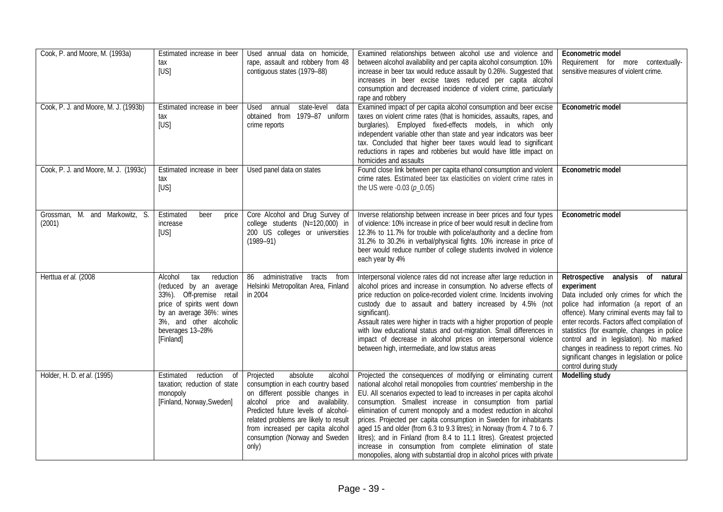| Cook, P. and Moore, M. (1993a)           | Estimated increase in beer<br>tax<br>[US]                                                                                                                                                               | Used annual data on homicide,<br>rape, assault and robbery from 48<br>contiguous states (1979-88)                                                                                                                                                                                                            | Examined relationships between alcohol use and violence and<br>between alcohol availability and per capita alcohol consumption. 10%<br>increase in beer tax would reduce assault by 0.26%. Suggested that<br>increases in beer excise taxes reduced per capita alcohol<br>consumption and decreased incidence of violent crime, particularly<br>rape and robbery                                                                                                                                                                                                                                                                                                                                                      | Econometric model<br>Requirement for more contextually-<br>sensitive measures of violent crime.                                                                                                                                                                                                                                                                                                                                                    |
|------------------------------------------|---------------------------------------------------------------------------------------------------------------------------------------------------------------------------------------------------------|--------------------------------------------------------------------------------------------------------------------------------------------------------------------------------------------------------------------------------------------------------------------------------------------------------------|-----------------------------------------------------------------------------------------------------------------------------------------------------------------------------------------------------------------------------------------------------------------------------------------------------------------------------------------------------------------------------------------------------------------------------------------------------------------------------------------------------------------------------------------------------------------------------------------------------------------------------------------------------------------------------------------------------------------------|----------------------------------------------------------------------------------------------------------------------------------------------------------------------------------------------------------------------------------------------------------------------------------------------------------------------------------------------------------------------------------------------------------------------------------------------------|
| Cook, P. J. and Moore, M. J. (1993b)     | Estimated increase in beer<br>tax<br>[US]                                                                                                                                                               | state-level<br>Used<br>annual<br>data<br>obtained from 1979-87 uniform<br>crime reports                                                                                                                                                                                                                      | Examined impact of per capita alcohol consumption and beer excise<br>taxes on violent crime rates (that is homicides, assaults, rapes, and<br>burglaries). Employed fixed-effects models, in which only<br>independent variable other than state and year indicators was beer<br>tax. Concluded that higher beer taxes would lead to significant<br>reductions in rapes and robberies but would have little impact on<br>homicides and assaults                                                                                                                                                                                                                                                                       | Econometric model                                                                                                                                                                                                                                                                                                                                                                                                                                  |
| Cook, P. J. and Moore, M. J. (1993c)     | Estimated increase in beer<br>tax<br>[US]                                                                                                                                                               | Used panel data on states                                                                                                                                                                                                                                                                                    | Found close link between per capita ethanol consumption and violent<br>crime rates. Estimated beer tax elasticities on violent crime rates in<br>the US were $-0.03$ ( $p_0.05$ )                                                                                                                                                                                                                                                                                                                                                                                                                                                                                                                                     | Econometric model                                                                                                                                                                                                                                                                                                                                                                                                                                  |
| Grossman, M. and Markowitz, S.<br>(2001) | Estimated<br>beer<br>price<br>increase<br>[US]                                                                                                                                                          | Core Alcohol and Drug Survey of<br>college students (N=120,000) in<br>200 US colleges or universities<br>$(1989 - 91)$                                                                                                                                                                                       | Inverse relationship between increase in beer prices and four types<br>of violence: 10% increase in price of beer would result in decline from<br>12.3% to 11.7% for trouble with police/authority and a decline from<br>31.2% to 30.2% in verbal/physical fights. 10% increase in price of<br>beer would reduce number of college students involved in violence<br>each year by 4%                                                                                                                                                                                                                                                                                                                                   | Econometric model                                                                                                                                                                                                                                                                                                                                                                                                                                  |
| Herttua et al. (2008                     | Alcohol<br>tax<br>reduction<br>(reduced by an average<br>33%). Off-premise retail<br>price of spirits went down<br>by an average 36%: wines<br>3%, and other alcoholic<br>beverages 13-28%<br>[Finland] | 86 administrative<br>tracts<br>from<br>Helsinki Metropolitan Area, Finland<br>in 2004                                                                                                                                                                                                                        | Interpersonal violence rates did not increase after large reduction in<br>alcohol prices and increase in consumption. No adverse effects of<br>price reduction on police-recorded violent crime. Incidents involving<br>custody due to assault and battery increased by 4.5% (not<br>significant).<br>Assault rates were higher in tracts with a higher proportion of people<br>with low educational status and out-migration. Small differences in<br>impact of decrease in alcohol prices on interpersonal violence<br>between high, intermediate, and low status areas                                                                                                                                             | Retrospective analysis of<br>natural<br>experiment<br>Data included only crimes for which the<br>police had information (a report of an<br>offence). Many criminal events may fail to<br>enter records. Factors affect compilation of<br>statistics (for example, changes in police<br>control and in legislation). No marked<br>changes in readiness to report crimes. No<br>significant changes in legislation or police<br>control during study |
| Holder, H. D. et al. (1995)              | Estimated<br>reduction<br>$\overline{of}$<br>taxation; reduction of state<br>monopoly<br>[Finland, Norway, Sweden]                                                                                      | Projected<br>absolute<br>alcohol<br>consumption in each country based<br>on different possible changes in<br>alcohol price and availability.<br>Predicted future levels of alcohol-<br>related problems are likely to result<br>from increased per capita alcohol<br>consumption (Norway and Sweden<br>only) | Projected the consequences of modifying or eliminating current<br>national alcohol retail monopolies from countries' membership in the<br>EU. All scenarios expected to lead to increases in per capita alcohol<br>consumption. Smallest increase in consumption from partial<br>elimination of current monopoly and a modest reduction in alcohol<br>prices. Projected per capita consumption in Sweden for inhabitants<br>aged 15 and older (from 6.3 to 9.3 litres); in Norway (from 4. 7 to 6. 7<br>litres); and in Finland (from 8.4 to 11.1 litres). Greatest projected<br>increase in consumption from complete elimination of state<br>monopolies, along with substantial drop in alcohol prices with private | <b>Modelling study</b>                                                                                                                                                                                                                                                                                                                                                                                                                             |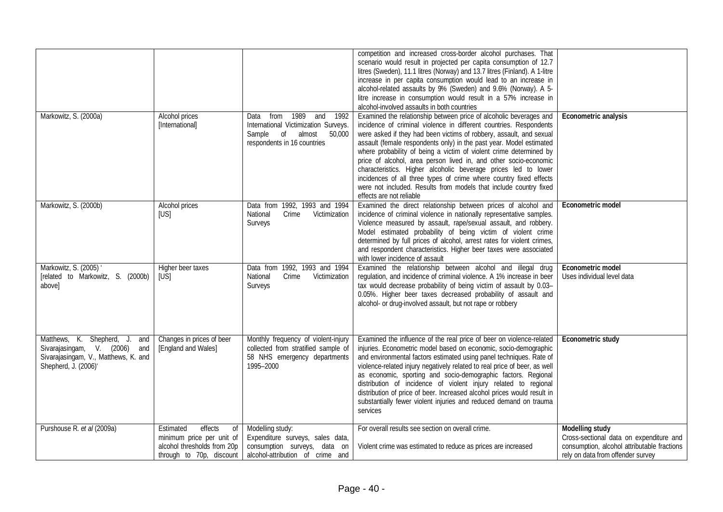|                                                                                                                                |                                                                                                              |                                                                                                                                 | competition and increased cross-border alcohol purchases. That<br>scenario would result in projected per capita consumption of 12.7<br>litres (Sweden), 11.1 litres (Norway) and 13.7 litres (Finland). A 1-litre<br>increase in per capita consumption would lead to an increase in<br>alcohol-related assaults by 9% (Sweden) and 9.6% (Norway). A 5-<br>litre increase in consumption would result in a 57% increase in<br>alcohol-involved assaults in both countries                                                                                                                                                                                                 |                                                                                                                                                       |
|--------------------------------------------------------------------------------------------------------------------------------|--------------------------------------------------------------------------------------------------------------|---------------------------------------------------------------------------------------------------------------------------------|---------------------------------------------------------------------------------------------------------------------------------------------------------------------------------------------------------------------------------------------------------------------------------------------------------------------------------------------------------------------------------------------------------------------------------------------------------------------------------------------------------------------------------------------------------------------------------------------------------------------------------------------------------------------------|-------------------------------------------------------------------------------------------------------------------------------------------------------|
| Markowitz, S. (2000a)                                                                                                          | Alcohol prices<br>[International]                                                                            | Data from 1989 and 1992<br>International Victimization Surveys.<br>Sample of<br>almost<br>50,000<br>respondents in 16 countries | Examined the relationship between price of alcoholic beverages and<br>incidence of criminal violence in different countries. Respondents<br>were asked if they had been victims of robbery, assault, and sexual<br>assault (female respondents only) in the past year. Model estimated<br>where probability of being a victim of violent crime determined by<br>price of alcohol, area person lived in, and other socio-economic<br>characteristics. Higher alcoholic beverage prices led to lower<br>incidences of all three types of crime where country fixed effects<br>were not included. Results from models that include country fixed<br>effects are not reliable | Econometric analysis                                                                                                                                  |
| Markowitz, S. (2000b)                                                                                                          | Alcohol prices<br>[US]                                                                                       | Data from 1992, 1993 and 1994<br>Crime<br>Victimization<br>National<br>Surveys                                                  | Examined the direct relationship between prices of alcohol and<br>incidence of criminal violence in nationally representative samples.<br>Violence measured by assault, rape/sexual assault, and robbery.<br>Model estimated probability of being victim of violent crime<br>determined by full prices of alcohol, arrest rates for violent crimes,<br>and respondent characteristics. Higher beer taxes were associated<br>with lower incidence of assault                                                                                                                                                                                                               | Econometric model                                                                                                                                     |
| Markowitz, S. (2005) '<br>[related to Markowitz, S. (2000b)<br>above]                                                          | Higher beer taxes<br>[US]                                                                                    | Data from 1992, 1993 and 1994<br>Crime<br>Victimization<br>National<br>Surveys                                                  | Examined the relationship between alcohol and illegal drug<br>regulation, and incidence of criminal violence. A 1% increase in beer<br>tax would decrease probability of being victim of assault by 0.03-<br>0.05%. Higher beer taxes decreased probability of assault and<br>alcohol- or drug-involved assault, but not rape or robbery                                                                                                                                                                                                                                                                                                                                  | Econometric model<br>Uses individual level data                                                                                                       |
| Matthews, K. Shepherd, J. and<br>Sivarajasingam, V. (2006) and<br>Sivarajasingam, V., Matthews, K. and<br>Shepherd, J. (2006)' | Changes in prices of beer<br>[England and Wales]                                                             | Monthly frequency of violent-injury<br>collected from stratified sample of<br>58 NHS emergency departments<br>1995-2000         | Examined the influence of the real price of beer on violence-related<br>injuries. Econometric model based on economic, socio-demographic<br>and environmental factors estimated using panel techniques. Rate of<br>violence-related injury negatively related to real price of beer, as well<br>as economic, sporting and socio-demographic factors. Regional<br>distribution of incidence of violent injury related to regional<br>distribution of price of beer. Increased alcohol prices would result in<br>substantially fewer violent injuries and reduced demand on trauma<br>services                                                                              | Econometric study                                                                                                                                     |
| Purshouse R. et al (2009a)                                                                                                     | effects<br>Estimated<br>minimum price per unit of<br>alcohol thresholds from 20p<br>through to 70p, discount | of Modelling study:<br>Expenditure surveys, sales data,<br>consumption surveys, data on<br>alcohol-attribution of crime and     | For overall results see section on overall crime.<br>Violent crime was estimated to reduce as prices are increased                                                                                                                                                                                                                                                                                                                                                                                                                                                                                                                                                        | <b>Modelling study</b><br>Cross-sectional data on expenditure and<br>consumption, alcohol attributable fractions<br>rely on data from offender survey |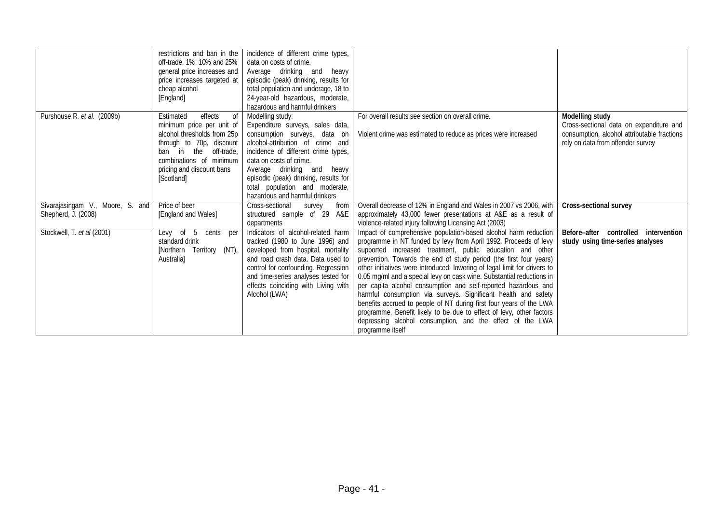|                                                         | restrictions and ban in the<br>off-trade, 1%, 10% and 25%<br>general price increases and<br>price increases targeted at<br>cheap alcohol<br>[England]                                                                | incidence of different crime types,<br>data on costs of crime.<br>Average drinking and heavy<br>episodic (peak) drinking, results for<br>total population and underage, 18 to<br>24-year-old hazardous, moderate,<br>hazardous and harmful drinkers                                                                                   |                                                                                                                                                                                                                                                                                                                                                                                                                                                                                                                                                                                                                                                                                                                                                                                                  |                                                                                                                                                |
|---------------------------------------------------------|----------------------------------------------------------------------------------------------------------------------------------------------------------------------------------------------------------------------|---------------------------------------------------------------------------------------------------------------------------------------------------------------------------------------------------------------------------------------------------------------------------------------------------------------------------------------|--------------------------------------------------------------------------------------------------------------------------------------------------------------------------------------------------------------------------------------------------------------------------------------------------------------------------------------------------------------------------------------------------------------------------------------------------------------------------------------------------------------------------------------------------------------------------------------------------------------------------------------------------------------------------------------------------------------------------------------------------------------------------------------------------|------------------------------------------------------------------------------------------------------------------------------------------------|
| Purshouse R. et al. (2009b)                             | effects<br>Estimated<br>0f<br>minimum price per unit of<br>alcohol thresholds from 25p<br>through to 70p, discount<br>ban in the<br>off-trade,<br>combinations of minimum<br>pricing and discount bans<br>[Scotland] | Modelling study:<br>Expenditure surveys, sales data,<br>consumption surveys, data on<br>alcohol-attribution of crime and<br>incidence of different crime types,<br>data on costs of crime.<br>Average drinking and heavy<br>episodic (peak) drinking, results for<br>total population and moderate,<br>hazardous and harmful drinkers | For overall results see section on overall crime.<br>Violent crime was estimated to reduce as prices were increased                                                                                                                                                                                                                                                                                                                                                                                                                                                                                                                                                                                                                                                                              | Modelling study<br>Cross-sectional data on expenditure and<br>consumption, alcohol attributable fractions<br>rely on data from offender survey |
| Sivarajasingam V., Moore, S. and<br>Shepherd, J. (2008) | Price of beer<br>[England and Wales]                                                                                                                                                                                 | Cross-sectional<br>from<br>survey<br>structured sample of 29 A&E<br>departments                                                                                                                                                                                                                                                       | Overall decrease of 12% in England and Wales in 2007 vs 2006, with<br>approximately 43,000 fewer presentations at A&E as a result of<br>violence-related injury following Licensing Act (2003)                                                                                                                                                                                                                                                                                                                                                                                                                                                                                                                                                                                                   | Cross-sectional survey                                                                                                                         |
| Stockwell, T. et al (2001)                              | Levy of 5 cents per<br>standard drink<br>[Northern Territory (NT),<br>Australia]                                                                                                                                     | Indicators of alcohol-related harm<br>tracked (1980 to June 1996) and<br>developed from hospital, mortality<br>and road crash data. Data used to<br>control for confounding. Regression<br>and time-series analyses tested for<br>effects coinciding with Living with<br>Alcohol (LWA)                                                | Impact of comprehensive population-based alcohol harm reduction<br>programme in NT funded by levy from April 1992. Proceeds of levy<br>supported increased treatment, public education and other<br>prevention. Towards the end of study period (the first four years)<br>other initiatives were introduced: lowering of legal limit for drivers to<br>0.05 mg/ml and a special levy on cask wine. Substantial reductions in<br>per capita alcohol consumption and self-reported hazardous and<br>harmful consumption via surveys. Significant health and safety<br>benefits accrued to people of NT during first four years of the LWA<br>programme. Benefit likely to be due to effect of levy, other factors<br>depressing alcohol consumption, and the effect of the LWA<br>programme itself | Before-after<br>controlled intervention<br>study using time-series analyses                                                                    |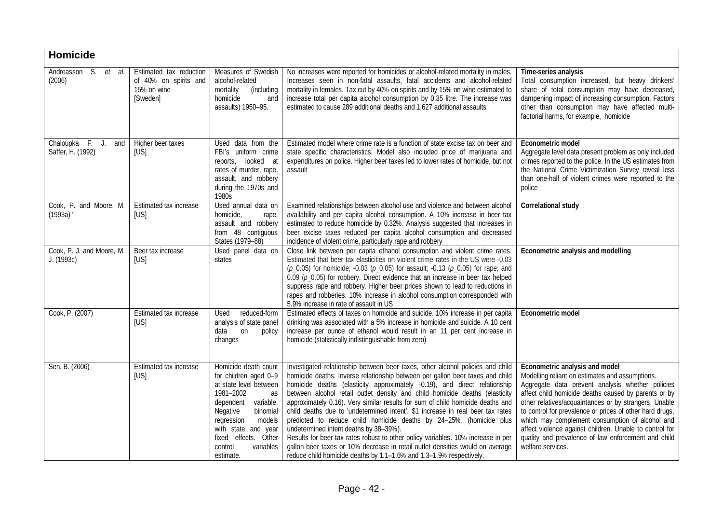| Homicide                                 |                                                                             |                                                                                                                                                                                                                                                          |                                                                                                                                                                                                                                                                                                                                                                                                                                                                                                                                                                                                                                                                                                                                                                                                                                                              |                                                                                                                                                                                                                                                                                                                                                                                                                                                                                                              |
|------------------------------------------|-----------------------------------------------------------------------------|----------------------------------------------------------------------------------------------------------------------------------------------------------------------------------------------------------------------------------------------------------|--------------------------------------------------------------------------------------------------------------------------------------------------------------------------------------------------------------------------------------------------------------------------------------------------------------------------------------------------------------------------------------------------------------------------------------------------------------------------------------------------------------------------------------------------------------------------------------------------------------------------------------------------------------------------------------------------------------------------------------------------------------------------------------------------------------------------------------------------------------|--------------------------------------------------------------------------------------------------------------------------------------------------------------------------------------------------------------------------------------------------------------------------------------------------------------------------------------------------------------------------------------------------------------------------------------------------------------------------------------------------------------|
| Andreasson S. et<br>al.<br>(2006)        | Estimated tax reduction<br>of 40% on spirits and<br>15% on wine<br>[Sweden] | Measures of Swedish<br>alcohol-related<br>mortality<br>(including<br>homicide<br>and<br>assaults) 1950-95.                                                                                                                                               | No increases were reported for homicides or alcohol-related mortality in males.<br>Increases seen in non-fatal assaults, fatal accidents and alcohol-related<br>mortality in females. Tax cut by 40% on spirits and by 15% on wine estimated to<br>increase total per capita alcohol consumption by 0.35 litre. The increase was<br>estimated to cause 289 additional deaths and 1,627 additional assaults                                                                                                                                                                                                                                                                                                                                                                                                                                                   | Time-series analysis<br>Total consumption increased, but heavy drinkers'<br>share of total consumption may have decreased,<br>dampening impact of increasing consumption. Factors<br>other than consumption may have affected multi-<br>factorial harms, for example, homicide                                                                                                                                                                                                                               |
| Chaloupka F. J. and<br>Saffer, H. (1992) | Higher beer taxes<br>[US]                                                   | Used data from the<br>FBI's uniform crime<br>reports, looked at<br>rates of murder, rape,<br>assault, and robbery<br>during the 1970s and<br>1980s                                                                                                       | Estimated model where crime rate is a function of state excise tax on beer and<br>state specific characteristics. Model also included price of marijuana and<br>expenditures on police. Higher beer taxes led to lower rates of homicide, but not<br>assault                                                                                                                                                                                                                                                                                                                                                                                                                                                                                                                                                                                                 | Econometric model<br>Aggregate level data present problem as only included<br>crimes reported to the police. In the US estimates from<br>the National Crime Victimization Survey reveal less<br>than one-half of violent crimes were reported to the<br>police                                                                                                                                                                                                                                               |
| Cook, P. and Moore, M.<br>(1993a)        | Estimated tax increase<br>[US]                                              | Used annual data on<br>homicide,<br>rape,<br>assault and robbery<br>from 48 contiguous<br>States (1979-88)                                                                                                                                               | Examined relationships between alcohol use and violence and between alcohol<br>availability and per capita alcohol consumption. A 10% increase in beer tax<br>estimated to reduce homicide by 0.32%. Analysis suggested that increases in<br>beer excise taxes reduced per capita alcohol consumption and decreased<br>incidence of violent crime, particularly rape and robbery                                                                                                                                                                                                                                                                                                                                                                                                                                                                             | Correlational study                                                                                                                                                                                                                                                                                                                                                                                                                                                                                          |
| Cook, P. J. and Moore, M.<br>J. (1993c)  | Beer tax increase<br>[US]                                                   | Used panel data on<br>states                                                                                                                                                                                                                             | Close link between per capita ethanol consumption and violent crime rates.<br>Estimated that beer tax elasticities on violent crime rates in the US were -0.03<br>$(p_0.05)$ for homicide; -0.03 $(p_0.05)$ for assault; -0.13 $(p_0.05)$ for rape; and<br>$0.09$ ( $p_0.05$ ) for robbery. Direct evidence that an increase in beer tax helped<br>suppress rape and robbery. Higher beer prices shown to lead to reductions in<br>rapes and robberies. 10% increase in alcohol consumption corresponded with<br>5.9% increase in rate of assault in US                                                                                                                                                                                                                                                                                                      | Econometric analysis and modelling                                                                                                                                                                                                                                                                                                                                                                                                                                                                           |
| Cook, P. (2007)                          | Estimated tax increase<br>[US]                                              | reduced-form<br>Used<br>analysis of state panel<br>data on<br>policy<br>changes                                                                                                                                                                          | Estimated effects of taxes on homicide and suicide. 10% increase in per capita<br>drinking was associated with a 5% increase in homicide and suicide. A 10 cent<br>increase per ounce of ethanol would result in an 11 per cent increase in<br>homicide (statistically indistinguishable from zero)                                                                                                                                                                                                                                                                                                                                                                                                                                                                                                                                                          | Econometric model                                                                                                                                                                                                                                                                                                                                                                                                                                                                                            |
| Sen, B. (2006)                           | Estimated tax increase<br>[US]                                              | Homicide death count<br>for children aged 0-9<br>at state level between<br>1981-2002<br>as<br>dependent<br>variable.<br>Negative<br>binomial<br>regression<br>models<br>with state and year<br>fixed effects. Other<br>control<br>variables<br>estimate. | Investigated relationship between beer taxes, other alcohol policies and child<br>homicide deaths. Inverse relationship between per gallon beer taxes and child<br>homicide deaths (elasticity approximately -0.19), and direct relationship<br>between alcohol retail outlet density and child homicide deaths (elasticity<br>approximately 0.16). Very similar results for sum of child homicide deaths and<br>child deaths due to 'undetermined intent'. \$1 increase in real beer tax rates<br>predicted to reduce child homicide deaths by 24-25%, (homicide plus<br>undetermined intent deaths by 38-39%).<br>Results for beer tax rates robust to other policy variables. 10% increase in per<br>gallon beer taxes or 10% decrease in retail outlet densities would on average<br>reduce child homicide deaths by 1.1-1.6% and 1.3-1.9% respectively. | Econometric analysis and model<br>Modelling reliant on estimates and assumptions.<br>Aggregate data prevent analysis whether policies<br>affect child homicide deaths caused by parents or by<br>other relatives/acquaintances or by strangers. Unable<br>to control for prevalence or prices of other hard drugs,<br>which may complement consumption of alcohol and<br>affect violence against children. Unable to control for<br>quality and prevalence of law enforcement and child<br>welfare services. |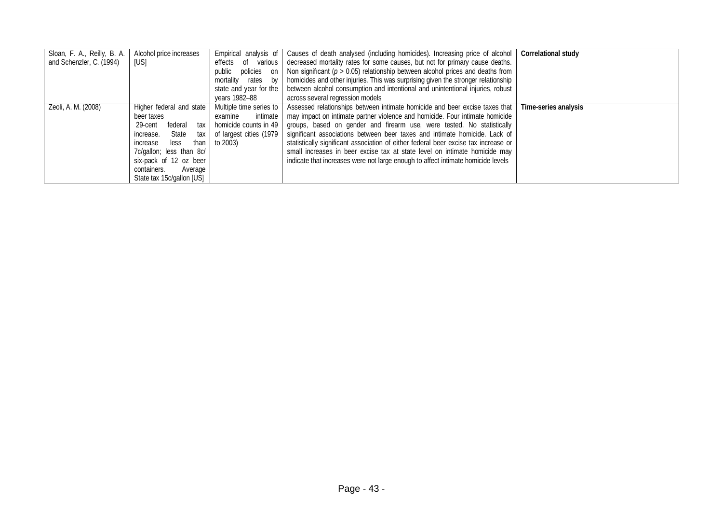| Sloan, F. A., Reilly, B. A. | Alcohol price increases   | Empirical analysis of   | Causes of death analysed (including homicides). Increasing price of alcohol         | Correlational study  |
|-----------------------------|---------------------------|-------------------------|-------------------------------------------------------------------------------------|----------------------|
| and Schenzler, C. (1994)    | [US]                      | effects of various      | decreased mortality rates for some causes, but not for primary cause deaths.        |                      |
|                             |                           | public policies on      | Non significant ( $p > 0.05$ ) relationship between alcohol prices and deaths from  |                      |
|                             |                           | mortality rates by      | homicides and other injuries. This was surprising given the stronger relationship   |                      |
|                             |                           | state and year for the  | between alcohol consumption and intentional and unintentional injuries, robust      |                      |
|                             |                           | vears 1982–88           | across several regression models                                                    |                      |
| Zeoli, A. M. (2008)         | Higher federal and state  | Multiple time series to | Assessed relationships between intimate homicide and beer excise taxes that         | Time-series analysis |
|                             | beer taxes                | intimate<br>examine     | may impact on intimate partner violence and homicide. Four intimate homicide        |                      |
|                             | federal<br>29-cent<br>tax | homicide counts in 49   | groups, based on gender and firearm use, were tested. No statistically              |                      |
|                             | State<br>increase.<br>tax | of largest cities (1979 | significant associations between beer taxes and intimate homicide. Lack of          |                      |
|                             | less<br>than<br>increase  | to 2003)                | statistically significant association of either federal beer excise tax increase or |                      |
|                             | 7c/gallon; less than 8c/  |                         | small increases in beer excise tax at state level on intimate homicide may          |                      |
|                             | six-pack of 12 oz beer    |                         | indicate that increases were not large enough to affect intimate homicide levels    |                      |
|                             | containers.<br>Average    |                         |                                                                                     |                      |
|                             | State tax 15c/gallon [US] |                         |                                                                                     |                      |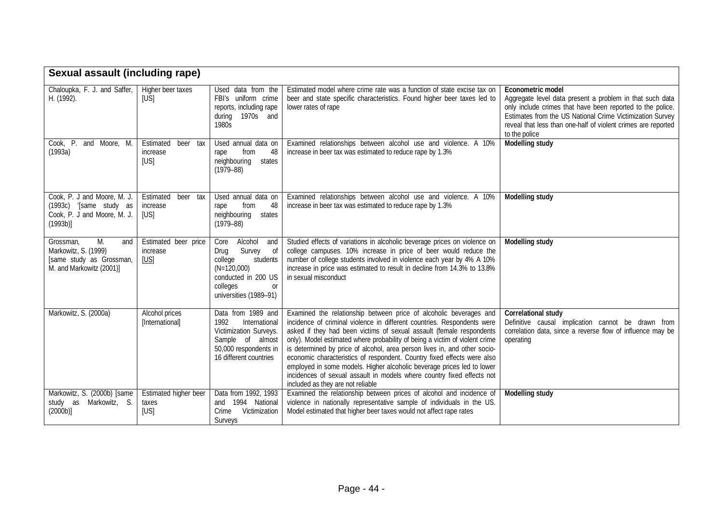| <b>Sexual assault (including rape)</b>                                                                 |                                              |                                                                                                                                                           |                                                                                                                                                                                                                                                                                                                                                                                                                                                                                                                                                                                                                                                       |                                                                                                                                                                                                                                                                                            |
|--------------------------------------------------------------------------------------------------------|----------------------------------------------|-----------------------------------------------------------------------------------------------------------------------------------------------------------|-------------------------------------------------------------------------------------------------------------------------------------------------------------------------------------------------------------------------------------------------------------------------------------------------------------------------------------------------------------------------------------------------------------------------------------------------------------------------------------------------------------------------------------------------------------------------------------------------------------------------------------------------------|--------------------------------------------------------------------------------------------------------------------------------------------------------------------------------------------------------------------------------------------------------------------------------------------|
| Chaloupka, F. J. and Saffer,<br>H. (1992).                                                             | Higher beer taxes<br>[US]                    | Used data from the<br>FBI's uniform crime<br>reports, including rape<br>during 1970s and<br>1980s                                                         | Estimated model where crime rate was a function of state excise tax on<br>beer and state specific characteristics. Found higher beer taxes led to<br>lower rates of rape                                                                                                                                                                                                                                                                                                                                                                                                                                                                              | Econometric model<br>Aggregate level data present a problem in that such data<br>only include crimes that have been reported to the police.<br>Estimates from the US National Crime Victimization Survey<br>reveal that less than one-half of violent crimes are reported<br>to the police |
| Cook, P. and Moore, M.<br>(1993a)                                                                      | Estimated<br>beer<br>tax<br>increase<br>[US] | Used annual data on<br>48<br>from<br>rape<br>neighbouring<br>states<br>$(1979 - 88)$                                                                      | Examined relationships between alcohol use and violence. A 10%<br>increase in beer tax was estimated to reduce rape by 1.3%                                                                                                                                                                                                                                                                                                                                                                                                                                                                                                                           | <b>Modelling study</b>                                                                                                                                                                                                                                                                     |
| Cook, P. J and Moore, M. J.<br>(1993c) '[same study as<br>Cook, P. J and Moore, M. J.<br>(1993b)       | Estimated<br>beer<br>tax<br>increase<br>[US] | Used annual data on<br>48<br>from<br>rape<br>neighbouring<br>states<br>$(1979 - 88)$                                                                      | Examined relationships between alcohol use and violence. A 10%<br>increase in beer tax was estimated to reduce rape by 1.3%                                                                                                                                                                                                                                                                                                                                                                                                                                                                                                                           | Modelling study                                                                                                                                                                                                                                                                            |
| M.<br>Grossman,<br>and<br>Markowitz, S. (1999)<br>[same study as Grossman,<br>M. and Markowitz (2001)] | Estimated beer price<br>increase<br>[US]     | Alcohol<br>Core<br>and<br>Survey<br>of<br>Drug<br>college<br>students<br>$(N=120,000)$<br>conducted in 200 US<br>colleges<br>0r<br>universities (1989-91) | Studied effects of variations in alcoholic beverage prices on violence on<br>college campuses. 10% increase in price of beer would reduce the<br>number of college students involved in violence each year by 4% A 10%<br>increase in price was estimated to result in decline from 14.3% to 13.8%<br>in sexual misconduct                                                                                                                                                                                                                                                                                                                            | Modelling study                                                                                                                                                                                                                                                                            |
| Markowitz, S. (2000a)                                                                                  | Alcohol prices<br>[International]            | Data from 1989 and<br>1992<br>International<br>Victimization Surveys.<br>Sample of almost<br>50,000 respondents in<br>16 different countries              | Examined the relationship between price of alcoholic beverages and<br>incidence of criminal violence in different countries. Respondents were<br>asked if they had been victims of sexual assault (female respondents<br>only). Model estimated where probability of being a victim of violent crime<br>is determined by price of alcohol, area person lives in, and other socio-<br>economic characteristics of respondent. Country fixed effects were also<br>employed in some models. Higher alcoholic beverage prices led to lower<br>incidences of sexual assault in models where country fixed effects not<br>included as they are not reliable | Correlational study<br>Definitive causal implication cannot be drawn from<br>correlation data, since a reverse flow of influence may be<br>operating                                                                                                                                       |
| Markowitz, S. (2000b) [same<br>Markowitz, S.<br>study as<br>(2000b)]                                   | Estimated higher beer<br>taxes<br>[US]       | Data from 1992, 1993<br>and 1994 National<br>Crime<br>Victimization<br>Surveys                                                                            | Examined the relationship between prices of alcohol and incidence of<br>violence in nationally representative sample of individuals in the US.<br>Model estimated that higher beer taxes would not affect rape rates                                                                                                                                                                                                                                                                                                                                                                                                                                  | <b>Modelling study</b>                                                                                                                                                                                                                                                                     |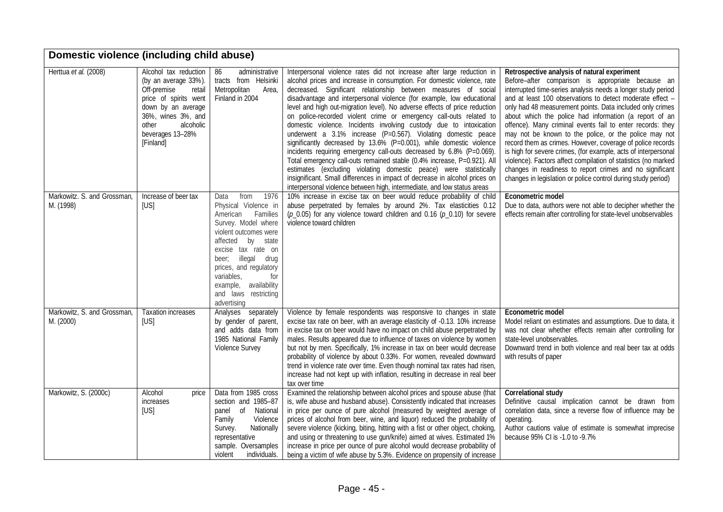| Domestic violence (including child abuse) |                                                                                                                                                                                                    |                                                                                                                                                                                                                                                                                                      |                                                                                                                                                                                                                                                                                                                                                                                                                                                                                                                                                                                                                                                                                                                                                                                                                                                                                                                                                                                                                                                  |                                                                                                                                                                                                                                                                                                                                                                                                                                                                                                                                                                                                                                                                                                                                                                                                             |  |
|-------------------------------------------|----------------------------------------------------------------------------------------------------------------------------------------------------------------------------------------------------|------------------------------------------------------------------------------------------------------------------------------------------------------------------------------------------------------------------------------------------------------------------------------------------------------|--------------------------------------------------------------------------------------------------------------------------------------------------------------------------------------------------------------------------------------------------------------------------------------------------------------------------------------------------------------------------------------------------------------------------------------------------------------------------------------------------------------------------------------------------------------------------------------------------------------------------------------------------------------------------------------------------------------------------------------------------------------------------------------------------------------------------------------------------------------------------------------------------------------------------------------------------------------------------------------------------------------------------------------------------|-------------------------------------------------------------------------------------------------------------------------------------------------------------------------------------------------------------------------------------------------------------------------------------------------------------------------------------------------------------------------------------------------------------------------------------------------------------------------------------------------------------------------------------------------------------------------------------------------------------------------------------------------------------------------------------------------------------------------------------------------------------------------------------------------------------|--|
| Herttua et al. (2008)                     | Alcohol tax reduction<br>(by an average 33%).<br>Off-premise<br>retail<br>price of spirits went<br>down by an average<br>36%, wines 3%, and<br>alcoholic<br>other<br>beverages 13-28%<br>[Finland] | 86<br>administrative<br>tracts from Helsinki<br>Metropolitan<br>Area,<br>Finland in 2004                                                                                                                                                                                                             | Interpersonal violence rates did not increase after large reduction in<br>alcohol prices and increase in consumption. For domestic violence, rate<br>decreased. Significant relationship between measures of social<br>disadvantage and interpersonal violence (for example, low educational<br>level and high out-migration level). No adverse effects of price reduction<br>on police-recorded violent crime or emergency call-outs related to<br>domestic violence. Incidents involving custody due to intoxication<br>underwent a 3.1% increase (P=0.567). Violating domestic peace<br>significantly decreased by 13.6% (P=0.001), while domestic violence<br>incidents requiring emergency call-outs decreased by 6.8% (P=0.069).<br>Total emergency call-outs remained stable (0.4% increase, P=0.921). All<br>estimates (excluding violating domestic peace) were statistically<br>insignificant. Small differences in impact of decrease in alcohol prices on<br>interpersonal violence between high, intermediate, and low status areas | Retrospective analysis of natural experiment<br>Before-after comparison is appropriate because an<br>interrupted time-series analysis needs a longer study period<br>and at least 100 observations to detect moderate effect -<br>only had 48 measurement points. Data included only crimes<br>about which the police had information (a report of an<br>offence). Many criminal events fail to enter records: they<br>may not be known to the police, or the police may not<br>record them as crimes. However, coverage of police records<br>is high for severe crimes, (for example, acts of interpersonal<br>violence). Factors affect compilation of statistics (no marked<br>changes in readiness to report crimes and no significant<br>changes in legislation or police control during study period) |  |
| Markowitz. S. and Grossman,<br>M. (1998)  | Increase of beer tax<br>[US]                                                                                                                                                                       | 1976<br>from<br>Data<br>Physical Violence in<br>American<br>Families<br>Survey. Model where<br>violent outcomes were<br>affected by state<br>excise tax rate on<br>beer; illegal drug<br>prices, and regulatory<br>variables,<br>for<br>example, availability<br>and laws restricting<br>advertising | 10% increase in excise tax on beer would reduce probability of child<br>abuse perpetrated by females by around 2%. Tax elasticities 0.12<br>$(p_0.05)$ for any violence toward children and 0.16 $(p_0.10)$ for severe<br>violence toward children                                                                                                                                                                                                                                                                                                                                                                                                                                                                                                                                                                                                                                                                                                                                                                                               | Econometric model<br>Due to data, authors were not able to decipher whether the<br>effects remain after controlling for state-level unobservables                                                                                                                                                                                                                                                                                                                                                                                                                                                                                                                                                                                                                                                           |  |
| Markowitz, S. and Grossman,<br>M. (2000)  | <b>Taxation increases</b><br>[US]                                                                                                                                                                  | Analyses separately<br>by gender of parent,<br>and adds data from<br>1985 National Family<br>Violence Survey                                                                                                                                                                                         | Violence by female respondents was responsive to changes in state<br>excise tax rate on beer, with an average elasticity of -0.13. 10% increase<br>in excise tax on beer would have no impact on child abuse perpetrated by<br>males. Results appeared due to influence of taxes on violence by women<br>but not by men. Specifically, 1% increase in tax on beer would decrease<br>probability of violence by about 0.33%. For women, revealed downward<br>trend in violence rate over time. Even though nominal tax rates had risen,<br>increase had not kept up with inflation, resulting in decrease in real beer<br>tax over time                                                                                                                                                                                                                                                                                                                                                                                                           | Econometric model<br>Model reliant on estimates and assumptions. Due to data, it<br>was not clear whether effects remain after controlling for<br>state-level unobservables.<br>Downward trend in both violence and real beer tax at odds<br>with results of paper                                                                                                                                                                                                                                                                                                                                                                                                                                                                                                                                          |  |
| Markowitz, S. (2000c)                     | Alcohol<br>price<br>increases<br>[US]                                                                                                                                                              | Data from 1985 cross<br>section and 1985-87<br>of National<br>panel<br>Family<br>Violence<br>Nationally<br>Survey.<br>representative<br>sample. Oversamples<br>individuals.<br>violent                                                                                                               | Examined the relationship between alcohol prices and spouse abuse (that<br>is, wife abuse and husband abuse). Consistently indicated that increases<br>in price per ounce of pure alcohol (measured by weighted average of<br>prices of alcohol from beer, wine, and liquor) reduced the probability of<br>severe violence (kicking, biting, hitting with a fist or other object, choking,<br>and using or threatening to use gun/knife) aimed at wives. Estimated 1%<br>increase in price per ounce of pure alcohol would decrease probability of<br>being a victim of wife abuse by 5.3%. Evidence on propensity of increase                                                                                                                                                                                                                                                                                                                                                                                                                   | Correlational study<br>Definitive causal implication cannot be drawn from<br>correlation data, since a reverse flow of influence may be<br>operating.<br>Author cautions value of estimate is somewhat imprecise<br>because 95% CI is -1.0 to -9.7%                                                                                                                                                                                                                                                                                                                                                                                                                                                                                                                                                         |  |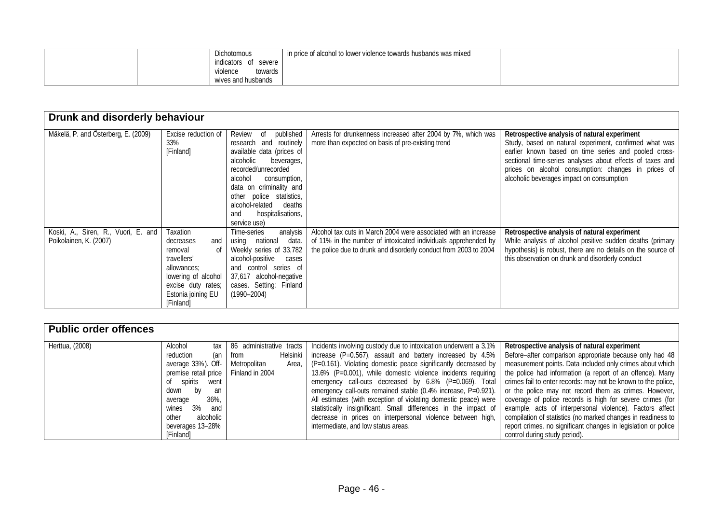|  | Dichotomous                  | in price of alcohol to lower violence towards husbands was mixed |  |
|--|------------------------------|------------------------------------------------------------------|--|
|  | indicators<br>severe<br>- of |                                                                  |  |
|  | towards<br>violence          |                                                                  |  |
|  | wives and husbands           |                                                                  |  |

| Drunk and disorderly behaviour                                |                                                                                                                                                             |                                                                                                                                                                                                                                                                                               |                                                                                                                                                                                                       |                                                                                                                                                                                                                                                                                                                                 |  |
|---------------------------------------------------------------|-------------------------------------------------------------------------------------------------------------------------------------------------------------|-----------------------------------------------------------------------------------------------------------------------------------------------------------------------------------------------------------------------------------------------------------------------------------------------|-------------------------------------------------------------------------------------------------------------------------------------------------------------------------------------------------------|---------------------------------------------------------------------------------------------------------------------------------------------------------------------------------------------------------------------------------------------------------------------------------------------------------------------------------|--|
| Mäkelä, P. and Österberg, E. (2009)                           | Excise reduction of<br>33%<br>[Finland]                                                                                                                     | published<br>Review<br>of<br>research and routinely<br>available data (prices of<br>alcoholic<br>beverages,<br>recorded/unrecorded<br>alcohol<br>consumption,<br>data on criminality and<br>other police statistics,<br>alcohol-related<br>deaths<br>hospitalisations,<br>and<br>service use) | Arrests for drunkenness increased after 2004 by 7%, which was<br>more than expected on basis of pre-existing trend                                                                                    | Retrospective analysis of natural experiment<br>Study, based on natural experiment, confirmed what was<br>earlier known based on time series and pooled cross-<br>sectional time-series analyses about effects of taxes and<br>prices on alcohol consumption: changes in prices of<br>alcoholic beverages impact on consumption |  |
| Koski, A., Siren, R., Vuori, E. and<br>Poikolainen, K. (2007) | Taxation<br>decreases<br>and<br>0f<br>removal<br>travellers'<br>allowances:<br>lowering of alcohol<br>excise duty rates;<br>Estonia joining EU<br>[Finland] | analysis<br>Time-series<br>using national<br>data.<br>Weekly series of 33,782<br>alcohol-positive cases<br>and control series of<br>37,617 alcohol-negative<br>cases. Setting: Finland<br>$(1990 - 2004)$                                                                                     | Alcohol tax cuts in March 2004 were associated with an increase<br>of 11% in the number of intoxicated individuals apprehended by<br>the police due to drunk and disorderly conduct from 2003 to 2004 | Retrospective analysis of natural experiment<br>While analysis of alcohol positive sudden deaths (primary<br>hypothesis) is robust, there are no details on the source of<br>this observation on drunk and disorderly conduct                                                                                                   |  |

| <b>Public order offences</b> |                      |                          |                                                                   |                                                                |
|------------------------------|----------------------|--------------------------|-------------------------------------------------------------------|----------------------------------------------------------------|
| Herttua, (2008)              | Alcohol<br>tax       | 86 administrative tracts | Incidents involving custody due to intoxication underwent a 3.1%  | Retrospective analysis of natural experiment                   |
|                              | reduction<br>(an     | Helsinki  <br>from       | increase (P=0.567), assault and battery increased by 4.5%         | Before–after comparison appropriate because only had 48        |
|                              | average 33%). Off-   | Metropolitan<br>Area.    | $(P=0.161)$ . Violating domestic peace significantly decreased by | measurement points. Data included only crimes about which      |
|                              | premise retail price | Finland in 2004          | 13.6% (P=0.001), while domestic violence incidents requiring      | the police had information (a report of an offence). Many      |
|                              | spirits<br>went      |                          | emergency call-outs decreased by 6.8% (P=0.069). Total            | crimes fail to enter records: may not be known to the police,  |
|                              | bv<br>down<br>an     |                          | emergency call-outs remained stable (0.4% increase, P=0.921).     | or the police may not record them as crimes. However,          |
|                              | $36\%$ ,<br>average  |                          | All estimates (with exception of violating domestic peace) were   | coverage of police records is high for severe crimes (for      |
|                              | 3%<br>and<br>wines   |                          | statistically insignificant. Small differences in the impact of   | example, acts of interpersonal violence). Factors affect       |
|                              | alcoholic<br>other   |                          | decrease in prices on interpersonal violence between high,        | compilation of statistics (no marked changes in readiness to   |
|                              | beverages 13-28%     |                          | intermediate, and low status areas.                               | report crimes. no significant changes in legislation or police |
|                              | [Finland]            |                          |                                                                   | control during study period).                                  |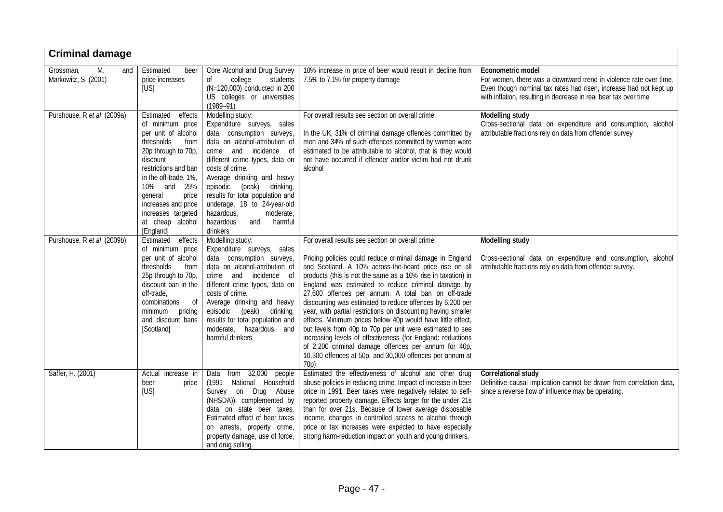| <b>Criminal damage</b>                         |                                                                                                                                                                                                                                                                                               |                                                                                                                                                                                                                                                                                                                                                                                                      |                                                                                                                                                                                                                                                                                                                                                                                                                                                                                                                                                                                                                                                                                                                                                                                                                        |                                                                                                                                                                                                                                 |
|------------------------------------------------|-----------------------------------------------------------------------------------------------------------------------------------------------------------------------------------------------------------------------------------------------------------------------------------------------|------------------------------------------------------------------------------------------------------------------------------------------------------------------------------------------------------------------------------------------------------------------------------------------------------------------------------------------------------------------------------------------------------|------------------------------------------------------------------------------------------------------------------------------------------------------------------------------------------------------------------------------------------------------------------------------------------------------------------------------------------------------------------------------------------------------------------------------------------------------------------------------------------------------------------------------------------------------------------------------------------------------------------------------------------------------------------------------------------------------------------------------------------------------------------------------------------------------------------------|---------------------------------------------------------------------------------------------------------------------------------------------------------------------------------------------------------------------------------|
| Grossman,<br>M.<br>and<br>Markowitz, S. (2001) | Estimated<br>beer<br>price increases<br>[US]                                                                                                                                                                                                                                                  | Core Alcohol and Drug Survey<br>students<br>college<br>0f<br>(N=120,000) conducted in 200<br>US colleges or universities<br>$(1989 - 91)$                                                                                                                                                                                                                                                            | 10% increase in price of beer would result in decline from<br>7.5% to 7.1% for property damage                                                                                                                                                                                                                                                                                                                                                                                                                                                                                                                                                                                                                                                                                                                         | Econometric model<br>For women, there was a downward trend in violence rate over time.<br>Even though nominal tax rates had risen, increase had not kept up<br>with inflation, resulting in decrease in real beer tax over time |
| Purshouse, R et al (2009a)                     | Estimated<br>effects<br>of minimum price<br>per unit of alcohol<br>thresholds<br>from<br>20p through to 70p,<br>discount<br>restrictions and ban<br>in the off-trade, 1%,<br>10% and<br>25%<br>general<br>price<br>increases and price<br>increases targeted<br>at cheap alcohol<br>[England] | Modelling study:<br>Expenditure surveys, sales<br>data, consumption surveys,<br>data on alcohol-attribution of<br>crime and incidence of<br>different crime types, data on<br>costs of crime.<br>Average drinking and heavy<br>episodic<br>(peak) drinking,<br>results for total population and<br>underage, 18 to 24-year-old<br>hazardous,<br>moderate,<br>hazardous<br>and<br>harmful<br>drinkers | For overall results see section on overall crime.<br>In the UK, 31% of criminal damage offences committed by<br>men and 34% of such offences committed by women were<br>estimated to be attributable to alcohol, that is they would<br>not have occurred if offender and/or victim had not drunk<br>alcohol                                                                                                                                                                                                                                                                                                                                                                                                                                                                                                            | Modelling study<br>Cross-sectional data on expenditure and consumption, alcohol<br>attributable fractions rely on data from offender survey                                                                                     |
| Purshouse, R et al (2009b)                     | Estimated effects<br>of minimum price<br>per unit of alcohol<br>thresholds<br>from<br>25p through to 70p,<br>discount ban in the<br>off-trade,<br>combinations<br>of<br>minimum<br>pricing<br>and discount bans<br>[Scotland]                                                                 | Modelling study:<br>Expenditure surveys, sales<br>data, consumption surveys,<br>data on alcohol-attribution of<br>crime and incidence of<br>different crime types, data on<br>costs of crime.<br>Average drinking and heavy<br>(peak) drinking,<br>episodic<br>results for total population and<br>moderate, hazardous and<br>harmful drinkers                                                       | For overall results see section on overall crime.<br>Pricing policies could reduce criminal damage in England<br>and Scotland. A 10% across-the-board price rise on all<br>products (this is not the same as a 10% rise in taxation) in<br>England was estimated to reduce criminal damage by<br>27,600 offences per annum. A total ban on off-trade<br>discounting was estimated to reduce offences by 6,200 per<br>year, with partial restrictions on discounting having smaller<br>effects. Minimum prices below 40p would have little effect,<br>but levels from 40p to 70p per unit were estimated to see<br>increasing levels of effectiveness (for England: reductions<br>of 2,200 criminal damage offences per annum for 40p,<br>10,300 offences at 50p, and 30,000 offences per annum at<br>70 <sub>p</sub> ) | Modelling study<br>Cross-sectional data on expenditure and consumption, alcohol<br>attributable fractions rely on data from offender survey.                                                                                    |
| Saffer, H. (2001)                              | Actual increase in<br>beer<br>price<br>[US]                                                                                                                                                                                                                                                   | from 32,000 people<br>Data<br>(1991 National Household<br>Survey on Drug Abuse<br>(NHSDA)), complemented by<br>data on state beer taxes.<br>Estimated effect of beer taxes<br>on arrests, property crime,<br>property damage, use of force,<br>and drug selling.                                                                                                                                     | Estimated the effectiveness of alcohol and other drug<br>abuse policies in reducing crime. Impact of increase in beer<br>price in 1991. Beer taxes were negatively related to self-<br>reported property damage. Effects larger for the under 21s<br>than for over 21s. Because of lower average disposable<br>income, changes in controlled access to alcohol through<br>price or tax increases were expected to have especially<br>strong harm-reduction impact on youth and young drinkers.                                                                                                                                                                                                                                                                                                                         | Correlational study<br>Definitive causal implication cannot be drawn from correlation data,<br>since a reverse flow of influence may be operating.                                                                              |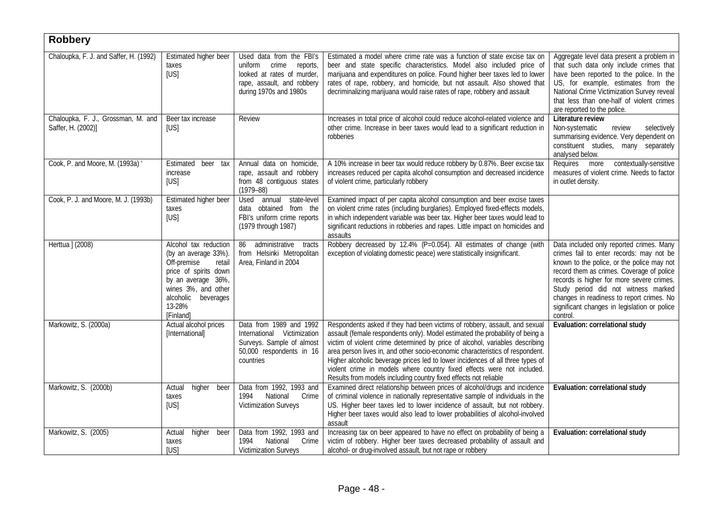| <b>Robbery</b>                                           |                                                                                                                                                                                            |                                                                                                                                             |                                                                                                                                                                                                                                                                                                                                                                                                                                                                                                                                                              |                                                                                                                                                                                                                                                                                                                                                                              |  |  |
|----------------------------------------------------------|--------------------------------------------------------------------------------------------------------------------------------------------------------------------------------------------|---------------------------------------------------------------------------------------------------------------------------------------------|--------------------------------------------------------------------------------------------------------------------------------------------------------------------------------------------------------------------------------------------------------------------------------------------------------------------------------------------------------------------------------------------------------------------------------------------------------------------------------------------------------------------------------------------------------------|------------------------------------------------------------------------------------------------------------------------------------------------------------------------------------------------------------------------------------------------------------------------------------------------------------------------------------------------------------------------------|--|--|
| Chaloupka, F. J. and Saffer, H. (1992)                   | Estimated higher beer<br>taxes<br>[US]                                                                                                                                                     | Used data from the FBI's<br>uniform crime<br>reports,<br>looked at rates of murder,<br>rape, assault, and robbery<br>during 1970s and 1980s | Estimated a model where crime rate was a function of state excise tax on<br>beer and state specific characteristics. Model also included price of<br>marijuana and expenditures on police. Found higher beer taxes led to lower<br>rates of rape, robbery, and homicide, but not assault. Also showed that<br>decriminalizing marijuana would raise rates of rape, robbery and assault                                                                                                                                                                       | Aggregate level data present a problem in<br>that such data only include crimes that<br>have been reported to the police. In the<br>US, for example, estimates from the<br>National Crime Victimization Survey reveal<br>that less than one-half of violent crimes<br>are reported to the police.                                                                            |  |  |
| Chaloupka, F. J., Grossman, M. and<br>Saffer, H. (2002)] | Beer tax increase<br>[US]                                                                                                                                                                  | Review                                                                                                                                      | Increases in total price of alcohol could reduce alcohol-related violence and<br>other crime. Increase in beer taxes would lead to a significant reduction in<br>robberies                                                                                                                                                                                                                                                                                                                                                                                   | Literature review<br>Non-systematic<br>review<br>selectively<br>summarising evidence. Very dependent on<br>constituent studies, many separately<br>analysed below.                                                                                                                                                                                                           |  |  |
| Cook, P. and Moore, M. (1993a) '                         | beer tax<br>Estimated<br>increase<br>[US]                                                                                                                                                  | Annual data on homicide,<br>rape, assault and robbery<br>from 48 contiguous states<br>$(1979 - 88)$                                         | A 10% increase in beer tax would reduce robbery by 0.87%. Beer excise tax<br>increases reduced per capita alcohol consumption and decreased incidence<br>of violent crime, particularly robbery                                                                                                                                                                                                                                                                                                                                                              | Requires more<br>contextually-sensitive<br>measures of violent crime. Needs to factor<br>in outlet density.                                                                                                                                                                                                                                                                  |  |  |
| Cook, P. J. and Moore, M. J. (1993b)                     | Estimated higher beer<br>taxes<br>[US]                                                                                                                                                     | Used annual state-level<br>data obtained from the<br>FBI's uniform crime reports<br>(1979 through 1987)                                     | Examined impact of per capita alcohol consumption and beer excise taxes<br>on violent crime rates (including burglaries). Employed fixed-effects models,<br>in which independent variable was beer tax. Higher beer taxes would lead to<br>significant reductions in robberies and rapes. Little impact on homicides and<br>assaults                                                                                                                                                                                                                         |                                                                                                                                                                                                                                                                                                                                                                              |  |  |
| Herttua ] (2008)                                         | Alcohol tax reduction<br>(by an average 33%).<br>Off-premise<br>retail<br>price of spirits down<br>by an average 36%,<br>wines 3%, and other<br>alcoholic beverages<br>13-28%<br>[Finland] | administrative<br>86<br>tracts<br>from Helsinki Metropolitan<br>Area, Finland in 2004                                                       | Robbery decreased by 12.4% (P=0.054). All estimates of change (with<br>exception of violating domestic peace) were statistically insignificant.                                                                                                                                                                                                                                                                                                                                                                                                              | Data included only reported crimes. Many<br>crimes fail to enter records: may not be<br>known to the police, or the police may not<br>record them as crimes. Coverage of police<br>records is higher for more severe crimes.<br>Study period did not witness marked<br>changes in readiness to report crimes. No<br>significant changes in legislation or police<br>control. |  |  |
| Markowitz, S. (2000a)                                    | Actual alcohol prices<br>[International]                                                                                                                                                   | Data from 1989 and 1992<br>International Victimization<br>Surveys. Sample of almost<br>50,000 respondents in 16<br>countries                | Respondents asked if they had been victims of robbery, assault, and sexual<br>assault (female respondents only). Model estimated the probability of being a<br>victim of violent crime determined by price of alcohol, variables describing<br>area person lives in, and other socio-economic characteristics of respondent.<br>Higher alcoholic beverage prices led to lower incidences of all three types of<br>violent crime in models where country fixed effects were not included.<br>Results from models including country fixed effects not reliable | Evaluation: correlational study                                                                                                                                                                                                                                                                                                                                              |  |  |
| Markowitz, S. (2000b)                                    | higher<br>Actual<br>beer<br>taxes<br>[US]                                                                                                                                                  | Data from 1992, 1993 and<br>National<br>Crime<br>1994<br>Victimization Surveys                                                              | Examined direct relationship between prices of alcohol/drugs and incidence<br>of criminal violence in nationally representative sample of individuals in the<br>US. Higher beer taxes led to lower incidence of assault, but not robbery.<br>Higher beer taxes would also lead to lower probabilities of alcohol-involved<br>assault                                                                                                                                                                                                                         | Evaluation: correlational study                                                                                                                                                                                                                                                                                                                                              |  |  |
| Markowitz, S. (2005)                                     | higher<br>Actual<br>beer<br>taxes<br>[US]                                                                                                                                                  | Data from 1992, 1993 and<br>National<br>Crime<br>1994<br><b>Victimization Surveys</b>                                                       | Increasing tax on beer appeared to have no effect on probability of being a<br>victim of robbery. Higher beer taxes decreased probability of assault and<br>alcohol- or drug-involved assault, but not rape or robbery                                                                                                                                                                                                                                                                                                                                       | Evaluation: correlational study                                                                                                                                                                                                                                                                                                                                              |  |  |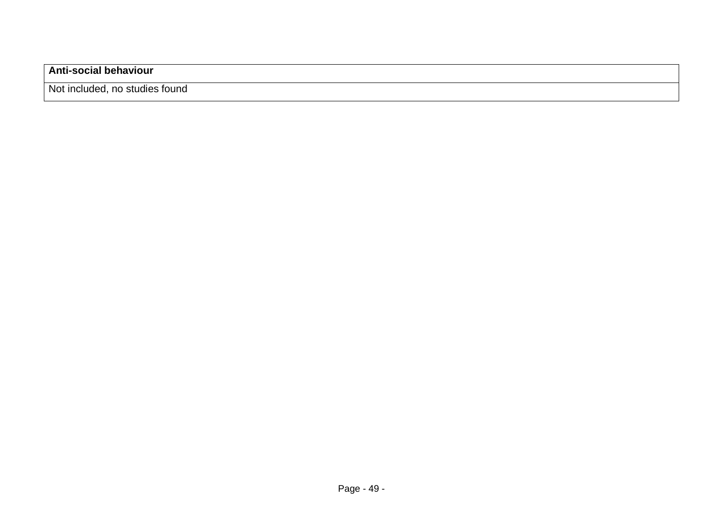### **Anti-social behaviour**

Not included, no studies found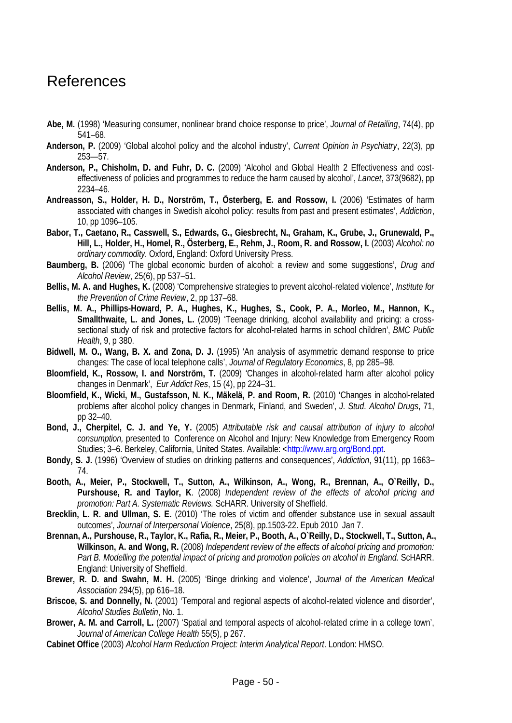## <span id="page-49-0"></span>References

- **Abe, M.** (1998) 'Measuring consumer, nonlinear brand choice response to price', *Journal of Retailing*, 74(4), pp 541–68.
- **Anderson, P.** (2009) 'Global alcohol policy and the alcohol industry', *Current Opinion in Psychiatry*, 22(3), pp 253—57.
- **Anderson, P., Chisholm, D. and Fuhr, D. C.** (2009) 'Alcohol and Global Health 2 Effectiveness and costeffectiveness of policies and programmes to reduce the harm caused by alcohol', *Lancet*, 373(9682), pp 2234–46.
- **Andreasson, S., [Holder, H. D.](http://www.ncbi.nlm.nih.gov/pubmed?term=%22Holder%20HD%22%5BAuthor%5D&itool=EntrezSystem2.PEntrez.Pubmed.Pubmed_ResultsPanel.Pubmed_RVAbstract), [Norström, T.,](http://www.ncbi.nlm.nih.gov/pubmed?term=%22Norstr%C3%B6m%20T%22%5BAuthor%5D&itool=EntrezSystem2.PEntrez.Pubmed.Pubmed_ResultsPanel.Pubmed_RVAbstract) Österberg, E. and [Rossow, I.](http://www.ncbi.nlm.nih.gov/pubmed?term=%22Rossow%20I%22%5BAuthor%5D&itool=EntrezSystem2.PEntrez.Pubmed.Pubmed_ResultsPanel.Pubmed_RVAbstract)** (2006) 'Estimates of harm associated with changes in Swedish alcohol policy: results from past and present estimates', *Addiction*, 10, pp 1096–105.
- **Babor, T., Caetano, R., Casswell, S., Edwards, G., Giesbrecht, N., Graham, K., Grube, J., Grunewald, P., Hill, L., Holder, H., Homel, R., Österberg, E., Rehm, J., Room, R. and Rossow, I.** (2003) *Alcohol: no ordinary commodity.* Oxford, England: Oxford University Press.
- **Baumberg, B.** (2006) 'The global economic burden of alcohol: a review and some suggestions', *Drug and Alcohol Review*, 25(6), pp 537–51.
- **Bellis, M. A. and Hughes, K.** (2008) 'Comprehensive strategies to prevent alcohol-related violence', *Institute for the Prevention of Crime Review*, 2, pp 137–68.
- **Bellis, M. A., Phillips-Howard, P. A., Hughes, K., Hughes, S., Cook, P. A., Morleo, M., Hannon, K., Smallthwaite, L. and Jones, L.** (2009) 'Teenage drinking, alcohol availability and pricing: a crosssectional study of risk and protective factors for alcohol-related harms in school children', *BMC Public Health*, 9, p 380.
- **Bidwell, M. O., Wang, B. X. and Zona, D. J.** (1995) 'An analysis of asymmetric demand response to price changes: The case of local telephone calls', *Journal of Regulatory Economics*, 8, pp 285–98.
- **Bloomfield, K., Rossow, I. and Norström, T.** (2009) 'Changes in alcohol-related harm after alcohol policy changes in Denmark', *Eur Addict Res*, 15 (4), pp 224–31.
- **Bloomfield, K., Wicki, M., Gustafsson, N. K., Mäkelä, P. and Room, R.** (2010) 'Changes in alcohol-related problems after alcohol policy changes in Denmark, Finland, and Sweden', *J. Stud. Alcohol Drugs*, 71, pp 32–40.
- **Bond, J., Cherpitel, C. J. and Ye, Y.** (2005) *Attributable risk and causal attribution of injury to alcohol consumption,* presented to Conference on Alcohol and Injury: New Knowledge from Emergency Room Studies; 3–6. Berkeley, California, United States. Available: [<http://www.arg.org/Bond.ppt.](http://www.arg.org/Bond.ppt)
- **Bondy, S. J.** (1996) 'Overview of studies on drinking patterns and consequences', *Addiction*, 91(11), pp 1663– 74.
- **Booth, A., Meier, P., Stockwell, T., Sutton, A., Wilkinson, A., Wong, R., Brennan, A., O`Reilly, D., Purshouse, R. and Taylor, K**. (2008) *Independent review of the effects of alcohol pricing and promotion: Part A. Systematic Reviews.* ScHARR. University of Sheffield.
- **Brecklin, L. R. and Ullman, S. E.** (2010) 'The roles of victim and offender substance use in sexual assault outcomes', *Journal of Interpersonal Violence*, 25(8), pp.1503-22. Epub 2010 Jan 7.
- **Brennan, A., Purshouse, R., Taylor, K., Rafia, R., Meier, P., Booth, A., O`Reilly, D., Stockwell, T., Sutton, A., Wilkinson, A. and Wong, R.** (2008) *Independent review of the effects of alcohol pricing and promotion: Part B. Modelling the potential impact of pricing and promotion policies on alcohol in England.* ScHARR. England: University of Sheffield.
- **Brewer, R. D. and Swahn, M. H.** (2005) 'Binge drinking and violence', *Journal of the American Medical Association* 294(5), pp 616–18.
- **Briscoe, S. and Donnelly, N.** (2001) 'Temporal and regional aspects of alcohol-related violence and disorder', *Alcohol Studies Bulletin*, No. 1.
- **Brower, A. M. and Carroll, L.** (2007) 'Spatial and temporal aspects of alcohol-related crime in a college town', *Journal of American College Health* 55(5), p 267.
- **Cabinet Office** (2003) *Alcohol Harm Reduction Project: Interim Analytical Report*. London: HMSO.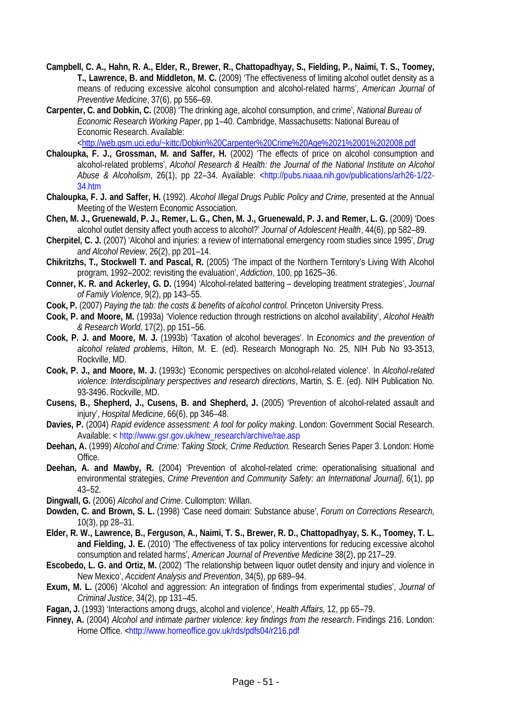- **Campbell, C. A., Hahn, R. A., Elder, R., Brewer, R., Chattopadhyay, S., Fielding, P., Naimi, T. S., Toomey, T., Lawrence, B. and Middleton, M. C.** (2009) 'The effectiveness of limiting alcohol outlet density as a means of reducing excessive alcohol consumption and alcohol-related harms', *American Journal of Preventive Medicine*, 37(6), pp 556–69.
- **Carpenter, C. and Dobkin, C.** (2008) 'The drinking age, alcohol consumption, and crime', *National Bureau of Economic Research Working Paper*, pp 1–40. Cambridge, Massachusetts: National Bureau of Economic Research. Available:

[<http://web.gsm.uci.edu/~kittc/Dobkin%20Carpenter%20Crime%20Age%2021%2001%202008.pdf](http://web.gsm.uci.edu/~kittc/Dobkin%20Carpenter%20Crime%20Age%2021%2001%202008.pdf)

- **Chaloupka, F. J., Grossman, M. and Saffer, H.** (2002) 'The effects of price on alcohol consumption and alcohol-related problems', *Alcohol Research & Health: the Journal of the National Institute on Alcohol Abuse & Alcoholism*, 26(1), pp 22–34. Available: [<http://pubs.niaaa.nih.gov/publications/arh26-1/22-](http://pubs.niaaa.nih.gov/publications/arh26-1/22-34.htm) [34.htm](http://pubs.niaaa.nih.gov/publications/arh26-1/22-34.htm)
- **Chaloupka, F. J. and Saffer, H.** (1992). *Alcohol Illegal Drugs Public Policy and Crime,* presented at the Annual Meeting of the Western Economic Association.
- **Chen, M. J., Gruenewald, P. J., Remer, L. G., Chen, M. J., Gruenewald, P. J. and Remer, L. G.** (2009) 'Does alcohol outlet density affect youth access to alcohol?' *Journal of Adolescent Health*, 44(6), pp 582–89.
- **Cherpitel, C. J.** (2007) 'Alcohol and injuries: a review of international emergency room studies since 1995', *Drug and Alcohol Review*, 26(2), pp 201–14.
- **Chikritzhs, T., Stockwell T. and Pascal, R.** (2005) 'The impact of the Northern Territory's Living With Alcohol program, 1992–2002: revisiting the evaluation', *Addiction*, 100, pp 1625–36.
- **Conner, K. R. and Ackerley, G. D.** (1994) 'Alcohol-related battering developing treatment strategies', *Journal of Family Violence*, 9(2), pp 143–55.
- **Cook, P.** (2007) *Paying the tab: the costs & benefits of alcohol control.* Princeton University Press.
- **Cook, P. and Moore, M.** (1993a) 'Violence reduction through restrictions on alcohol availability', *Alcohol Health & Research World*, 17(2), pp 151–56.
- **Cook, P. J. and Moore, M. J.** (1993b) 'Taxation of alcohol beverages'. In *Economics and the prevention of alcohol related problems*, Hilton, M. E. (ed). Research Monograph No. 25, NIH Pub No 93-3513, Rockville, MD.
- **Cook, P. J., and Moore, M. J.** (1993c) 'Economic perspectives on alcohol-related violence'. In *Alcohol-related violence: Interdisciplinary perspectives and research directions*, Martin, S. E. (ed). NIH Publication No. 93-3496. Rockville, MD.
- **Cusens, B., Shepherd, J., Cusens, B. and Shepherd, J.** (2005) 'Prevention of alcohol-related assault and injury', *Hospital Medicine*, 66(6), pp 346–48.
- **Davies, P.** (2004) *Rapid evidence assessment: A tool for policy making*. London: Government Social Research. Available: < [http://www.gsr.gov.uk/new\\_research/archive/rae.asp](http://www.gsr.gov.uk/new_research/archive/rae.asp)
- **Deehan, A.** (1999) *Alcohol and Crime: Taking Stock, Crime Reduction.* Research Series Paper 3. London: Home Office.
- **Deehan, A. and Mawby, R.** (2004) 'Prevention of alcohol-related crime: operationalising situational and environmental strategies, *Crime Prevention and Community Safety: an International Journal]*, 6(1), pp 43–52.
- **Dingwall, G.** (2006) *Alcohol and Crime*. Cullompton: Willan.
- **Dowden, C. and Brown, S. L.** (1998) 'Case need domain: Substance abuse', *Forum on Corrections Research,* 10(3), pp 28–31.
- **Elder, R. W., Lawrence, B., Ferguson, A., Naimi, T. S., Brewer, R. D., Chattopadhyay, S. K., Toomey, T. L. and Fielding, J. E.** (2010) 'The effectiveness of tax policy interventions for reducing excessive alcohol consumption and related harms', *American Journal of Preventive Medicine* 38(2), pp 217–29.
- **Escobedo, L. G. and Ortiz, M.** (2002) 'The relationship between liquor outlet density and injury and violence in New Mexico', *Accident Analysis and Prevention*, 34(5), pp 689–94.
- **Exum, M. L.** (2006) 'Alcohol and aggression: An integration of findings from experimental studies', *Journal of Criminal Justice*, 34(2), pp 131–45.
- **Fagan, J.** (1993) 'Interactions among drugs, alcohol and violence', *Health Affairs,* 12, pp 65–79.
- **Finney, A.** (2004) *Alcohol and intimate partner violence: key findings from the research*. Findings 216. London: Home Office. [<http://www.homeoffice.gov.uk/rds/pdfs04/r216.pdf](http://www.homeoffice.gov.uk/rds/pdfs04/r216.pdf)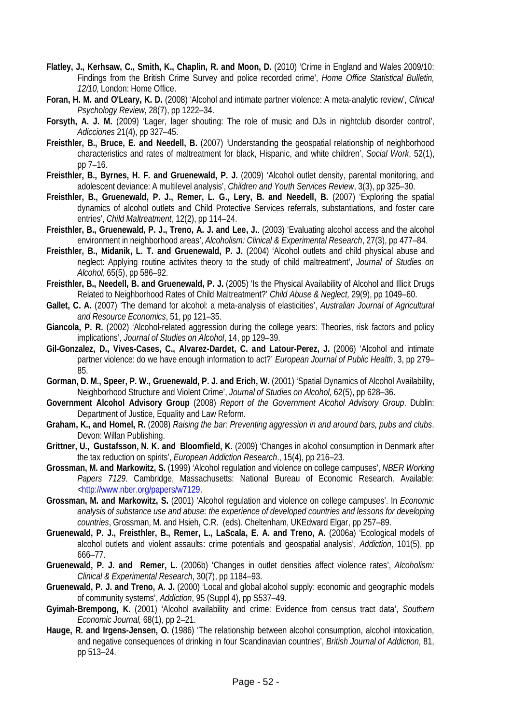- **Flatley, J., Kerhsaw, C., Smith, K., Chaplin, R. and Moon, D.** (2010) 'Crime in England and Wales 2009/10: Findings from the British Crime Survey and police recorded crime', *Home Office Statistical Bulletin, 12/10,* London: Home Office.
- **Foran, H. M. and O'Leary, K. D.** (2008) 'Alcohol and intimate partner violence: A meta-analytic review', *Clinical Psychology Review*, 28(7), pp 1222–34.
- **Forsyth, A. J. M.** (2009) 'Lager, lager shouting: The role of music and DJs in nightclub disorder control', *Adicciones* 21(4), pp 327–45.
- **Freisthler, B., Bruce, E. and Needell, B.** (2007) 'Understanding the geospatial relationship of neighborhood characteristics and rates of maltreatment for black, Hispanic, and white children', *Social Work*, 52(1), pp 7–16.
- **Freisthler, B., Byrnes, H. F. and Gruenewald, P. J.** (2009) 'Alcohol outlet density, parental monitoring, and adolescent deviance: A multilevel analysis', *Children and Youth Services Review*, 3(3), pp 325–30.
- **Freisthler, B., Gruenewald, P. J., Remer, L. G., Lery, B. and Needell, B.** (2007) 'Exploring the spatial dynamics of alcohol outlets and Child Protective Services referrals, substantiations, and foster care entries', *Child Maltreatment*, 12(2), pp 114–24.
- **Freisthler, B., Gruenewald, P. J., Treno, A. J. and Lee, J.**. (2003) 'Evaluating alcohol access and the alcohol environment in neighborhood areas', *Alcoholism: Clinical & Experimental Research*, 27(3), pp 477–84.
- **Freisthler, B., Midanik, L. T. and Gruenewald, P. J.** (2004) 'Alcohol outlets and child physical abuse and neglect: Applying routine activites theory to the study of child maltreatment', *Journal of Studies on Alcohol*, 65(5), pp 586–92.
- **Freisthler, B., Needell, B. and Gruenewald, P. J.** (2005) 'Is the Physical Availability of Alcohol and Illicit Drugs Related to Neighborhood Rates of Child Maltreatment?' *Child Abuse & Neglect,* 29(9), pp 1049–60.
- **Gallet, C. A.** (2007) 'The demand for alcohol: a meta-analysis of elasticities', *Australian Journal of Agricultural and Resource Economics*, 51, pp 121–35.
- **Giancola, P. R.** (2002) 'Alcohol-related aggression during the college years: Theories, risk factors and policy implications', *Journal of Studies on Alcohol*, 14, pp 129–39.
- **Gil-Gonzalez, D., Vives-Cases, C., Alvarez-Dardet, C. and Latour-Perez, J.** (2006) 'Alcohol and intimate partner violence: do we have enough information to act?' *European Journal of Public Health*, 3, pp 279– 85.
- **Gorman, D. M., Speer, P. W., Gruenewald, P. J. and Erich, W.** (2001) 'Spatial Dynamics of Alcohol Availability, Neighborhood Structure and Violent Crime', *Journal of Studies on Alcohol,* 62(5), pp 628–36.
- **Government Alcohol Advisory Group** (2008) *Report of the Government Alcohol Advisory Group*. Dublin: Department of Justice, Equality and Law Reform.
- **Graham, K., and Homel, R.** (2008) *Raising the bar: Preventing aggression in and around bars, pubs and clubs*. Devon: Willan Publishing.
- **Grittner, U., Gustafsson, N. K. and Bloomfield, K.** (2009) 'Changes in alcohol consumption in Denmark after the tax reduction on spirits', *European Addiction Research*., 15(4), pp 216–23.
- **Grossman, M. and Markowitz, S.** (1999) 'Alcohol regulation and violence on college campuses', *NBER Working Papers 7129*. Cambridge, Massachusetts: National Bureau of Economic Research. Available: [<http://www.nber.org/papers/w7129.](http://www.nber.org/papers/w7129)
- **Grossman, M. and Markowitz, S.** (2001) 'Alcohol regulation and violence on college campuses'. In *Economic analysis of substance use and abuse: the experience of developed countries and lessons for developing countries*, Grossman, M. and Hsieh, C.R. (eds). Cheltenham, UKEdward Elgar, pp 257–89.
- **Gruenewald, P. J., Freisthler, B., Remer, L., LaScala, E. A. and Treno, A.** (2006a) 'Ecological models of alcohol outlets and violent assaults: crime potentials and geospatial analysis', *Addiction*, 101(5), pp 666–77.
- **Gruenewald, P. J. and Remer, L.** (2006b) 'Changes in outlet densities affect violence rates', *Alcoholism: Clinical & Experimental Research*, 30(7), pp 1184–93.
- **Gruenewald, P. J. and Treno, A. J.** (2000) 'Local and global alcohol supply: economic and geographic models of community systems', *Addiction*, 95 (Suppl 4), pp S537–49.
- **Gyimah-Brempong, K.** (2001) 'Alcohol availability and crime: Evidence from census tract data', *Southern Economic Journal,* 68(1), pp 2–21.
- **Hauge, R. and Irgens-Jensen, O.** (1986) 'The relationship between alcohol consumption, alcohol intoxication, and negative consequences of drinking in four Scandinavian countries', *British Journal of Addiction,* 81, pp 513–24.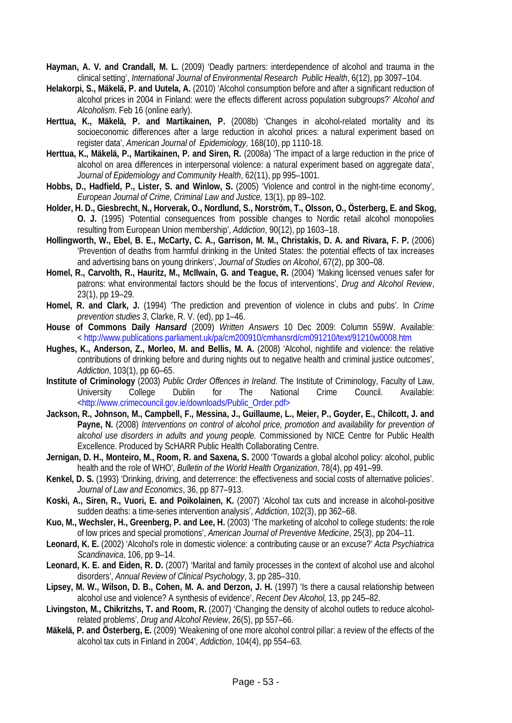- **Hayman, A. V. and Crandall, M. L.** (2009) 'Deadly partners: interdependence of alcohol and trauma in the clinical setting', *International Journal of Environmental Research Public Health*, 6(12), pp 3097–104.
- **Helakorpi, S., Mäkelä, P. and Uutela, A.** (2010) 'Alcohol consumption before and after a significant reduction of alcohol prices in 2004 in Finland: were the effects different across population subgroups?' *Alcohol and Alcoholism*. Feb 16 (online early).
- **Herttua, K., Mäkelä, P. and Martikainen, P.** (2008b) 'Changes in alcohol-related mortality and its socioeconomic differences after a large reduction in alcohol prices: a natural experiment based on register data', *American Journal of Epidemiology,* 168(10), pp 1110-18.
- **Herttua, K., Mäkelä, P., Martikainen, P. and Siren, R.** (2008a) 'The impact of a large reduction in the price of alcohol on area differences in interpersonal violence: a natural experiment based on aggregate data', *Journal of Epidemiology and Community Health*, 62(11), pp 995–1001.
- **Hobbs, D., Hadfield, P., Lister, S. and Winlow, S.** (2005) 'Violence and control in the night-time economy', *European Journal of Crime, Criminal Law and Justice,* 13(1), pp 89–102.
- **Holder, H. D., Giesbrecht, N., Horverak, O., Nordlund, S., Norström, T., Olsson, O., Österberg, E. and Skog, O. J.** (1995) 'Potential consequences from possible changes to Nordic retail alcohol monopolies resulting from European Union membership', *Addiction*, 90(12), pp 1603–18.
- **Hollingworth, W., Ebel, B. E., McCarty, C. A., Garrison, M. M., Christakis, D. A. and Rivara, F. P.** (2006) 'Prevention of deaths from harmful drinking in the United States: the potential effects of tax increases and advertising bans on young drinkers', *Journal of Studies on Alcohol*, 67(2), pp 300–08.
- **Homel, R., Carvolth, R., Hauritz, M., McIlwain, G. and Teague, R.** (2004) 'Making licensed venues safer for patrons: what environmental factors should be the focus of interventions', *Drug and Alcohol Review*, 23(1), pp 19–29.
- **Homel, R. and Clark, J.** (1994) 'The prediction and prevention of violence in clubs and pubs'. In *Crime prevention studies 3*, Clarke, R. V. (ed), pp 1–46.
- **House of Commons Daily** *Hansard* (2009) *Written Answers* 10 Dec 2009: Column 559W. Available: < <http://www.publications.parliament.uk/pa/cm200910/cmhansrd/cm091210/text/91210w0008.htm>
- **Hughes, K., Anderson, Z., Morleo, M. and Bellis, M. A.** (2008) 'Alcohol, nightlife and violence: the relative contributions of drinking before and during nights out to negative health and criminal justice outcomes', *Addiction*, 103(1), pp 60–65.
- **Institute of Criminology** (2003) *Public Order Offences in Ireland*. The Institute of Criminology, Faculty of Law, University College Dublin for The National Crime Council. Available: [<http://www.crimecouncil.gov.ie/downloads/Public\\_Order.pdf>](http://www.crimecouncil.gov.ie/downloads/Public_Order.pdf%3e)
- **Jackson, R., Johnson, M., Campbell, F., Messina, J., Guillaume, L., Meier, P., Goyder, E., Chilcott, J. and Payne, N.** (2008) *Interventions on control of alcohol price, promotion and availability for prevention of alcohol use disorders in adults and young people.* Commissioned by NICE Centre for Public Health Excellence. Produced by ScHARR Public Health Collaborating Centre.
- **Jernigan, D. H., Monteiro, M., Room, R. and Saxena, S.** 2000 'Towards a global alcohol policy: alcohol, public health and the role of WHO', *Bulletin of the World Health Organization*, 78(4), pp 491–99.
- **Kenkel, D. S.** (1993) 'Drinking, driving, and deterrence: the effectiveness and social costs of alternative policies'. *Journal of Law and Economics*, 36, pp 877–913.
- **Koski, A., Siren, R., Vuori, E. and Poikolainen, K.** (2007) 'Alcohol tax cuts and increase in alcohol-positive sudden deaths: a time-series intervention analysis', *Addiction*, 102(3), pp 362–68.
- **Kuo, M., Wechsler, H., Greenberg, P. and Lee, H.** (2003) 'The marketing of alcohol to college students: the role of low prices and special promotions', *American Journal of Preventive Medicine*, 25(3), pp 204–11.
- **Leonard, K. E.** (2002) 'Alcohol's role in domestic violence: a contributing cause or an excuse?' *Acta Psychiatrica Scandinavica*, 106, pp 9–14.
- **Leonard, K. E. and Eiden, R. D.** (2007) 'Marital and family processes in the context of alcohol use and alcohol disorders', *Annual Review of Clinical Psychology*, 3, pp 285–310.
- **Lipsey, M. W., Wilson, D. B., Cohen, M. A. and Derzon, J. H.** (1997) 'Is there a causal relationship between alcohol use and violence? A synthesis of evidence', *Recent Dev Alcohol,* 13, pp 245–82.
- **Livingston, M., Chikritzhs, T. and Room, R.** (2007) 'Changing the density of alcohol outlets to reduce alcoholrelated problems', *Drug and Alcohol Review*, 26(5), pp 557–66.
- **Mäkelä, P. and Österberg, E.** (2009) 'Weakening of one more alcohol control pillar: a review of the effects of the alcohol tax cuts in Finland in 2004', *Addiction*, 104(4), pp 554–63.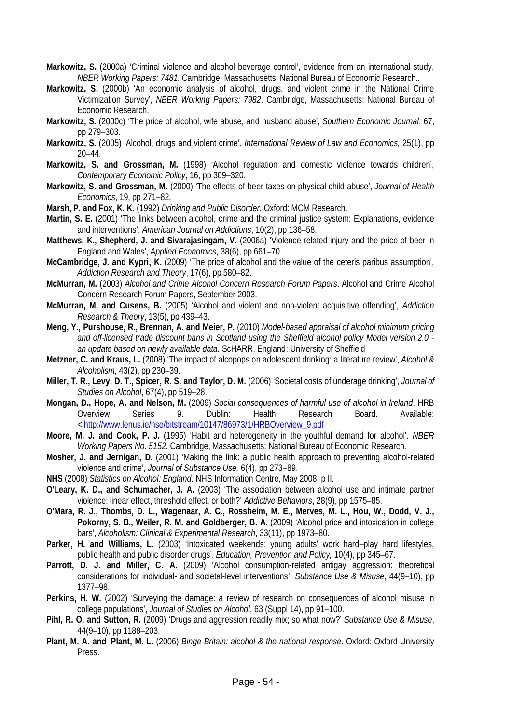- **Markowitz, S.** (2000a) 'Criminal violence and alcohol beverage control', evidence from an international study, *NBER Working Papers: 7481.* Cambridge, Massachusetts: National Bureau of Economic Research..
- **Markowitz, S.** (2000b) 'An economic analysis of alcohol, drugs, and violent crime in the National Crime Victimization Survey', *NBER Working Papers: 7982*. Cambridge, Massachusetts: National Bureau of Economic Research.
- **Markowitz, S.** (2000c) 'The price of alcohol, wife abuse, and husband abuse', *Southern Economic Journal*, 67, pp 279–303.
- **Markowitz, S.** (2005) 'Alcohol, drugs and violent crime', *International Review of Law and Economics,* 25(1), pp 20–44.
- **Markowitz, S. and Grossman, M.** (1998) 'Alcohol regulation and domestic violence towards children', *Contemporary Economic Policy*, 16, pp 309–320.
- **Markowitz, S. and Grossman, M.** (2000) 'The effects of beer taxes on physical child abuse', *Journal of Health Economics*, 19, pp 271–82.
- **Marsh, P. and Fox, K. K.** (1992) *Drinking and Public Disorder.* Oxford: MCM Research.
- **Martin, S. E.** (2001) 'The links between alcohol, crime and the criminal justice system: Explanations, evidence and interventions', *American Journal on Addictions*, 10(2), pp 136–58.
- **Matthews, K., Shepherd, J. and Sivarajasingam, V.** (2006a) 'Violence-related injury and the price of beer in England and Wales', *Applied Economics*, 38(6), pp 661–70.
- **McCambridge, J. and Kypri, K.** (2009) 'The price of alcohol and the value of the ceteris paribus assumption', *Addiction Research and Theory*, 17(6), pp 580–82.
- **McMurran, M.** (2003) *Alcohol and Crime Alcohol Concern Research Forum Papers*. Alcohol and Crime Alcohol Concern Research Forum Papers, September 2003.
- **McMurran, M. and Cusens, B.** (2005) 'Alcohol and violent and non-violent acquisitive offending', *Addiction Research & Theory*, 13(5), pp 439–43.
- **Meng, Y., Purshouse, R., Brennan, A. and Meier, P.** (2010) *Model-based appraisal of alcohol minimum pricing and off-licensed trade discount bans in Scotland using the Sheffield alcohol policy Model version 2.0 an update based on newly available data.* ScHARR. England: University of Sheffield
- **Metzner, C. and Kraus, L.** (2008) 'The impact of alcopops on adolescent drinking: a literature review', *Alcohol & Alcoholism*, 43(2), pp 230–39.
- **Miller, T. R., Levy, D. T., Spicer, R. S. and Taylor, D. M.** (2006) 'Societal costs of underage drinking', *Journal of Studies on Alcohol*, 67(4), pp 519–28.
- **Mongan, D., Hope, A. and Nelson, M.** (2009) *Social consequences of harmful use of alcohol in Ireland*. HRB Overview Series 9. Dublin: Health Research Board. Available: < [http://www.lenus.ie/hse/bitstream/10147/86973/1/HRBOverview\\_9.pdf](http://www.lenus.ie/hse/bitstream/10147/86973/1/HRBOverview_9.pdf)
- **Moore, M. J. and Cook, P. J.** (1995) 'Habit and heterogeneity in the youthful demand for alcohol'. *NBER Working Papers No. 5152.* Cambridge, Massachusetts: National Bureau of Economic Research*.*
- **Mosher, J. and Jernigan, D.** (2001) 'Making the link: a public health approach to preventing alcohol-related violence and crime', *Journal of Substance Use,* 6(4), pp 273–89.
- **NHS** (2008) *Statistics on Alcohol: England*. NHS Information Centre, May 2008, p II.
- **O'Leary, K. D., and Schumacher, J. A.** (2003) 'The association between alcohol use and intimate partner violence: linear effect, threshold effect, or both?' *Addictive Behaviors*, 28(9), pp 1575–85.
- **O'Mara, R. J., Thombs, D. L., Wagenaar, A. C., Rossheim, M. E., Merves, M. L., Hou, W., Dodd, V. J., Pokorny, S. B., Weiler, R. M. and Goldberger, B. A.** (2009) 'Alcohol price and intoxication in college bars', *Alcoholism: Clinical & Experimental Research*, 33(11), pp 1973–80.
- Parker, H. and Williams, L. (2003) 'Intoxicated weekends: young adults' work hard–play hard lifestyles, public health and public disorder drugs', *Education, Prevention and Policy,* 10(4), pp 345–67.
- **Parrott, D. J. and Miller, C. A.** (2009) 'Alcohol consumption-related antigay aggression: theoretical considerations for individual- and societal-level interventions', *Substance Use & Misuse*, 44(9–10), pp 1377–98.
- Perkins, H. W. (2002) 'Surveying the damage: a review of research on consequences of alcohol misuse in college populations', *Journal of Studies on Alcohol*, 63 (Suppl 14), pp 91–100.
- **Pihl, R. O. and Sutton, R.** (2009) 'Drugs and aggression readily mix; so what now?' *Substance Use & Misuse*, 44(9–10), pp 1188–203.
- **Plant, M. A. and Plant, M. L.** (2006) *Binge Britain: alcohol & the national response*. Oxford: Oxford University Press.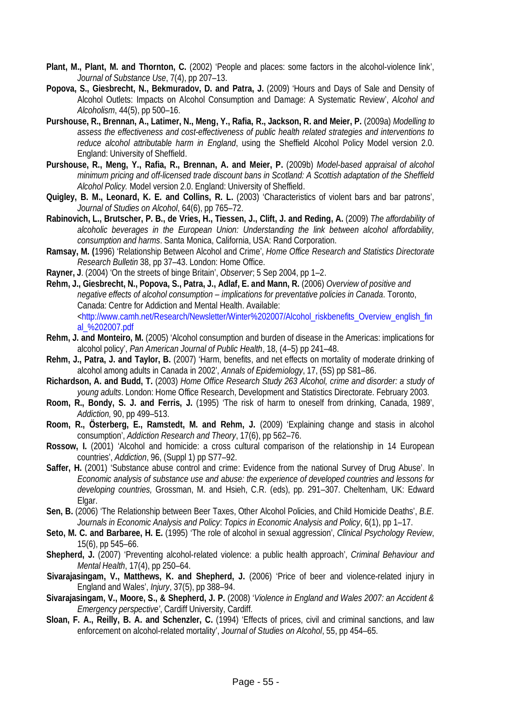- **Plant, M., Plant, M. and Thornton, C.** (2002) 'People and places: some factors in the alcohol-violence link', *Journal of Substance Use*, 7(4), pp 207–13.
- **Popova, S., Giesbrecht, N., Bekmuradov, D. and Patra, J.** (2009) 'Hours and Days of Sale and Density of Alcohol Outlets: Impacts on Alcohol Consumption and Damage: A Systematic Review', *Alcohol and Alcoholism*, 44(5), pp 500–16.
- **Purshouse, R., Brennan, A., Latimer, N., Meng, Y., Rafia, R., Jackson, R. and Meier, P.** (2009a) *Modelling to assess the effectiveness and cost-effectiveness of public health related strategies and interventions to reduce alcohol attributable harm in England*, using the Sheffield Alcohol Policy Model version 2.0. England: University of Sheffield.
- **Purshouse, R., Meng, Y., Rafia, R., Brennan, A. and Meier, P.** (2009b) *Model-based appraisal of alcohol minimum pricing and off-licensed trade discount bans in Scotland: A Scottish adaptation of the Sheffield Alcohol Policy.* Model version 2.0. England: University of Sheffield.
- **Quigley, B. M., Leonard, K. E. and Collins, R. L.** (2003) 'Characteristics of violent bars and bar patrons', *Journal of Studies on Alcohol*, 64(6), pp 765–72.
- **Rabinovich, L., Brutscher, P. B., de Vries, H., Tiessen, J., Clift, J. and Reding, A.** (2009) *The affordability of alcoholic beverages in the European Union: Understanding the link between alcohol affordability, consumption and harms*. Santa Monica, California, USA: Rand Corporation.
- **Ramsay, M. (**1996) 'Relationship Between Alcohol and Crime', *Home Office Research and Statistics Directorate Research Bulletin* 38, pp 37–43. London: Home Office.
- **Rayner, J**. (2004) 'On the streets of binge Britain', *Observer*; 5 Sep 2004, pp 1–2.
- **Rehm, J., Giesbrecht, N., Popova, S., Patra, J., Adlaf, E. and Mann, R.** (2006) *Overview of positive and negative effects of alcohol consumption – implications for preventative policies in Canada*. Toronto, Canada: Centre for Addiction and Mental Health. Available: [<http://www.camh.net/Research/Newsletter/Winter%202007/Alcohol\\_riskbenefits\\_Overview\\_english\\_fin](http://www.camh.net/Research/Newsletter/Winter%202007/Alcohol_riskbenefits_Overview_english_final_%202007.pdf) [al\\_%202007.pdf](http://www.camh.net/Research/Newsletter/Winter%202007/Alcohol_riskbenefits_Overview_english_final_%202007.pdf)
- **Rehm, J. and Monteiro, M.** (2005) 'Alcohol consumption and burden of disease in the Americas: implications for alcohol policy', *Pan American Journal of Public Health*, 18, (4–5) pp 241–48.
- **Rehm, J., Patra, J. and Taylor, B.** (2007) 'Harm, benefits, and net effects on mortality of moderate drinking of alcohol among adults in Canada in 2002', *Annals of Epidemiology*, 17, (5S) pp S81–86.
- **Richardson, A. and Budd, T.** (2003) *Home Office Research Study 263 Alcohol, crime and disorder: a study of young adults*. London: Home Office Research, Development and Statistics Directorate. February 2003.
- **Room, R., Bondy, S. J. and Ferris, J.** (1995) 'The risk of harm to oneself from drinking, Canada, 1989', *Addiction,* 90, pp 499–513.
- **Room, R., Österberg, E., Ramstedt, M. and Rehm, J.** (2009) 'Explaining change and stasis in alcohol consumption', *Addiction Research and Theory*, 17(6), pp 562–76.
- **Rossow, I.** (2001) 'Alcohol and homicide: a cross cultural comparison of the relationship in 14 European countries', *Addiction*, 96, (Suppl 1) pp S77–92.
- **Saffer, H.** (2001) 'Substance abuse control and crime: Evidence from the national Survey of Drug Abuse'. In *Economic analysis of substance use and abuse: the experience of developed countries and lessons for developing countries,* Grossman, M. and Hsieh, C.R. (eds), pp. 291–307. Cheltenham, UK: Edward Elgar.
- **Sen, B.** (2006) 'The Relationship between Beer Taxes, Other Alcohol Policies, and Child Homicide Deaths', *B.E. Journals in Economic Analysis and Policy*: *Topics in Economic Analysis and Policy*, 6(1), pp 1–17.
- **Seto, M. C. and Barbaree, H. E.** (1995) 'The role of alcohol in sexual aggression', *Clinical Psychology Review*, 15(6), pp 545–66.
- **Shepherd, J.** (2007) 'Preventing alcohol-related violence: a public health approach', *Criminal Behaviour and Mental Health*, 17(4), pp 250–64.
- **Sivarajasingam, V., Matthews, K. and Shepherd, J.** (2006) 'Price of beer and violence-related injury in England and Wales', *Injury*, 37(5), pp 388–94.
- **Sivarajasingam, V., Moore, S., & Shepherd, J. P.** (2008) '*Violence in England and Wales 2007: an Accident & Emergency perspective'*, Cardiff University, Cardiff.
- **Sloan, F. A., Reilly, B. A. and Schenzler, C.** (1994) 'Effects of prices, civil and criminal sanctions, and law enforcement on alcohol-related mortality', *Journal of Studies on Alcohol*, 55, pp 454–65.